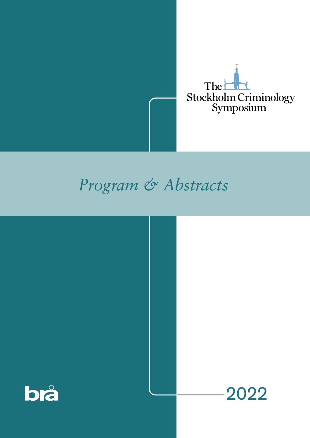

# *Program & Abstracts*

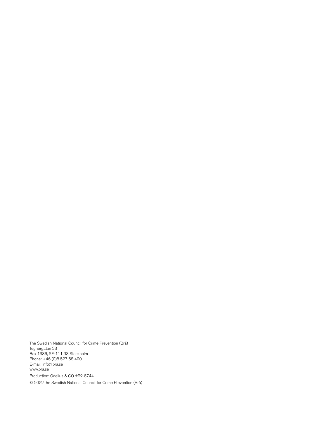The Swedish National Council for Crime Prevention (Brå) Tegnérgatan 23 Box 1386, SE-111 93 Stockholm Phone: +46 (0)8 527 58 400 E-mail: info@bra.se www.bra.se Production: Odelius & CO #22-8744 © 2022The Swedish National Council for Crime Prevention (Brå)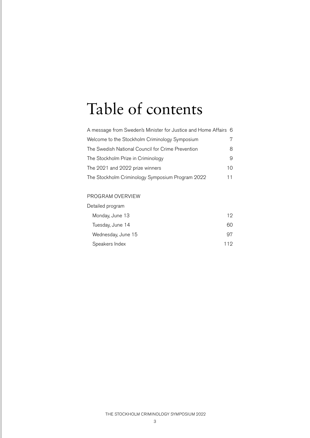# Table of contents

| A message from Sweden's Minister for Justice and Home Affairs 6 |    |
|-----------------------------------------------------------------|----|
| Welcome to the Stockholm Criminology Symposium                  | 7  |
| The Swedish National Council for Crime Prevention               | 8  |
| The Stockholm Prize in Criminology                              | 9  |
| The 2021 and 2022 prize winners                                 | 10 |
| The Stockholm Criminology Symposium Program 2022                | 11 |

#### PROGRAM OVERVIEW

| Detailed program   |     |
|--------------------|-----|
| Monday, June 13    | 19  |
| Tuesday, June 14   | 60  |
| Wednesday, June 15 | 97  |
| Speakers Index     | 112 |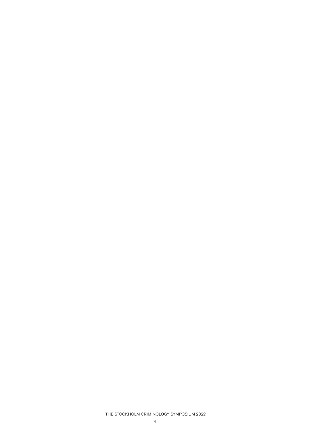THE STOCKHOLM CRIMINOLOGY SYMPOSIUM 2022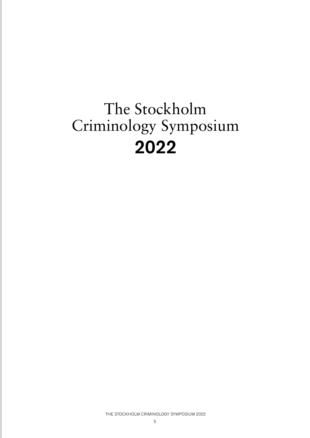# The Stockholm Criminology Symposium 2022

THE STOCKHOLM CRIMINOLOGY SYMPOSIUM 2022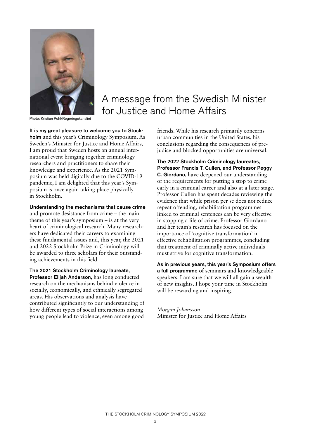

# A message from the Swedish Minister for Justice and Home Affairs

Photo: Kristian Pohl/Regeringskansliet

It is my great pleasure to welcome you to Stockholm and this year's Criminology Symposium. As Sweden's Minister for Justice and Home Affairs, I am proud that Sweden hosts an annual international event bringing together criminology researchers and practitioners to share their knowledge and experience. As the 2021 Symposium was held digitally due to the COVID-19 pandemic, I am delighted that this year's Symposium is once again taking place physically in Stockholm.

#### Understanding the mechanisms that cause crime

and promote desistance from crime – the main theme of this year's symposium – is at the very heart of criminological research. Many researchers have dedicated their careers to examining these fundamental issues and, this year, the 2021 and 2022 Stockholm Prize in Criminology will be awarded to three scholars for their outstanding achievements in this field.

## The 2021 Stockholm Criminology laureate,

Professor Elijah Anderson, has long conducted research on the mechanisms behind violence in socially, economically, and ethnically segregated areas. His observations and analysis have contributed significantly to our understanding of how different types of social interactions among young people lead to violence, even among good

friends. While his research primarily concerns urban communities in the United States, his conclusions regarding the consequences of prejudice and blocked opportunities are universal.

The 2022 Stockholm Criminology laureates, Professor Francis T. Cullen, and Professor Peggy C. Giordano, have deepened our understanding of the requirements for putting a stop to crime early in a criminal career and also at a later stage. Professor Cullen has spent decades reviewing the evidence that while prison per se does not reduce repeat offending, rehabilitation programmes linked to criminal sentences can be very effective in stopping a life of crime. Professor Giordano and her team's research has focused on the importance of 'cognitive transformation' in effective rehabilitation programmes, concluding that treatment of criminally active individuals must strive for cognitive transformation.

As in previous years, this year's Symposium offers a full programme of seminars and knowledgeable speakers. I am sure that we will all gain a wealth of new insights. I hope your time in Stockholm will be rewarding and inspiring.

*Morgan Johansson* Minister for Justice and Home Affairs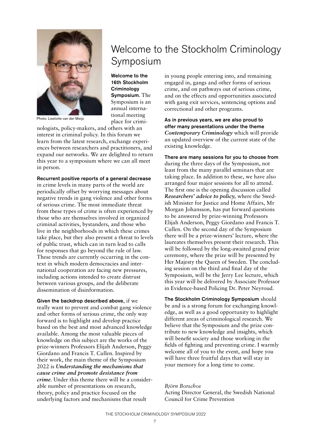

Welcome to the Stockholm Criminology Symposium

Welcome to the 16th Stockholm **Criminology** Symposium. The Symposium is an annual international meeting place for crimi-

Photo: Liselotte van der Meijs

nologists, policy-makers, and others with an interest in criminal policy. In this forum we learn from the latest research, exchange experiences between researchers and practitioners, and expand our networks. We are delighted to return this year to a symposium where we can all meet in person.

Recurrent positive reports of a general decrease

in crime levels in many parts of the world are periodically offset by worrying messages about negative trends in gang violence and other forms of serious crime. The most immediate threat from these types of crime is often experienced by those who are themselves involved in organized criminal activities, bystanders, and those who live in the neighborhoods in which these crimes take place, but they also present a threat to levels of public trust, which can in turn lead to calls for responses that go beyond the rule of law. These trends are currently occurring in the context in which modern democracies and international cooperation are facing new pressures, including actions intended to create distrust between various groups, and the deliberate dissemination of disinformation.

Given the backdrop described above, if we really want to prevent and combat gang violence and other forms of serious crime, the only way forward is to highlight and develop practice based on the best and most advanced knowledge available. Among the most valuable pieces of knowledge on this subject are the works of the prize-winners Professors Elijah Anderson, Peggy Giordano and Francis T. Cullen. Inspired by their work, the main theme of the Symposium 2022 is *Understanding the mechanisms that cause crime and promote desistance from crime*. Under this theme there will be a considerable number of presentations on research, theory, policy and practice focused on the underlying factors and mechanisms that result

in young people entering into, and remaining engaged in, gangs and other forms of serious crime, and on pathways out of serious crime, and on the effects and opportunities associated with gang exit services, sentencing options and correctional and other programs.

As in previous years, we are also proud to offer many presentations under the theme *Contemporary Criminology* which will provide an updated overview of the current state of the existing knowledge.

There are many sessions for you to choose from during the three days of the Symposium, not least from the many parallel seminars that are taking place. In addition to these, we have also arranged four major sessions for all to attend. The first one is the opening discussion called *Researchers' advice to policy,* where the Swedish Minister for Justice and Home Affairs, Mr Morgan Johansson, has put forward questions to be answered by prize-winning Professors Elijah Anderson, Peggy Giordano and Francis T. Cullen. On the second day of the Symposium there will be a prize-winners' lecture, where the laureates themselves present their research. This will be followed by the long-awaited grand prize ceremony, where the prize will be presented by Her Majesty the Queen of Sweden. The concluding session on the third and final day of the Symposium, will be the Jerry Lee lecture, which this year will be delivered by Associate Professor in Evidence-based Policing Dr. Peter Neyroud.

The Stockholm Criminology Symposium should be and is a strong forum for exchanging knowledge, as well as a good opportunity to highlight different areas of criminological research. We believe that the Symposium and the prize contribute to new knowledge and insights, which will benefit society and those working in the fields of fighting and preventing crime. I warmly welcome all of you to the event, and hope you will have three fruitful days that will stay in your memory for a long time to come.

#### *Björn Borschos*

Acting Director General, the Swedish National Council for Crime Prevention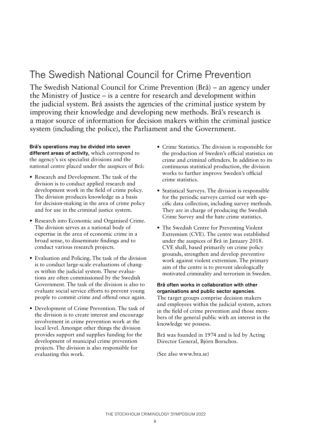# The Swedish National Council for Crime Prevention

The Swedish National Council for Crime Prevention (Brå) – an agency under the Ministry of Justice – is a centre for research and development within the judicial system. Brå assists the agencies of the criminal justice system by improving their knowledge and developing new methods. Brå's research is a major source of information for decision makers within the criminal justice system (including the police), the Parliament and the Government.

Brå's operations may be divided into seven different areas of activity, which correspond to the agency's six specialist divisions and the national centre placed under the auspices of Brå:

- Research and Development. The task of the division is to conduct applied research and development work in the field of crime policy. The division produces knowledge as a basis for decision-making in the area of crime policy and for use in the criminal justice system.
- Research into Economic and Organised Crime. The division serves as a national body of expertise in the area of economic crime in a broad sense, to disseminate findings and to conduct various research projects.
- Evaluation and Policing. The task of the division is to conduct large-scale evaluations of changes within the judicial system. These evaluations are often commissioned by the Swedish Government. The task of the division is also to evaluate social service efforts to prevent young people to commit crime and offend once again.
- Development of Crime Prevention. The task of the division is to create interest and encourage involvement in crime prevention work at the local level. Amongst other things the division provides support and supplies funding for the development of municipal crime prevention projects. The division is also responsible for evaluating this work.
- Crime Statistics. The division is responsible for the production of Sweden's official statistics on crime and criminal offenders. In addition to its continuous statistical production, the division works to further improve Sweden's official crime statistics.
- Statistical Surveys. The division is responsible for the periodic surveys carried out with specific data collection, including survey methods. They are in charge of producing the Swedish Crime Survey and the hate crime statistics.
- The Swedish Centre for Preventing Violent Extremism (CVE). The centre was established under the auspices of Brå in January 2018. CVE shall, based primarily on crime policy grounds, strengthen and develop preventive work against violent extremism. The primary aim of the centre is to prevent ideologically motivated criminality and terrorism in Sweden.

Brå often works in collaboration with other organisations and public sector agencies. The target groups comprise decision makers and employees within the judicial system, actors in the field of crime prevention and those members of the general public with an interest in the knowledge we possess.

Brå was founded in 1974 and is led by Acting Director General, Björn Borschos.

(See also www.bra.se)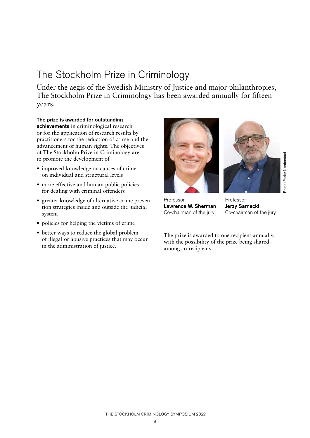# Photo: Peder Nordenstad Photo: Peder Nordenstad

# The Stockholm Prize in Criminology

Under the aegis of the Swedish Ministry of Justice and major philanthropies, The Stockholm Prize in Criminology has been awarded annually for fifteen years.

The prize is awarded for outstanding achievements in criminological research or for the application of research results by practitioners for the reduction of crime and the advancement of human rights. The objectives of The Stockholm Prize in Criminology are to promote the development of

- improved knowledge on causes of crime on individual and structural levels
- more effective and human public policies for dealing with criminal offenders
- greater knowledge of alternative crime prevention strategies inside and outside the judicial system
- policies for helping the victims of crime
- better ways to reduce the global problem of illegal or abusive practices that may occur in the administration of justice.





Professor Lawrence W. Sherman Co-chairman of the jury

Professor Jerzy Sarnecki Co-chairman of the jury

The prize is awarded to one recipient annually, with the possibility of the prize being shared among co-recipients.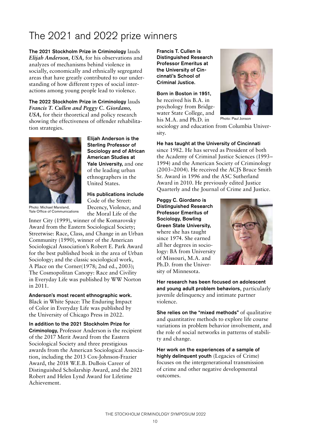# The 2021 and 2022 prize winners

The 2021 Stockholm Prize in Criminology lauds *Elijah Anderson, USA,* for his observations and analyzes of mechanisms behind violence in socially, economically and ethnically segregated areas that have greatly contributed to our understanding of how different types of social interactions among young people lead to violence.

The 2022 Stockholm Prize in Criminology lauds *Francis T. Cullen and Peggy C. Giordano, USA,* for their theoretical and policy research showing the effectiveness of offender rehabilitation strategies.



Elijah Anderson is the Sterling Professor of Sociology and of African American Studies at Yale University, and one of the leading urban ethnographers in the United States.

Photo: Michael Marsland, Yale Office of Communications

His publications include Code of the Street: Decency, Violence, and the Moral Life of the

Inner City (1999), winner of the Komarovsky Award from the Eastern Sociological Society; Streetwise: Race, Class, and Change in an Urban Community (1990), winner of the American Sociological Association's Robert E. Park Award for the best published book in the area of Urban Sociology; and the classic sociological work, A Place on the Corner(1978; 2nd ed., 2003); The Cosmopolitan Canopy: Race and Civility in Everyday Life was published by WW Norton in 2011.

Anderson's most recent ethnographic work. Black in White Space: The Enduring Impact of Color in Everyday Life was published by the University of Chicago Press in 2022.

In addition to the 2021 Stockholm Prize for Criminology, Professor Anderson is the recipient of the 2017 Merit Award from the Eastern Sociological Society and three prestigious awards from the American Sociological Association, including the 2013 Cox-Johnson-Frazier Award, the 2018 W.E.B. DuBois Career of Distinguished Scholarship Award, and the 2021 Robert and Helen Lynd Award for Lifetime Achievement.

Francis T. Cullen is Distinguished Research Professor Emeritus at the University of Cincinnati's School of Criminal Justice.

Born in Boston in 1951, he received his B.A. in psychology from Bridgewater State College, and his M.A. and Ph.D. in



Photo: Paul Jonson

sociology and education from Columbia University.

He has taught at the University of Cincinnati since 1982. He has served as President of both the Academy of Criminal Justice Sciences (1993– 1994) and the American Society of Criminology (2003–2004). He received the ACJS Bruce Smith Sr. Award in 1996 and the ASC Sutherland Award in 2010. He previously edited Justice Quarterly and the Journal of Crime and Justice.

Peggy C. Giordano is Distinguished Research Professor Emeritus of Sociology, Bowling Green State University, where she has taught since 1974. She earned all her degrees in sociology: BA from University of Missouri, M.A. and Ph.D. from the University of Minnesota.



Her research has been focused on adolescent and young adult problem behaviors, particularly juvenile delinquency and intimate partner violence.

She relies on the "mixed methods" of qualitative and quantitative methods to explore life course variations in problem behavior involvement, and the role of social networks in patterns of stability and change.

Her work on the experiences of a sample of highly delinquent youth (Legacies of Crime) focuses on the intergenerational transmission of crime and other negative developmental outcomes.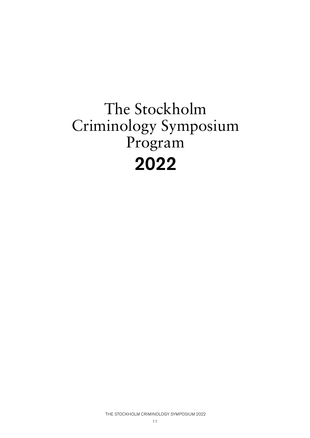# The Stockholm Criminology Symposium Program 2022

THE STOCKHOLM CRIMINOLOGY SYMPOSIUM 2022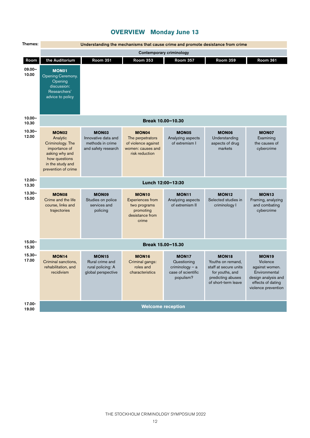## **OVERVIEW Monday June 13**

| Themes:            | Understanding the mechanisms that cause crime and promote desistance from crime                                                             |                                                                                     |                                                                                                  |                                                                                     |                                                                                                                           |                                                                                                                                |
|--------------------|---------------------------------------------------------------------------------------------------------------------------------------------|-------------------------------------------------------------------------------------|--------------------------------------------------------------------------------------------------|-------------------------------------------------------------------------------------|---------------------------------------------------------------------------------------------------------------------------|--------------------------------------------------------------------------------------------------------------------------------|
|                    | Contemporary criminology                                                                                                                    |                                                                                     |                                                                                                  |                                                                                     |                                                                                                                           |                                                                                                                                |
| Room               | the Auditorium                                                                                                                              | Room 351                                                                            | <b>Room 353</b>                                                                                  | <b>Room 357</b>                                                                     | <b>Room 359</b>                                                                                                           | <b>Room 361</b>                                                                                                                |
| $09.00 -$<br>10.00 | <b>MON01</b><br><b>Opening Ceremony.</b><br>Opening<br>discussion:<br>Researchers'<br>advice to policy                                      |                                                                                     |                                                                                                  |                                                                                     |                                                                                                                           |                                                                                                                                |
| $10.00 -$<br>10.30 |                                                                                                                                             |                                                                                     | Break 10.00-10.30                                                                                |                                                                                     |                                                                                                                           |                                                                                                                                |
| $10.30 -$<br>12.00 | <b>MON02</b><br>Analytic<br>Criminology. The<br>importance of<br>asking why and<br>how questions<br>in the study and<br>prevention of crime | MON <sub>03</sub><br>Innovative data and<br>methods in crime<br>and safety research | MON04<br>The perpetrators<br>of violence against<br>women: causes and<br>risk reduction          | <b>MON05</b><br>Analyzing aspects<br>of extremism I                                 | <b>MON06</b><br>Understanding<br>aspects of drug<br>markets                                                               | <b>MON07</b><br>Examining<br>the causes of<br>cybercrime                                                                       |
| $12.00 -$<br>13.30 |                                                                                                                                             |                                                                                     | Lunch 12:00-13:30                                                                                |                                                                                     |                                                                                                                           |                                                                                                                                |
| $13.30 -$<br>15.00 | <b>MON08</b><br>Crime and the life<br>course, links and<br>trajectories                                                                     | MON09<br>Studies on police<br>services and<br>policing                              | <b>MON10</b><br><b>Experiences</b> from<br>two programs<br>promoting<br>desistance from<br>crime | <b>MON11</b><br>Analyzing aspects<br>of extremism II                                | <b>MON12</b><br>Selected studies in<br>criminology I                                                                      | <b>MON13</b><br>Framing, analyzing<br>and combating<br>cybercrime                                                              |
| $15.00 -$<br>15.30 | Break 15.00-15.30                                                                                                                           |                                                                                     |                                                                                                  |                                                                                     |                                                                                                                           |                                                                                                                                |
| $15.30 -$<br>17.00 | <b>MON14</b><br>Criminal sanctions,<br>rehabilitation, and<br>recidivism                                                                    | <b>MON15</b><br>Rural crime and<br>rural policing: A<br>global perspective          | <b>MON16</b><br>Criminal gangs:<br>roles and<br>characteristics                                  | <b>MON17</b><br>Questioning<br>$criminology - a$<br>case of scientific<br>populism? | <b>MON18</b><br>Youths on remand.<br>staff at secure units<br>for youths, and<br>predicting abuses<br>of short-term leave | <b>MON19</b><br>Violence<br>against women.<br>Environmental<br>design analysis and<br>effects of dating<br>violence prevention |
| 17.00-<br>19.00    | <b>Welcome reception</b>                                                                                                                    |                                                                                     |                                                                                                  |                                                                                     |                                                                                                                           |                                                                                                                                |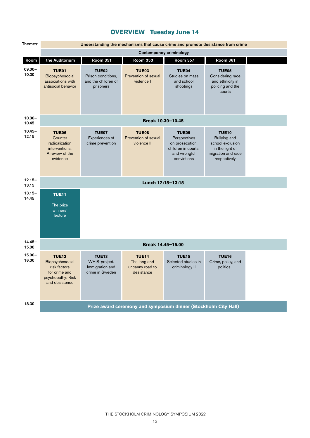### **OVERVIEW Tuesday June 14**

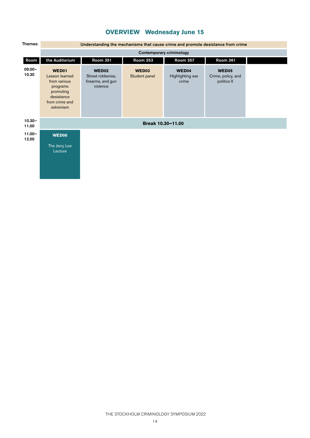|  | <b>OVERVIEW Wednesday June 15</b> |  |  |
|--|-----------------------------------|--|--|
|--|-----------------------------------|--|--|

| Themes:            |                                                                                                               | Understanding the mechanisms that cause crime and promote desistance from crime |                                    |                                    |                                                   |  |
|--------------------|---------------------------------------------------------------------------------------------------------------|---------------------------------------------------------------------------------|------------------------------------|------------------------------------|---------------------------------------------------|--|
|                    | Contemporary criminology                                                                                      |                                                                                 |                                    |                                    |                                                   |  |
| Room               | the Auditorium                                                                                                | <b>Room 351</b>                                                                 | <b>Room 353</b>                    | <b>Room 357</b>                    | <b>Room 361</b>                                   |  |
| $09.00 -$<br>10.30 | WED01<br>Lesson learned<br>from various<br>programs<br>promoting<br>desistance<br>from crime and<br>extremism | WED02<br>Street robberies,<br>firearms, and gun<br>violence                     | WED <sub>03</sub><br>Student panel | WED04<br>Highlighting sex<br>crime | <b>WED05</b><br>Crime, policy, and<br>politics II |  |
| $10.30 -$<br>11.00 |                                                                                                               | Break 10.30-11.00                                                               |                                    |                                    |                                                   |  |
| $11.00 -$<br>12.00 | WED06                                                                                                         |                                                                                 |                                    |                                    |                                                   |  |
|                    | The Jerry Lee<br>Lecture                                                                                      |                                                                                 |                                    |                                    |                                                   |  |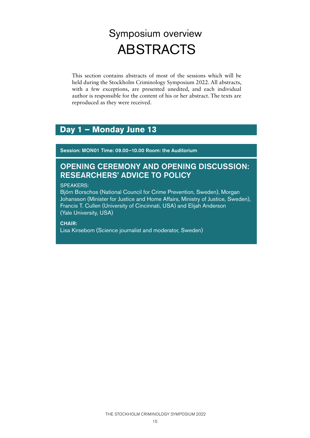# Symposium overview ABSTRACTS

This section contains abstracts of most of the sessions which will be held during the Stockholm Criminology Symposium 2022. All abstracts, with a few exceptions, are presented unedited, and each individual author is responsible for the content of his or her abstract. The texts are reproduced as they were received.

## **Day 1 – Monday June 13**

Session: MON01 Time: 09.00–10.00 Room: the Auditorium

# OPENING CEREMONY AND OPENING DISCUSSION: RESEARCHERS' ADVICE TO POLICY

#### SPEAKERS:

Björn Borschos (National Council for Crime Prevention, Sweden), Morgan Johansson (Minister for Justice and Home Affairs, Ministry of Justice, Sweden), Francis T. Cullen (University of Cincinnati, USA) and Elijah Anderson (Yale University, USA)

#### CHAIR:

Lisa Kirsebom (Science journalist and moderator, Sweden)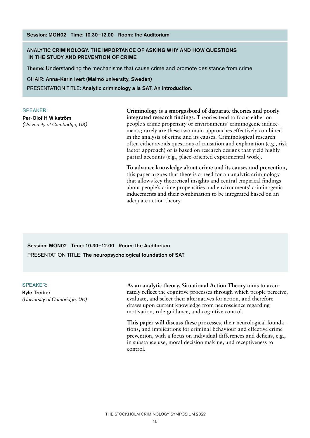Session: MON02 Time: 10.30–12.00 Room: the Auditorium

#### ANALYTIC CRIMINOLOGY. THE IMPORTANCE OF ASKING WHY AND HOW QUESTIONS IN THE STUDY AND PREVENTION OF CRIME

Theme: Understanding the mechanisms that cause crime and promote desistance from crime

CHAIR: Anna-Karin Ivert (Malmö university, Sweden)

PRESENTATION TITLE: Analytic criminology a la SAT. An introduction.

SPEAKER: Per-Olof H Wikström *(University of Cambridge, UK)* **Criminology is a smorgasbord of disparate theories and poorly integrated research findings.** Theories tend to focus either on people's crime propensity or environments' criminogenic inducements; rarely are these two main approaches effectively combined in the analysis of crime and its causes. Criminological research often either avoids questions of causation and explanation (e.g., risk factor approach) or is based on research designs that yield highly partial accounts (e.g., place-oriented experimental work).

**To advance knowledge about crime and its causes and prevention,** this paper argues that there is a need for an analytic criminology that allows key theoretical insights and central empirical findings about people's crime propensities and environments' criminogenic inducements and their combination to be integrated based on an adequate action theory.

Session: MON02 Time: 10.30–12.00 Room: the Auditorium PRESENTATION TITLE: The neuropsychological foundation of SAT

SPEAKER:

Kyle Treiber *(University of Cambridge, UK)* **As an analytic theory, Situational Action Theory aims to accurately reflect** the cognitive processes through which people perceive, evaluate, and select their alternatives for action, and therefore draws upon current knowledge from neuroscience regarding motivation, rule-guidance, and cognitive control.

**This paper will discuss these processes**, their neurological foundations, and implications for criminal behaviour and effective crime prevention, with a focus on individual differences and deficits, e.g., in substance use, moral decision making, and receptiveness to control.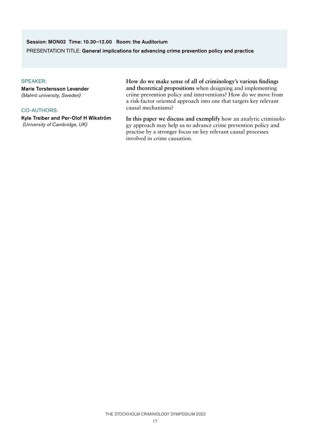### Session: MON02 Time: 10.30–12.00 Room: the Auditorium PRESENTATION TITLE: General implications for advancing crime prevention policy and practice

#### SPEAKER:

Marie Torstensson Levander *(Malmö university, Sweden)* 

#### CO-AUTHORS:

Kyle Treiber and Per-Olof H Wikström  *(University of Cambridge, UK)*

**How do we make sense of all of criminology's various findings and theoretical propositions** when designing and implementing crime prevention policy and interventions? How do we move from a risk-factor oriented approach into one that targets key relevant causal mechanisms?

**In this paper we discuss and exemplify** how an analytic criminology approach may help us to advance crime prevention policy and practise by a stronger focus on key relevant causal processes involved in crime causation.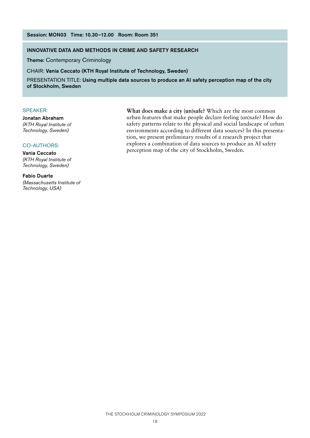#### Session: MON03 Time: 10.30–12.00 Room: Room 351

#### INNOVATIVE DATA AND METHODS IN CRIME AND SAFETY RESEARCH

Theme: Contemporary Criminology

CHAIR: Vania Ceccato (KTH Royal Institute of Technology, Sweden)

PRESENTATION TITLE: Using multiple data sources to produce an AI safety perception map of the city of Stockholm, Sweden

#### SPEAKER:

Jonatan Abraham *(KTH Royal Institute of Technology, Sweden)*

#### CO-AUTHORS:

Vania Ceccato *(KTH Royal Institute of Technology, Sweden)* 

Fabio Duarte *(Massachusetts Institute of Technology, USA)*

**What does make a city (un)safe?** Which are the most common urban features that make people declare feeling (un)safe? How do safety patterns relate to the physical and social landscape of urban environments according to different data sources? In this presentation, we present preliminary results of a research project that explores a combination of data sources to produce an AI safety perception map of the city of Stockholm, Sweden.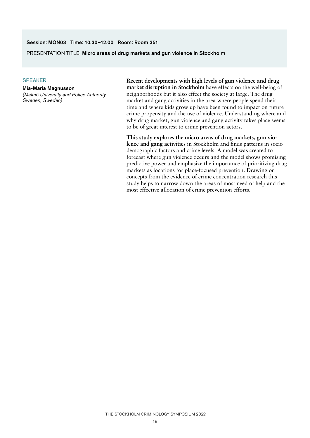#### Session: MON03 Time: 10.30–12.00 Room: Room 351

PRESENTATION TITLE: Micro areas of drug markets and gun violence in Stockholm

#### SPEAKER:

#### Mia-Maria Magnusson

*(Malmö University and Police Authority Sweden, Sweden)*

**Recent developments with high levels of gun violence and drug market disruption in Stockholm** have effects on the well-being of neighborhoods but it also effect the society at large. The drug market and gang activities in the area where people spend their time and where kids grow up have been found to impact on future crime propensity and the use of violence. Understanding where and why drug market, gun violence and gang activity takes place seems to be of great interest to crime prevention actors.

**This study explores the micro areas of drug markets, gun violence and gang activities** in Stockholm and finds patterns in socio demographic factors and crime levels. A model was created to forecast where gun violence occurs and the model shows promising predictive power and emphasize the importance of prioritizing drug markets as locations for place-focused prevention. Drawing on concepts from the evidence of crime concentration research this study helps to narrow down the areas of most need of help and the most effective allocation of crime prevention efforts.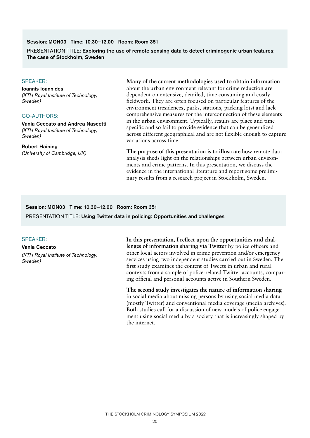#### Session: MON03 Time: 10.30–12.00 Room: Room 351

PRESENTATION TITLE: Exploring the use of remote sensing data to detect criminogenic urban features: The case of Stockholm, Sweden

#### SPEAKER:

Ioannis Ioannides *(KTH Royal Institute of Technology, Sweden)*

#### CO-AUTHORS:

Vania Ceccato and Andrea Nascetti *(KTH Royal Institute of Technology, Sweden)* 

Robert Haining

*(University of Cambridge, UK)*

**Many of the current methodologies used to obtain information** about the urban environment relevant for crime reduction are dependent on extensive, detailed, time consuming and costly fieldwork. They are often focused on particular features of the environment (residences, parks, stations, parking lots) and lack comprehensive measures for the interconnection of these elements in the urban environment. Typically, results are place and time specific and so fail to provide evidence that can be generalized across different geographical and are not flexible enough to capture variations across time.

**The purpose of this presentation is to illustrate** how remote data analysis sheds light on the relationships between urban environments and crime patterns. In this presentation, we discuss the evidence in the international literature and report some preliminary results from a research project in Stockholm, Sweden.

### Session: MON03 Time: 10.30–12.00 Room: Room 351 PRESENTATION TITLE: Using Twitter data in policing: Opportunities and challenges

#### SPEAKER:

Vania Ceccato

*(KTH Royal Institute of Technology, Sweden)* 

**In this presentation, I reflect upon the opportunities and challenges of information sharing via Twitter** by police officers and other local actors involved in crime prevention and/or emergency services using two independent studies carried out in Sweden. The first study examines the content of Tweets in urban and rural contexts from a sample of police-related Twitter accounts, comparing official and personal accounts active in Southern Sweden.

**The second study investigates the nature of information sharing** in social media about missing persons by using social media data (mostly Twitter) and conventional media coverage (media archives). Both studies call for a discussion of new models of police engagement using social media by a society that is increasingly shaped by the internet.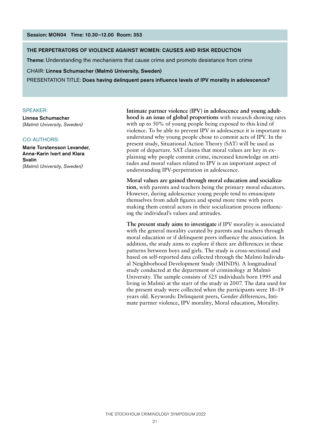#### THE PERPETRATORS OF VIOLENCE AGAINST WOMEN: CAUSES AND RISK REDUCTION

Theme: Understanding the mechanisms that cause crime and promote desistance from crime

CHAIR: Linnea Schumacher (Malmö University, Sweden)

PRESENTATION TITLE: Does having delinquent peers influence levels of IPV morality in adolescence?

#### SPEAKER:

Linnea Schumacher *(Malmö University, Sweden)*

#### CO-AUTHORS:

Marie Torstensson Levander, Anna-Karin Ivert and Klara Svalin *(Malmö University, Sweden)*

**Intimate partner violence (IPV) in adolescence and young adulthood is an issue of global proportions** with research showing rates with up to 50% of young people being exposed to this kind of violence. To be able to prevent IPV in adolescence it is important to understand why young people chose to commit acts of IPV. In the present study, Situational Action Theory (SAT) will be used as point of departure. SAT claims that moral values are key in explaining why people commit crime, increased knowledge on attitudes and moral values related to IPV is an important aspect of understanding IPV-perpetration in adolescence.

**Moral values are gained through moral education and socialization**, with parents and teachers being the primary moral educators. However, during adolescence young people tend to emancipate themselves from adult figures and spend more time with peers making them central actors in their socialization process influencing the individual's values and attitudes.

**The present study aims to investigate** if IPV morality is associated with the general morality curated by parents and teachers through moral education or if delinquent peers influence the association. In addition, the study aims to explore if there are differences in these patterns between boys and girls. The study is cross-sectional and based on self-reported data collected through the Malmö Individual Neighborhood Development Study (MINDS). A longitudinal study conducted at the department of criminology at Malmö University. The sample consists of 525 individuals born 1995 and living in Malmö at the start of the study in 2007. The data used for the present study were collected when the participants were 18–19 years old. Keywords: Delinquent peers, Gender differences, Intimate partner violence, IPV morality, Moral education, Morality.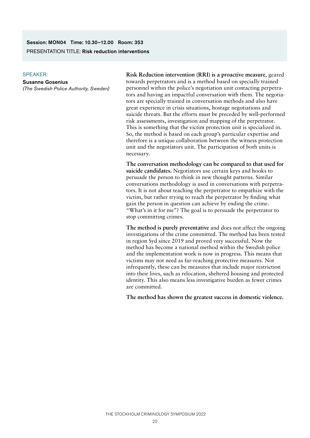### Session: MON04 Time: 10.30–12.00 Room: 353 PRESENTATION TITLE: Risk reduction interventions

#### SPEAKER:

#### Susanne Gosenius

*(The Swedish Police Authority, Sweden)*

**Risk Reduction intervention (RRI) is a proactive measure**, geared towards perpetrators and is a method based on specially trained personnel within the police's negotiation unit contacting perpetrators and having an impactful conversation with them. The negotiators are specially trained in conversation methods and also have great experience in crisis situations, hostage negotiations and suicide threats. But the efforts must be preceded by well-performed risk assessments, investigation and mapping of the perpetrator. This is something that the victim protection unit is specialized in. So, the method is based on each group's particular expertise and therefore is a unique collaboration between the witness protection unit and the negotiators unit. The participation of both units is necessary.

**The conversation methodology can be compared to that used for suicide candidates.** Negotiators use certain keys and hooks to persuade the person to think in new thought patterns. Similar conversations methodology is used in conversations with perpetrators. It is not about teaching the perpetrator to empathize with the victim, but rather trying to reach the perpetrator by finding what gain the person in question can achieve by ending the crime. "What's in it for me"? The goal is to persuade the perpetrator to stop committing crimes.

**The method is purely preventative** and does not affect the ongoing investigations of the crime committed. The method has been tested in region Syd since 2019 and proved very successful. Now the method has become a national method within the Swedish police and the implementation work is now in progress. This means that victims may not need as far-reaching protective measures. Not infrequently, these can be measures that include major restriction into their lives, such as relocation, sheltered housing and protected identity. This also means less investigative burden as fewer crimes are committed.

**The method has shown the greatest success in domestic violence.**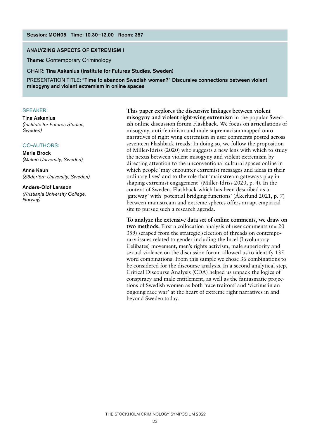#### Session: MON05 Time: 10.30–12.00 Room: 357

#### ANALYZING ASPECTS OF EXTREMISM I

Theme: Contemporary Criminology

CHAIR: Tina Askanius (Institute for Futures Studies, Sweden)

PRESENTATION TITLE: "Time to abandon Swedish women?" Discursive connections between violent misogyny and violent extremism in online spaces

#### SPEAKER:

Tina Askanius *(Institute for Futures Studies, Sweden)*

#### CO-AUTHORS:

Maria Brock *(Malmö University, Sweden),*

Anne Kaun *(Södertörn University, Sweden),* 

Anders-Olof Larsson *(Kristiania University College, Norway)* 

**This paper explores the discursive linkages between violent misogyny and violent right-wing extremism** in the popular Swedish online discussion forum Flashback. We focus on articulations of misogyny, anti-feminism and male supremacism mapped onto narratives of right wing extremism in user comments posted across seventeen Flashback-treads. In doing so, we follow the proposition of Miller-Idriss (2020) who suggests a new lens with which to study the nexus between violent misogyny and violent extremism by directing attention to the unconventional cultural spaces online in which people 'may encounter extremist messages and ideas in their ordinary lives' and to the role that 'mainstream gateways play in shaping extremist engagement' (Miller-Idriss 2020, p. 4). In the context of Sweden, Flashback which has been described as a 'gateway' with 'potential bridging functions' (Åkerlund 2021, p. 7) between mainstream and extreme spheres offers an apt empirical site to pursue such a research agenda.

**To analyze the extensive data set of online comments, we draw on two methods.** First a collocation analysis of user comments (n= 20) 359) scraped from the strategic selection of threads on contemporary issues related to gender including the Incel (Involuntary Celibates) movement, men's rights activism, male superiority and sexual violence on the discussion forum allowed us to identify 135 word combinations. From this sample we chose 36 combinations to be considered for the discourse analysis. In a second analytical step, Critical Discourse Analysis (CDA) helped us unpack the logics of conspiracy and male entitlement, as well as the fantasmatic projections of Swedish women as both 'race traitors' and 'victims in an ongoing race war' at the heart of extreme right narratives in and beyond Sweden today.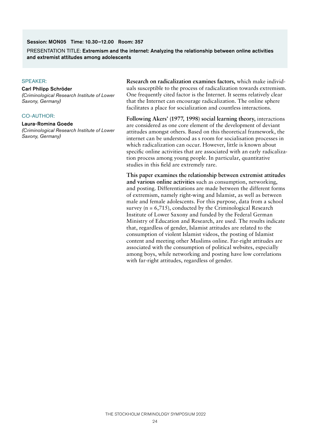#### Session: MON05 Time: 10.30–12.00 Room: 357

PRESENTATION TITLE: Extremism and the internet: Analyzing the relationship between online activities and extremist attitudes among adolescents

#### SPEAKER:

#### Carl Philipp Schröder

*(Criminological Research Institute of Lower Saxony, Germany)*

#### CO-AUTHOR:

#### Laura-Romina Goede

*(Criminological Research Institute of Lower Saxony, Germany)*

**Research on radicalization examines factors,** which make individuals susceptible to the process of radicalization towards extremism. One frequently cited factor is the Internet. It seems relatively clear that the Internet can encourage radicalization. The online sphere facilitates a place for socialization and countless interactions.

**Following Akers' (1977, 1998) social learning theory,** interactions are considered as one core element of the development of deviant attitudes amongst others. Based on this theoretical framework, the internet can be understood as s room for socialisation processes in which radicalization can occur. However, little is known about specific online activities that are associated with an early radicalization process among young people. In particular, quantitative studies in this field are extremely rare.

**This paper examines the relationship between extremist attitudes and various online activities** such as consumption, networking, and posting. Differentiations are made between the different forms of extremism, namely right-wing and Islamist, as well as between male and female adolescents. For this purpose, data from a school survey  $(n = 6.715)$ , conducted by the Criminological Research Institute of Lower Saxony and funded by the Federal German Ministry of Education and Research, are used. The results indicate that, regardless of gender, Islamist attitudes are related to the consumption of violent Islamist videos, the posting of Islamist content and meeting other Muslims online. Far-right attitudes are associated with the consumption of political websites, especially among boys, while networking and posting have low correlations with far-right attitudes, regardless of gender.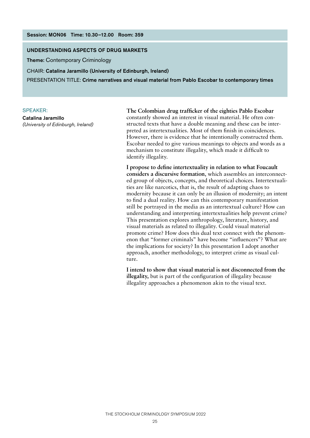#### UNDERSTANDING ASPECTS OF DRUG MARKETS

Theme: Contemporary Criminology

CHAIR: Catalina Jaramillo (University of Edinburgh, Ireland)

PRESENTATION TITLE: Crime narratives and visual material from Pablo Escobar to contemporary times

#### SPEAKER:

Catalina Jaramillo *(University of Edinburgh, Ireland)* **The Colombian drug trafficker of the eighties Pablo Escobar** constantly showed an interest in visual material. He often constructed texts that have a double meaning and these can be interpreted as intertextualities. Most of them finish in coincidences. However, there is evidence that he intentionally constructed them. Escobar needed to give various meanings to objects and words as a mechanism to constitute illegality, which made it difficult to identify illegality.

**I propose to define intertextuality in relation to what Foucault considers a discursive formation**, which assembles an interconnected group of objects, concepts, and theoretical choices. Intertextualities are like narcotics, that is, the result of adapting chaos to modernity because it can only be an illusion of modernity; an intent to find a dual reality. How can this contemporary manifestation still be portrayed in the media as an intertextual culture? How can understanding and interpreting intertextualities help prevent crime? This presentation explores anthropology, literature, history, and visual materials as related to illegality. Could visual material promote crime? How does this dual text connect with the phenomenon that "former criminals" have become "influencers"? What are the implications for society? In this presentation I adopt another approach, another methodology, to interpret crime as visual culture.

**I intend to show that visual material is not disconnected from the illegality,** but is part of the configuration of illegality because illegality approaches a phenomenon akin to the visual text.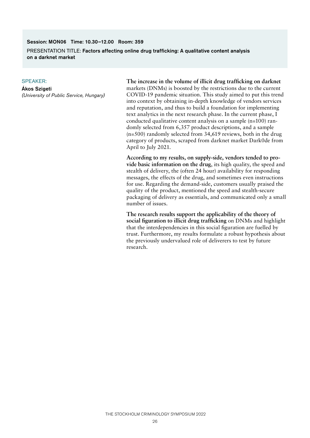#### Session: MON06 Time: 10.30–12.00 Room: 359

PRESENTATION TITLE: Factors affecting online drug trafficking: A qualitative content analysis on a darknet market

#### SPEAKER:

## Ákos Szigeti

*(University of Public Service, Hungary)*

**The increase in the volume of illicit drug trafficking on darknet** markets (DNMs) is boosted by the restrictions due to the current COVID-19 pandemic situation. This study aimed to put this trend into context by obtaining in-depth knowledge of vendors services and reputation, and thus to build a foundation for implementing text analytics in the next research phase. In the current phase, I conducted qualitative content analysis on a sample (n=100) randomly selected from 6,357 product descriptions, and a sample (n=500) randomly selected from 34,619 reviews, both in the drug category of products, scraped from darknet market Dark0de from April to July 2021.

**According to my results, on supply-side, vendors tended to provide basic information on the drug**, its high quality, the speed and stealth of delivery, the (often 24 hour) availability for responding messages, the effects of the drug, and sometimes even instructions for use. Regarding the demand-side, customers usually praised the quality of the product, mentioned the speed and stealth-secure packaging of delivery as essentials, and communicated only a small number of issues.

**The research results support the applicability of the theory of social figuration to illicit drug trafficking** on DNMs and highlight that the interdependencies in this social figuration are fuelled by trust. Furthermore, my results formulate a robust hypothesis about the previously undervalued role of deliverers to test by future research.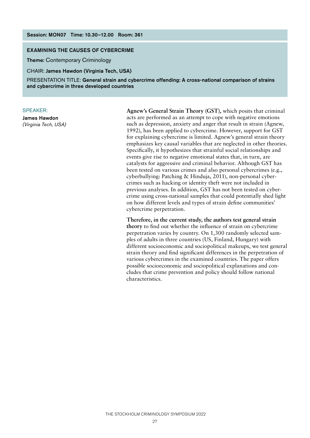#### EXAMINING THE CAUSES OF CYBERCRIME

Theme: Contemporary Criminology

CHAIR: James Hawdon (Virginia Tech, USA)

PRESENTATION TITLE: General strain and cybercrime offending: A cross-national comparison of strains and cybercrime in three developed countries

#### SPEAKER:

James Hawdon *(Virginia Tech, USA)* **Agnew's General Strain Theory (GST),** which posits that criminal acts are performed as an attempt to cope with negative emotions such as depression, anxiety and anger that result in strain (Agnew, 1992), has been applied to cybercrime. However, support for GST for explaining cybercrime is limited. Agnew's general strain theory emphasizes key causal variables that are neglected in other theories. Specifically, it hypothesizes that strainful social relationships and events give rise to negative emotional states that, in turn, are catalysts for aggressive and criminal behavior. Although GST has been tested on various crimes and also personal cybercrimes (e.g., cyberbullying: Patching & Hinduja, 2011), non-personal cybercrimes such as hacking or identity theft were not included in previous analyses. In addition, GST has not been tested on cybercrime using cross-national samples that could potentially shed light on how different levels and types of strain define communities' cybercrime perpetration.

**Therefore, in the current study, the authors test general strain theory** to find out whether the influence of strain on cybercrime perpetration varies by country. On 1,300 randomly selected samples of adults in three countries (US, Finland, Hungary) with different socioeconomic and sociopolitical makeups, we test general strain theory and find significant differences in the perpetration of various cybercrimes in the examined countries. The paper offers possible socioeconomic and sociopolitical explanations and concludes that crime prevention and policy should follow national characteristics.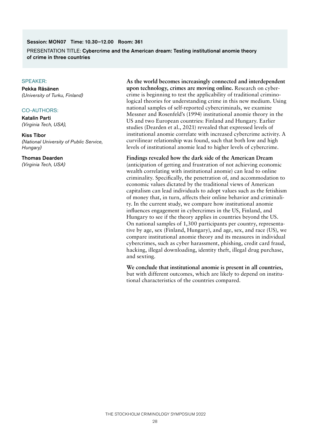#### Session: MON07 Time: 10.30–12.00 Room: 361

PRESENTATION TITLE: Cybercrime and the American dream: Testing institutional anomie theory of crime in three countries

#### SPEAKER:

Pekka Räsänen *(University of Turku, Finland)*

#### CO-AUTHORS:

Katalin Parti *(Virginia Tech, USA),* 

#### Kiss Tibor

*(National University of Public Service, Hungary)*

### Thomas Dearden

*(Virginia Tech, USA)*

**As the world becomes increasingly connected and interdependent upon technology, crimes are moving online.** Research on cybercrime is beginning to test the applicability of traditional criminological theories for understanding crime in this new medium. Using national samples of self-reported cybercriminals, we examine Messner and Rosenfeld's (1994) institutional anomie theory in the US and two European countries: Finland and Hungary. Earlier studies (Dearden et al., 2021) revealed that expressed levels of institutional anomie correlate with increased cybercrime activity. A curvilinear relationship was found, such that both low and high levels of institutional anomie lead to higher levels of cybercrime.

## **Findings revealed how the dark side of the American Dream**

(anticipation of getting and frustration of not achieving economic wealth correlating with institutional anomie) can lead to online criminality. Specifically, the penetration of, and accommodation to economic values dictated by the traditional views of American capitalism can lead individuals to adopt values such as the fetishism of money that, in turn, affects their online behavior and criminality. In the current study, we compare how institutional anomie influences engagement in cybercrimes in the US, Finland, and Hungary to see if the theory applies in countries beyond the US. On national samples of 1,300 participants per country, representative by age, sex (Finland, Hungary), and age, sex, and race (US), we compare institutional anomie theory and its measures in individual cybercrimes, such as cyber harassment, phishing, credit card fraud, hacking, illegal downloading, identity theft, illegal drug purchase, and sexting.

**We conclude that institutional anomie is present in all countries,** but with different outcomes, which are likely to depend on institutional characteristics of the countries compared.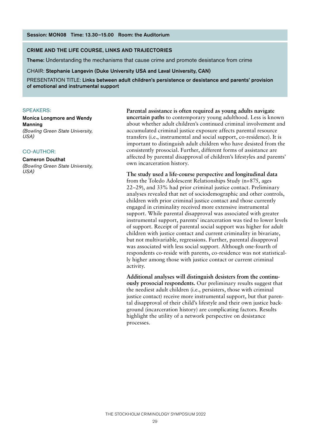Session: MON08 Time: 13.30–15.00 Room: the Auditorium

#### CRIME AND THE LIFE COURSE, LINKS AND TRAJECTORIES

Theme: Understanding the mechanisms that cause crime and promote desistance from crime

CHAIR: Stephanie Langevin (Duke University USA and Laval University, CAN)

PRESENTATION TITLE: Links between adult children's persistence or desistance and parents' provision of emotional and instrumental support

#### SPEAKERS:

Monica Longmore and Wendy Manning *(Bowling Green State University, USA)*

#### CO-AUTHOR:

Cameron Douthat *(Bowling Green State University, USA)*

**Parental assistance is often required as young adults navigate uncertain paths** to contemporary young adulthood. Less is known about whether adult children's continued criminal involvement and accumulated criminal justice exposure affects parental resource transfers (i.e., instrumental and social support, co-residence). It is important to distinguish adult children who have desisted from the consistently prosocial. Further, different forms of assistance are affected by parental disapproval of children's lifestyles and parents' own incarceration history.

**The study used a life-course perspective and longitudinal data** from the Toledo Adolescent Relationships Study (n=875, ages 22–29), and 33% had prior criminal justice contact. Preliminary analyses revealed that net of sociodemographic and other controls, children with prior criminal justice contact and those currently engaged in criminality received more extensive instrumental support. While parental disapproval was associated with greater instrumental support, parents' incarceration was tied to lower levels of support. Receipt of parental social support was higher for adult children with justice contact and current criminality in bivariate, but not multivariable, regressions. Further, parental disapproval was associated with less social support. Although one-fourth of respondents co-reside with parents, co-residence was not statistically higher among those with justice contact or current criminal activity.

**Additional analyses will distinguish desisters from the continuously prosocial respondents.** Our preliminary results suggest that the neediest adult children (i.e., persisters, those with criminal justice contact) receive more instrumental support, but that parental disapproval of their child's lifestyle and their own justice background (incarceration history) are complicating factors. Results highlight the utility of a network perspective on desistance processes.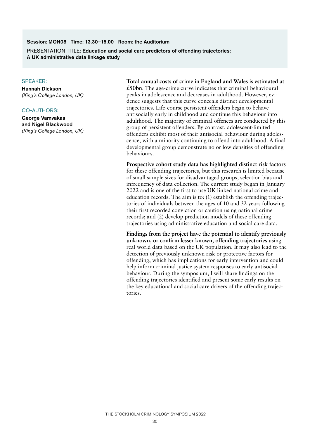#### Session: MON08 Time: 13.30–15.00 Room: the Auditorium

PRESENTATION TITLE: Education and social care predictors of offending trajectories: A UK administrative data linkage study

#### SPEAKER:

Hannah Dickson *(King's College London, UK)*

#### CO-AUTHORS:

George Vamvakas and Nigel Blackwood *(King's College London, UK)* **Total annual costs of crime in England and Wales is estimated at £50bn**. The age-crime curve indicates that criminal behavioural peaks in adolescence and decreases in adulthood. However, evidence suggests that this curve conceals distinct developmental trajectories. Life-course persistent offenders begin to behave antisocially early in childhood and continue this behaviour into adulthood. The majority of criminal offences are conducted by this group of persistent offenders. By contrast, adolescent-limited offenders exhibit most of their antisocial behaviour during adolescence, with a minority continuing to offend into adulthood. A final developmental group demonstrate no or low densities of offending behaviours.

**Prospective cohort study data has highlighted distinct risk factors**  for these offending trajectories, but this research is limited because of small sample sizes for disadvantaged groups, selection bias and infrequency of data collection. The current study began in January 2022 and is one of the first to use UK linked national crime and education records. The aim is to: (1) establish the offending trajectories of individuals between the ages of 10 and 32 years following their first recorded conviction or caution using national crime records; and (2) develop prediction models of these offending trajectories using administrative education and social care data.

**Findings from the project have the potential to identify previously unknown, or confirm lesser known, offending trajectories** using real world data based on the UK population. It may also lead to the detection of previously unknown risk or protective factors for offending, which has implications for early intervention and could help inform criminal justice system responses to early antisocial behaviour. During the symposium, I will share findings on the offending trajectories identified and present some early results on the key educational and social care drivers of the offending trajectories.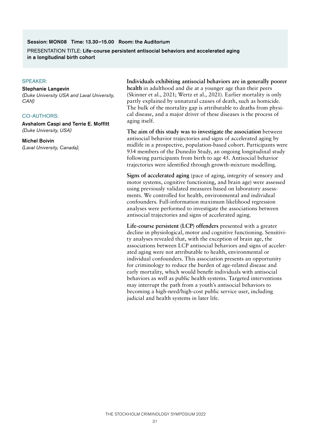#### Session: MON08 Time: 13.30–15.00 Room: the Auditorium

PRESENTATION TITLE: Life-course persistent antisocial behaviors and accelerated aging in a longitudinal birth cohort

#### SPEAKER:

#### Stephanie Langevin

*(Duke University USA and Laval University, CAN)*

#### CO-AUTHORS:

Avshalom Caspi and Terrie E. Moffitt *(Duke University, USA)* 

Michel Boivin *(Laval University, Canada),* **Individuals exhibiting antisocial behaviors are in generally poorer health** in adulthood and die at a younger age than their peers (Skinner et al., 2021; Wertz et al., 2021). Earlier mortality is only partly explained by unnatural causes of death, such as homicide. The bulk of the mortality gap is attributable to deaths from physical disease, and a major driver of these diseases is the process of aging itself.

**The aim of this study was to investigate the association** between antisocial behavior trajectories and signs of accelerated aging by midlife in a prospective, population-based cohort. Participants were 934 members of the Dunedin Study, an ongoing longitudinal study following participants from birth to age 45. Antisocial behavior trajectories were identified through growth-mixture modelling.

**Signs of accelerated aging** (pace of aging, integrity of sensory and motor systems, cognitive functioning, and brain age) were assessed using previously validated measures based on laboratory assessments. We controlled for health, environmental and individual confounders. Full-information maximum likelihood regression analyses were performed to investigate the associations between antisocial trajectories and signs of accelerated aging.

**Life-course persistent (LCP) offenders** presented with a greater decline in physiological, motor and cognitive functioning. Sensitivity analyses revealed that, with the exception of brain age, the associations between LCP antisocial behaviors and signs of accelerated aging were not attributable to health, environmental or individual confounders. This association presents an opportunity for criminology to reduce the burden of age-related disease and early mortality, which would benefit individuals with antisocial behaviors as well as public health systems. Targeted interventions may interrupt the path from a youth's antisocial behaviors to becoming a high-need/high-cost public service user, including judicial and health systems in later life.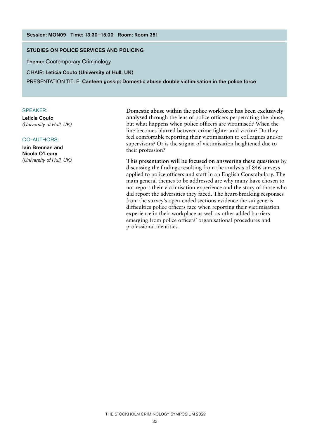Session: MON09 Time: 13.30–15.00 Room: Room 351

#### STUDIES ON POLICE SERVICES AND POLICING

Theme: Contemporary Criminology

CHAIR: Leticia Couto (University of Hull, UK)

PRESENTATION TITLE: Canteen gossip: Domestic abuse double victimisation in the police force

#### SPEAKER:

Leticia Couto *(University of Hull, UK)*

#### CO-AUTHORS:

Iain Brennan and Nicola O'Leary *(University of Hull, UK)* **Domestic abuse within the police workforce has been exclusively analysed** through the lens of police officers perpetrating the abuse, but what happens when police officers are victimised? When the line becomes blurred between crime fighter and victim? Do they feel comfortable reporting their victimisation to colleagues and/or supervisors? Or is the stigma of victimisation heightened due to their profession?

**This presentation will be focused on answering these questions** by discussing the findings resulting from the analysis of 846 surveys applied to police officers and staff in an English Constabulary. The main general themes to be addressed are why many have chosen to not report their victimisation experience and the story of those who did report the adversities they faced. The heart-breaking responses from the survey's open-ended sections evidence the sui generis difficulties police officers face when reporting their victimisation experience in their workplace as well as other added barriers emerging from police officers' organisational procedures and professional identities.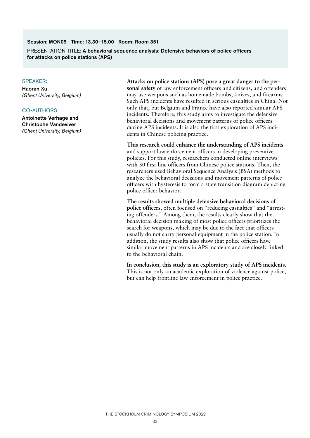#### Session: MON09 Time: 13.30–15.00 Room: Room 351

PRESENTATION TITLE: A behavioral sequence analysis: Defensive behaviors of police officers for attacks on police stations (APS)

#### SPEAKER:

Haoran Xu *(Ghent University, Belgium)*

#### CO-AUTHORS:

Antoinette Verhage and Christophe Vandeviver *(Ghent University, Belgium)*

**Attacks on police stations (APS) pose a great danger to the personal safety** of law enforcement officers and citizens, and offenders may use weapons such as homemade bombs, knives, and firearms. Such APS incidents have resulted in serious casualties in China. Not only that, but Belgium and France have also reported similar APS incidents. Therefore, this study aims to investigate the defensive behavioral decisions and movement patterns of police officers during APS incidents. It is also the first exploration of APS incidents in Chinese policing practice.

**This research could enhance the understanding of APS incidents** and support law enforcement officers in developing preventive policies. For this study, researchers conducted online interviews with 30 first-line officers from Chinese police stations. Then, the researchers used Behavioral Sequence Analysis (BSA) methods to analyze the behavioral decisions and movement patterns of police officers with hysteresis to form a state transition diagram depicting police officer behavior.

**The results showed multiple defensive behavioral decisions of police officers**, often focused on "reducing casualties" and "arresting offenders." Among them, the results clearly show that the behavioral decision making of most police officers prioritizes the search for weapons, which may be due to the fact that officers usually do not carry personal equipment in the police station. In addition, the study results also show that police officers have similar movement patterns in APS incidents and are closely linked to the behavioral chain.

**In conclusion, this study is an exploratory study of APS incidents**. This is not only an academic exploration of violence against police, but can help frontline law enforcement in police practice.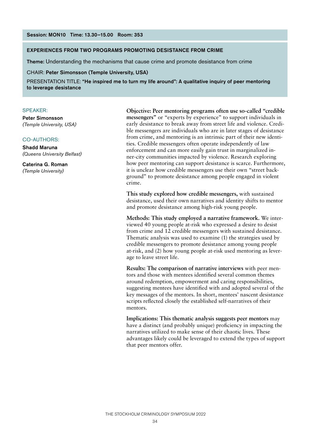#### Session: MON10 Time: 13.30–15.00 Room: 353

#### EXPERIENCES FROM TWO PROGRAMS PROMOTING DESISTANCE FROM CRIME

Theme: Understanding the mechanisms that cause crime and promote desistance from crime

CHAIR: Peter Simonsson (Temple University, USA)

PRESENTATION TITLE: "He inspired me to turn my life around": A qualitative inquiry of peer mentoring to leverage desistance

#### SPEAKER:

Peter Simonsson *(Temple University, USA)*

#### CO-AUTHORS:

Shadd Maruna *(Queens University Belfast)* 

Caterina G. Roman *(Temple University)*

**Objective: Peer mentoring programs often use so-called "credible messengers"** or "experts by experience" to support individuals in early desistance to break away from street life and violence. Credible messengers are individuals who are in later stages of desistance from crime, and mentoring is an intrinsic part of their new identities. Credible messengers often operate independently of law enforcement and can more easily gain trust in marginalized inner-city communities impacted by violence. Research exploring how peer mentoring can support desistance is scarce. Furthermore, it is unclear how credible messengers use their own "street background" to promote desistance among people engaged in violent crime.

**This study explored how credible messengers,** with sustained desistance, used their own narratives and identity shifts to mentor and promote desistance among high-risk young people.

**Methods: This study employed a narrative framework.** We interviewed 40 young people at-risk who expressed a desire to desist from crime and 12 credible messengers with sustained desistance. Thematic analysis was used to examine (1) the strategies used by credible messengers to promote desistance among young people at-risk, and (2) how young people at-risk used mentoring as leverage to leave street life.

**Results: The comparison of narrative interviews** with peer mentors and those with mentees identified several common themes around redemption, empowerment and caring responsibilities, suggesting mentees have identified with and adopted several of the key messages of the mentors. In short, mentees' nascent desistance scripts reflected closely the established self-narratives of their mentors.

**Implications: This thematic analysis suggests peer mentors** may have a distinct (and probably unique) proficiency in impacting the narratives utilized to make sense of their chaotic lives. These advantages likely could be leveraged to extend the types of support that peer mentors offer.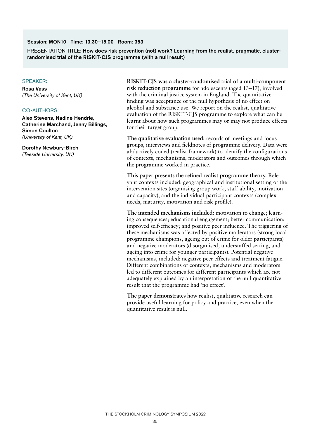#### Session: MON10 Time: 13.30–15.00 Room: 353

PRESENTATION TITLE: How does risk prevention (not) work? Learning from the realist, pragmatic, clusterrandomised trial of the RISKIT-CJS programme (with a null result)

#### SPEAKER:

Rosa Vass *(The University of Kent, UK)*

#### CO-AUTHORS:

Alex Stevens, Nadine Hendrie, Catherine Marchand, Jenny Billings, Simon Coulton *(University of Kent, UK)* 

Dorothy Newbury-Birch *(Teeside University, UK)*

**RISKIT-CJS was a cluster-randomised trial of a multi-component risk reduction programme** for adolescents (aged 13–17), involved with the criminal justice system in England. The quantitative finding was acceptance of the null hypothesis of no effect on alcohol and substance use. We report on the realist, qualitative evaluation of the RISKIT-CJS programme to explore what can be learnt about how such programmes may or may not produce effects for their target group.

**The qualitative evaluation used:** records of meetings and focus groups, interviews and fieldnotes of programme delivery**.** Data were abductively coded (realist framework) to identify the configurations of contexts, mechanisms, moderators and outcomes through which the programme worked in practice.

**This paper presents the refined realist programme theory.** Relevant contexts included: geographical and institutional setting of the intervention sites (organising group work, staff ability, motivation and capacity), and the individual participant contexts (complex needs, maturity, motivation and risk profile).

**The intended mechanisms included:** motivation to change; learning consequences; educational engagement; better communication; improved self-efficacy; and positive peer influence. The triggering of these mechanisms was affected by positive moderators (strong local programme champions, ageing out of crime for older participants) and negative moderators (disorganised, understaffed setting, and ageing into crime for younger participants). Potential negative mechanisms, included: negative peer effects and treatment fatigue. Different combinations of contexts, mechanisms and moderators led to different outcomes for different participants which are not adequately explained by an interpretation of the null quantitative result that the programme had 'no effect'.

**The paper demonstrates** how realist, qualitative research can provide useful learning for policy and practice, even when the quantitative result is null.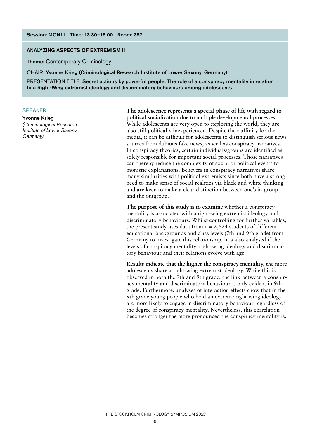#### ANALYZING ASPECTS OF EXTREMISM II

Theme: Contemporary Criminology

CHAIR: Yvonne Krieg (Criminological Research Institute of Lower Saxony, Germany)

PRESENTATION TITLE: Secret actions by powerful people: The role of a conspiracy mentality in relation to a Right-Wing extremist ideology and discriminatory behaviours among adolescents

#### SPEAKER:

Yvonne Krieg *(Criminological Research Institute of Lower Saxony, Germany)*

**The adolescence represents a special phase of life with regard to political socialization** due to multiple developmental processes. While adolescents are very open to exploring the world, they are also still politically inexperienced. Despite their affinity for the media, it can be difficult for adolescents to distinguish serious news sources from dubious fake news, as well as conspiracy narratives. In conspiracy theories, certain individuals/groups are identified as solely responsible for important social processes. Those narratives can thereby reduce the complexity of social or political events to monistic explanations. Believers in conspiracy narratives share many similarities with political extremists since both have a strong need to make sense of social realities via black-and-white thinking and are keen to make a clear distinction between one's in-group and the outgroup.

**The purpose of this study is to examine** whether a conspiracy mentality is associated with a right-wing extremist ideology and discriminatory behaviours. Whilst controlling for further variables, the present study uses data from  $n = 2,824$  students of different educational backgrounds and class levels (7th and 9th grade) from Germany to investigate this relationship. It is also analysed if the levels of conspiracy mentality, right-wing ideology and discriminatory behaviour and their relations evolve with age.

**Results indicate that the higher the conspiracy mentality**, the more adolescents share a right-wing extremist ideology. While this is observed in both the 7th and 9th grade, the link between a conspiracy mentality and discriminatory behaviour is only evident in 9th grade. Furthermore, analyses of interaction effects show that in the 9th grade young people who hold an extreme right-wing ideology are more likely to engage in discriminatory behaviour regardless of the degree of conspiracy mentality. Nevertheless, this correlation becomes stronger the more pronounced the conspiracy mentality is.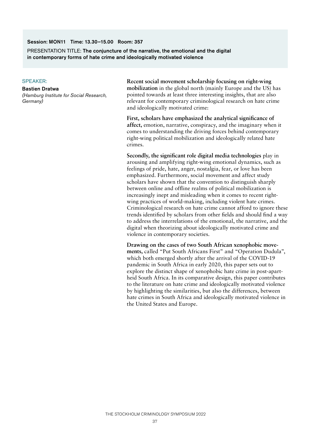# Session: MON11 Time: 13.30–15.00 Room: 357

PRESENTATION TITLE: The conjuncture of the narrative, the emotional and the digital in contemporary forms of hate crime and ideologically motivated violence

#### SPEAKER:

#### Bastien Dratwa

*(Hamburg Institute for Social Research, Germany)*

**Recent social movement scholarship focusing on right-wing mobilization** in the global north (mainly Europe and the US) has pointed towards at least three interesting insights, that are also relevant for contemporary criminological research on hate crime and ideologically motivated crime:

**First, scholars have emphasized the analytical significance of affect,** emotion, narrative, conspiracy, and the imaginary when it comes to understanding the driving forces behind contemporary right-wing political mobilization and ideologically related hate crimes.

**Secondly, the significant role digital media technologies** play in arousing and amplifying right-wing emotional dynamics, such as feelings of pride, hate, anger, nostalgia, fear, or love has been emphasized. Furthermore, social movement and affect study scholars have shown that the convention to distinguish sharply between online and offline realms of political mobilization is increasingly inept and misleading when it comes to recent rightwing practices of world-making, including violent hate crimes. Criminological research on hate crime cannot afford to ignore these trends identified by scholars from other fields and should find a way to address the interrelations of the emotional, the narrative, and the digital when theorizing about ideologically motivated crime and violence in contemporary societies.

**Drawing on the cases of two South African xenophobic movements,** called "Put South Africans First" and "Operation Dudula", which both emerged shortly after the arrival of the COVID-19 pandemic in South Africa in early 2020, this paper sets out to explore the distinct shape of xenophobic hate crime in post-apartheid South Africa. In its comparative design, this paper contributes to the literature on hate crime and ideologically motivated violence by highlighting the similarities, but also the differences, between hate crimes in South Africa and ideologically motivated violence in the United States and Europe.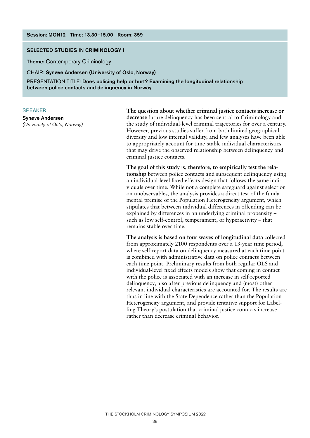# Session: MON12 Time: 13.30–15.00 Room: 359

# SELECTED STUDIES IN CRIMINOLOGY I

Theme: Contemporary Criminology

CHAIR: Synøve Andersen (University of Oslo, Norway)

PRESENTATION TITLE: Does policing help or hurt? Examining the longitudinal relationship between police contacts and delinquency in Norway

#### SPEAKER:

Synøve Andersen *(University of Oslo, Norway)* **The question about whether criminal justice contacts increase or decrease** future delinquency has been central to Criminology and the study of individual-level criminal trajectories for over a century. However, previous studies suffer from both limited geographical diversity and low internal validity, and few analyses have been able to appropriately account for time-stable individual characteristics that may drive the observed relationship between delinquency and criminal justice contacts.

**The goal of this study is, therefore, to empirically test the relationship** between police contacts and subsequent delinquency using an individual-level fixed effects design that follows the same individuals over time. While not a complete safeguard against selection on unobservables, the analysis provides a direct test of the fundamental premise of the Population Heterogeneity argument, which stipulates that between-individual differences in offending can be explained by differences in an underlying criminal propensity – such as low self-control, temperament, or hyperactivity – that remains stable over time.

**The analysis is based on four waves of longitudinal data** collected from approximately 2100 respondents over a 13-year time period, where self-report data on delinquency measured at each time point is combined with administrative data on police contacts between each time point. Preliminary results from both regular OLS and individual-level fixed effects models show that coming in contact with the police is associated with an increase in self-reported delinquency, also after previous delinquency and (most) other relevant individual characteristics are accounted for. The results are thus in line with the State Dependence rather than the Population Heterogeneity argument, and provide tentative support for Labelling Theory's postulation that criminal justice contacts increase rather than decrease criminal behavior.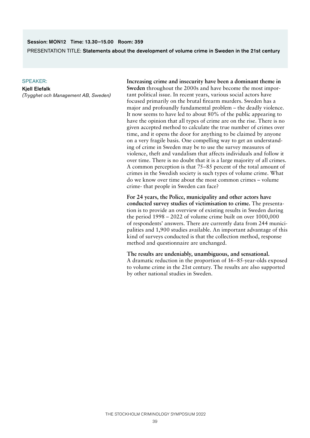# Session: MON12 Time: 13.30–15.00 Room: 359 PRESENTATION TITLE: Statements about the development of volume crime in Sweden in the 21st century

#### SPEAKER:

#### Kjell Elefalk *(Trygghet och Management AB, Sweden)*

**Increasing crime and insecurity have been a dominant theme in Sweden** throughout the 2000s and have become the most important political issue. In recent years, various social actors have focused primarily on the brutal firearm murders. Sweden has a major and profoundly fundamental problem – the deadly violence. It now seems to have led to about 80% of the public appearing to have the opinion that all types of crime are on the rise. There is no given accepted method to calculate the true number of crimes over time, and it opens the door for anything to be claimed by anyone on a very fragile basis. One compelling way to get an understanding of crime in Sweden may be to use the survey measures of violence, theft and vandalism that affects individuals and follow it over time. There is no doubt that it is a large majority of all crimes. A common perception is that 75–85 percent of the total amount of crimes in the Swedish society is such types of volume crime. What do we know over time about the most common crimes – volume crime- that people in Sweden can face?

**For 24 years, the Police, municipality and other actors have conducted survey studies of victimisation to crime.** The presentation is to provide an overview of existing results in Sweden during the period 1998 – 2022 of volume crime built on over 1000,000 of respondents' answers. There are currently data from 244 municipalities and 1,900 studies available. An important advantage of this kind of surveys conducted is that the collection method, response method and questionnaire are unchanged.

# **The results are undeniably, unambiguous, and sensational.** A dramatic reduction in the proportion of 16–85-year-olds exposed

to volume crime in the 21st century. The results are also supported by other national studies in Sweden.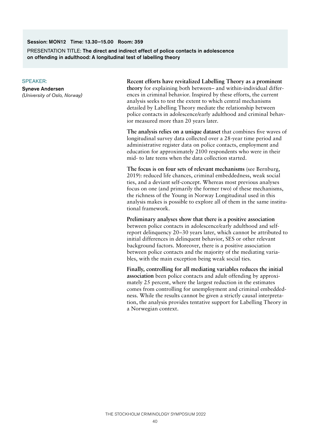# Session: MON12 Time: 13.30–15.00 Room: 359

PRESENTATION TITLE: The direct and indirect effect of police contacts in adolescence on offending in adulthood: A longitudinal test of labelling theory

#### SPEAKER:

Synøve Andersen *(University of Oslo, Norway)*

**Recent efforts have revitalized Labelling Theory as a prominent theory** for explaining both between– and within-individual differences in criminal behavior. Inspired by these efforts, the current analysis seeks to test the extent to which central mechanisms detailed by Labelling Theory mediate the relationship between police contacts in adolescence/early adulthood and criminal behavior measured more than 20 years later.

**The analysis relies on a unique dataset** that combines five waves of longitudinal survey data collected over a 28-year time period and administrative register data on police contacts, employment and education for approximately 2100 respondents who were in their mid- to late teens when the data collection started.

**The focus is on four sets of relevant mechanisms** (see Bernburg, 2019): reduced life chances, criminal embeddedness, weak social ties, and a deviant self-concept. Whereas most previous analyses focus on one (and primarily the former two) of these mechanisms, the richness of the Young in Norway Longitudinal used in this analysis makes is possible to explore all of them in the same institutional framework.

**Preliminary analyses show that there is a positive association** between police contacts in adolescence/early adulthood and selfreport delinquency 20–30 years later, which cannot be attributed to initial differences in delinquent behavior, SES or other relevant background factors. Moreover, there is a positive association between police contacts and the majority of the mediating variables, with the main exception being weak social ties.

**Finally, controlling for all mediating variables reduces the initial association** been police contacts and adult offending by approximately 25 percent, where the largest reduction in the estimates comes from controlling for unemployment and criminal embeddedness. While the results cannot be given a strictly causal interpretation, the analysis provides tentative support for Labelling Theory in a Norwegian context.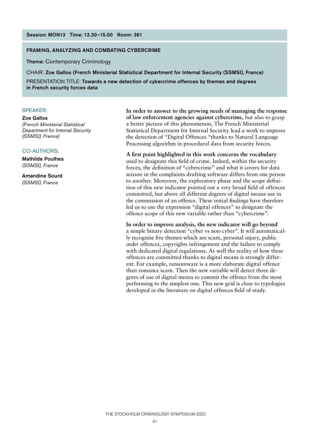#### FRAMING, ANALYZING AND COMBATING CYBERCRIME

Theme: Contemporary Criminology

CHAIR: Zoe Gallos (French Ministerial Statistical Department for Internal Security (SSMSI), France)

PRESENTATION TITLE: Towards a new detection of cybercrime offences by themes and degrees in French security forces data

#### SPEAKER:

Zoe Gallos

*(French Ministerial Statistical Department for Internal Security (SSMSI), France)*

#### CO-AUTHORS:

Mathilde Poulhes *(SSMSI), France*

Amandine Sourd *(SSMSI), France*

**In order to answer to the growing needs of managing the response of law enforcement agencies against cybercrime**, but also to grasp a better picture of this phenomenon, The French Ministerial Statistical Department for Internal Security lead a work to improve the detection of "Digital Offences "thanks to Natural Language Processing algorithm in procedural data from security forces.

**A first point highlighted in this work concerns the vocabulary** used to designate this field of crime. Indeed, within the security forces, the definition of "cybercrime" and what it covers for data seizure in the complaints drafting software differs from one person to another. Moreover, the exploratory phase and the scope definition of this new indicator pointed out a very broad field of offences committed, but above all different degrees of digital means use in the commission of an offence. These initial findings have therefore led us to use the expression "digital offences" to designate the offence scope of this new variable rather than "cybercrime".

**In order to improve analysis, the new indicator will go beyond** a simple binary detection "cyber vs non-cyber". It will automatically recognise five themes which are scam, personal injury, public order offences, copyrights infringement and the failure to comply with dedicated digital regulations. As well the reality of how these offences are committed thanks to digital means is strongly different. For example, ransomware is a more elaborate digital offence than romance scam. Then the new variable will detect three degrees of use of digital means to commit the offence from the most performing to the simplest one. This new grid is close to typologies developed in the literature on digital offences field of study.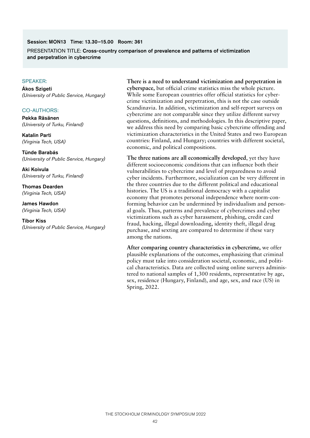# Session: MON13 Time: 13.30–15.00 Room: 361

PRESENTATION TITLE: Cross-country comparison of prevalence and patterns of victimization and perpetration in cybercrime

# SPEAKER:

Ákos Szigeti *(University of Public Service, Hungary)*

# CO-AUTHORS:

Pekka Räsänen *(University of Turku, Finland)* 

Katalin Parti *(Virginia Tech, USA)* 

Tünde Barabás *(University of Public Service, Hungary)*

Aki Koivula *(University of Turku, Finland)*

Thomas Dearden *(Virginia Tech, USA)*

James Hawdon *(Virginia Tech, USA)*

Tibor Kiss *(University of Public Service, Hungary)* **There is a need to understand victimization and perpetration in cyberspace,** but official crime statistics miss the whole picture. While some European countries offer official statistics for cybercrime victimization and perpetration, this is not the case outside Scandinavia. In addition, victimization and self-report surveys on cybercrime are not comparable since they utilize different survey questions, definitions, and methodologies. In this descriptive paper, we address this need by comparing basic cybercrime offending and victimization characteristics in the United States and two European countries: Finland, and Hungary; countries with different societal, economic, and political compositions.

**The three nations are all economically developed**, yet they have different socioeconomic conditions that can influence both their vulnerabilities to cybercrime and level of preparedness to avoid cyber incidents. Furthermore, socialization can be very different in the three countries due to the different political and educational histories. The US is a traditional democracy with a capitalist economy that promotes personal independence where norm-conforming behavior can be undermined by individualism and personal goals. Thus, patterns and prevalence of cybercrimes and cyber victimizations such as cyber harassment, phishing, credit card fraud, hacking, illegal downloading, identity theft, illegal drug purchase, and sexting are compared to determine if these vary among the nations.

**After comparing country characteristics in cybercrime,** we offer plausible explanations of the outcomes, emphasizing that criminal policy must take into consideration societal, economic, and political characteristics. Data are collected using online surveys administered to national samples of 1,300 residents, representative by age, sex, residence (Hungary, Finland), and age, sex, and race (US) in Spring, 2022.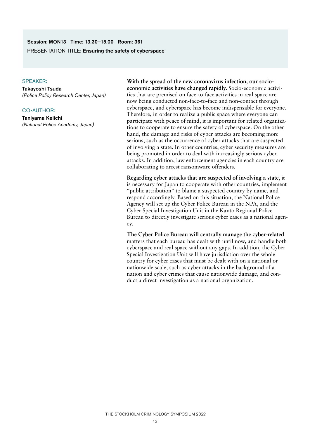# Session: MON13 Time: 13.30–15.00 Room: 361 PRESENTATION TITLE: Ensuring the safety of cyberspace

#### SPEAKER:

Takayoshi Tsuda *(Police Policy Research Center, Japan)*

#### CO-AUTHOR:

Taniyama Keiichi *(National Police Academy, Japan)* **With the spread of the new coronavirus infection, our socioeconomic activities have changed rapidly.** Socio-economic activities that are premised on face-to-face activities in real space are now being conducted non-face-to-face and non-contact through cyberspace, and cyberspace has become indispensable for everyone. Therefore, in order to realize a public space where everyone can participate with peace of mind, it is important for related organizations to cooperate to ensure the safety of cyberspace. On the other hand, the damage and risks of cyber attacks are becoming more serious, such as the occurrence of cyber attacks that are suspected of involving a state. In other countries, cyber security measures are being promoted in order to deal with increasingly serious cyber attacks. In addition, law enforcement agencies in each country are collaborating to arrest ransomware offenders.

**Regarding cyber attacks that are suspected of involving a state**, it is necessary for Japan to cooperate with other countries, implement "public attribution" to blame a suspected country by name, and respond accordingly. Based on this situation, the National Police Agency will set up the Cyber Police Bureau in the NPA, and the Cyber Special Investigation Unit in the Kanto Regional Police Bureau to directly investigate serious cyber cases as a national agency.

**The Cyber Police Bureau will centrally manage the cyber-related** matters that each bureau has dealt with until now, and handle both cyberspace and real space without any gaps. In addition, the Cyber Special Investigation Unit will have jurisdiction over the whole country for cyber cases that must be dealt with on a national or nationwide scale, such as cyber attacks in the background of a nation and cyber crimes that cause nationwide damage, and conduct a direct investigation as a national organization.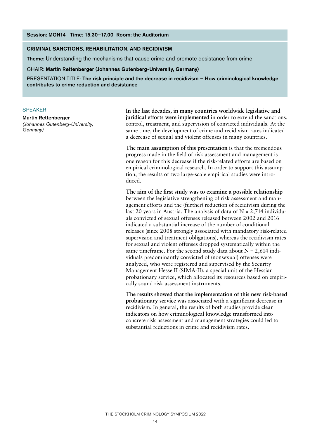# CRIMINAL SANCTIONS, REHABILITATION, AND RECIDIVISM

Theme: Understanding the mechanisms that cause crime and promote desistance from crime

CHAIR: Martin Rettenberger (Johannes Gutenberg-University, Germany)

PRESENTATION TITLE: The risk principle and the decrease in recidivism – How criminological knowledge contributes to crime reduction and desistance

#### SPEAKER:

Martin Rettenberger *(Johannes Gutenberg-University, Germany)*

**In the last decades, in many countries worldwide legislative and juridical efforts were implemented** in order to extend the sanctions, control, treatment, and supervision of convicted individuals. At the same time, the development of crime and recidivism rates indicated a decrease of sexual and violent offenses in many countries.

**The main assumption of this presentation** is that the tremendous progress made in the field of risk assessment and management is one reason for this decrease if the risk-related efforts are based on empirical criminological research. In order to support this assumption, the results of two large-scale empirical studies were introduced.

**The aim of the first study was to examine a possible relationship** between the legislative strengthening of risk assessment and management efforts and the (further) reduction of recidivism during the last 20 years in Austria. The analysis of data of  $N = 2,714$  individuals convicted of sexual offenses released between 2002 and 2016 indicated a substantial increase of the number of conditional releases (since 2008 strongly associated with mandatory risk-related supervision and treatment obligations), whereas the recidivism rates for sexual and violent offenses dropped systematically within the same timeframe. For the second study data about  $N = 2,614$  individuals predominantly convicted of (nonsexual) offenses were analyzed, who were registered and supervised by the Security Management Hesse II (SIMA-II), a special unit of the Hessian probationary service, which allocated its resources based on empirically sound risk assessment instruments.

**The results showed that the implementation of this new risk-based probationary service** was associated with a significant decrease in recidivism. In general, the results of both studies provide clear indicators on how criminological knowledge transformed into concrete risk assessment and management strategies could led to substantial reductions in crime and recidivism rates.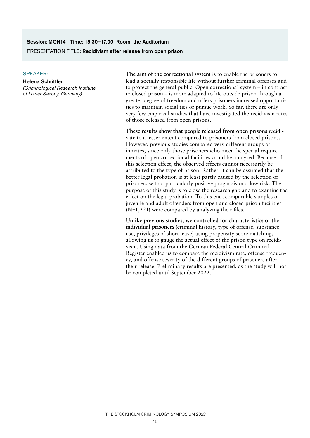# SPEAKER:

Helena Schüttler

*(Criminological Research Institute of Lower Saxony, Germany)*

**The aim of the correctional system** is to enable the prisoners to lead a socially responsible life without further criminal offenses and to protect the general public. Open correctional system – in contrast to closed prison – is more adapted to life outside prison through a greater degree of freedom and offers prisoners increased opportunities to maintain social ties or pursue work. So far, there are only very few empirical studies that have investigated the recidivism rates of those released from open prisons.

**These results show that people released from open prisons** recidivate to a lesser extent compared to prisoners from closed prisons. However, previous studies compared very different groups of inmates, since only those prisoners who meet the special requirements of open correctional facilities could be analysed. Because of this selection effect, the observed effects cannot necessarily be attributed to the type of prison. Rather, it can be assumed that the better legal probation is at least partly caused by the selection of prisoners with a particularly positive prognosis or a low risk. The purpose of this study is to close the research gap and to examine the effect on the legal probation. To this end, comparable samples of juvenile and adult offenders from open and closed prison facilities (N=1,221) were compared by analyzing their files.

**Unlike previous studies, we controlled for characteristics of the individual prisoners** (criminal history, type of offense, substance use, privileges of short leave) using propensity score matching, allowing us to gauge the actual effect of the prison type on recidivism. Using data from the German Federal Central Criminal Register enabled us to compare the recidivism rate, offense frequency, and offense severity of the different groups of prisoners after their release. Preliminary results are presented, as the study will not be completed until September 2022.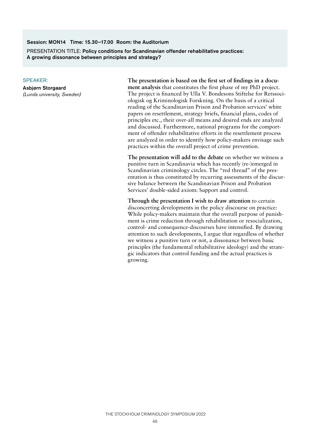# Session: MON14 Time: 15.30–17.00 Room: the Auditorium

PRESENTATION TITLE: Policy conditions for Scandinavian offender rehabilitative practices: A growing dissonance between principles and strategy?

#### SPEAKER:

Asbjørn Storgaard *(Lunds university, Sweden)*

**The presentation is based on the first set of findings in a document analysis** that constitutes the first phase of my PhD project. The project is financed by Ulla V. Bondesons Stiftelse for Retssociologisk og Kriminologisk Forskning. On the basis of a critical reading of the Scandinavian Prison and Probation services' white papers on resettlement, strategy briefs, financial plans, codes of principles etc., their over-all means and desired ends are analyzed and discussed. Furthermore, national programs for the comportment of offender rehabilitative efforts in the resettlement process are analyzed in order to identify how policy-makers envisage such practices within the overall project of crime prevention.

**The presentation will add to the debate** on whether we witness a punitive turn in Scandinavia which has recently (re-)emerged in Scandinavian criminology circles. The "red thread" of the presentation is thus constituted by recurring assessments of the discursive balance between the Scandinavian Prison and Probation Services' double-sided axiom: Support and control.

**Through the presentation I wish to draw attention** to certain disconcerting developments in the policy discourse on practice: While policy-makers maintain that the overall purpose of punishment is crime reduction through rehabilitation or resocialization, control- and consequence-discourses have intensified. By drawing attention to such developments, I argue that regardless of whether we witness a punitive turn or not, a dissonance between basic principles (the fundamental rehabilitative ideology) and the strategic indicators that control funding and the actual practices is growing.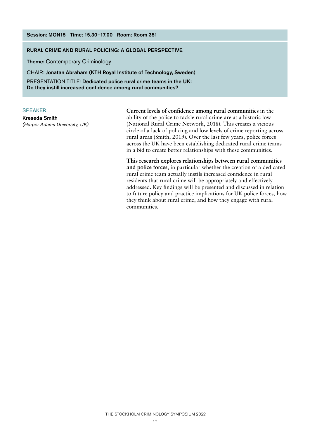Session: MON15 Time: 15.30–17.00 Room: Room 351

# RURAL CRIME AND RURAL POLICING: A GLOBAL PERSPECTIVE

Theme: Contemporary Criminology

CHAIR: Jonatan Abraham (KTH Royal Institute of Technology, Sweden)

PRESENTATION TITLE: Dedicated police rural crime teams in the UK: Do they instill increased confidence among rural communities?

#### SPEAKER:

Kreseda Smith *(Harper Adams University, UK)* **Current levels of confidence among rural communities** in the ability of the police to tackle rural crime are at a historic low (National Rural Crime Network, 2018). This creates a vicious circle of a lack of policing and low levels of crime reporting across rural areas (Smith, 2019). Over the last few years, police forces across the UK have been establishing dedicated rural crime teams in a bid to create better relationships with these communities.

**This research explores relationships between rural communities and police forces**, in particular whether the creation of a dedicated rural crime team actually instils increased confidence in rural residents that rural crime will be appropriately and effectively addressed. Key findings will be presented and discussed in relation to future policy and practice implications for UK police forces, how they think about rural crime, and how they engage with rural communities.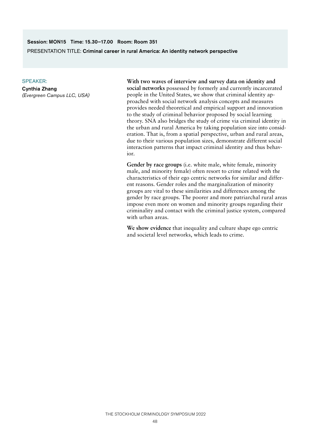# Session: MON15 Time: 15.30–17.00 Room: Room 351 PRESENTATION TITLE: Criminal career in rural America: An identity network perspective

#### SPEAKER:

Cynthia Zhang *(Evergreen Campus LLC, USA)* **With two waves of interview and survey data on identity and social networks** possessed by formerly and currently incarcerated people in the United States, we show that criminal identity approached with social network analysis concepts and measures provides needed theoretical and empirical support and innovation to the study of criminal behavior proposed by social learning theory. SNA also bridges the study of crime via criminal identity in the urban and rural America by taking population size into consideration. That is, from a spatial perspective, urban and rural areas, due to their various population sizes, demonstrate different social interaction patterns that impact criminal identity and thus behavior.

**Gender by race groups** (i.e. white male, white female, minority male, and minority female) often resort to crime related with the characteristics of their ego centric networks for similar and different reasons. Gender roles and the marginalization of minority groups are vital to these similarities and differences among the gender by race groups. The poorer and more patriarchal rural areas impose even more on women and minority groups regarding their criminality and contact with the criminal justice system, compared with urban areas.

**We show evidence** that inequality and culture shape ego centric and societal level networks, which leads to crime.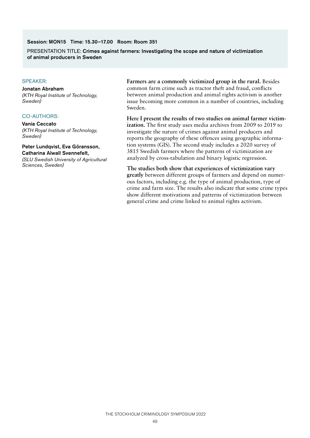# Session: MON15 Time: 15.30–17.00 Room: Room 351

PRESENTATION TITLE: Crimes against farmers: Investigating the scope and nature of victimization of animal producers in Sweden

## SPEAKER:

Jonatan Abraham *(KTH Royal Institute of Technology, Sweden)*

# CO-AUTHORS:

Vania Ceccato *(KTH Royal Institute of Technology, Sweden)*

Peter Lundqvist, Eva Göransson, Catharina Alwall Svennefelt,

*(SLU Swedish University of Agricultural Sciences, Sweden)*

**Farmers are a commonly victimized group in the rural.** Besides common farm crime such as tractor theft and fraud, conflicts between animal production and animal rights activism is another issue becoming more common in a number of countries, including Sweden.

**Here I present the results of two studies on animal farmer victimization.** The first study uses media archives from 2009 to 2019 to investigate the nature of crimes against animal producers and reports the geography of these offences using geographic information systems (GIS). The second study includes a 2020 survey of 3815 Swedish farmers where the patterns of victimization are analyzed by cross-tabulation and binary logistic regression.

**The studies both show that experiences of victimization vary greatly** between different groups of farmers and depend on numerous factors, including e.g. the type of animal production, type of crime and farm size. The results also indicate that some crime types show different motivations and patterns of victimization between general crime and crime linked to animal rights activism.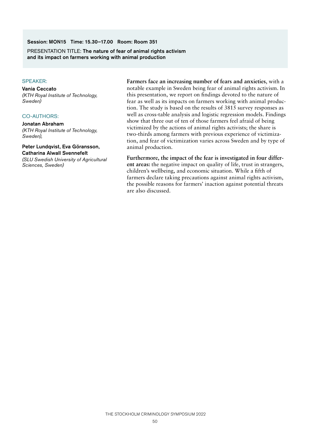#### Session: MON15 Time: 15.30–17.00 Room: Room 351

PRESENTATION TITLE: The nature of fear of animal rights activism and its impact on farmers working with animal production

# SPEAKER:

Vania Ceccato *(KTH Royal Institute of Technology, Sweden)*

# CO-AUTHORS:

Jonatan Abraham

*(KTH Royal Institute of Technology, Sweden),* 

Peter Lundqvist, Eva Göransson, Catharina Alwall Svennefelt

*(SLU Swedish University of Agricultural Sciences, Sweden)*

**Farmers face an increasing number of fears and anxieties**, with a notable example in Sweden being fear of animal rights activism. In this presentation, we report on findings devoted to the nature of fear as well as its impacts on farmers working with animal production. The study is based on the results of 3815 survey responses as well as cross-table analysis and logistic regression models. Findings show that three out of ten of those farmers feel afraid of being victimized by the actions of animal rights activists; the share is two-thirds among farmers with previous experience of victimization, and fear of victimization varies across Sweden and by type of animal production.

**Furthermore, the impact of the fear is investigated in four different areas:** the negative impact on quality of life, trust in strangers, children's wellbeing, and economic situation. While a fifth of farmers declare taking precautions against animal rights activism, the possible reasons for farmers' inaction against potential threats are also discussed.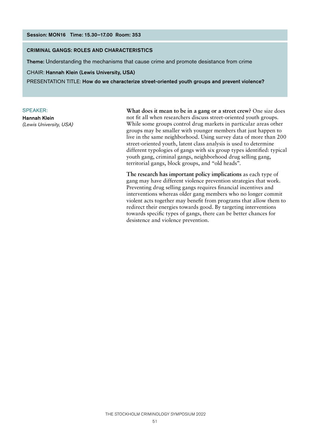# CRIMINAL GANGS: ROLES AND CHARACTERISTICS

Theme: Understanding the mechanisms that cause crime and promote desistance from crime

CHAIR: Hannah Klein (Lewis University, USA)

PRESENTATION TITLE: How do we characterize street-oriented youth groups and prevent violence?

#### SPEAKER:

Hannah Klein *(Lewis University, USA)* **What does it mean to be in a gang or a street crew?** One size does not fit all when researchers discuss street-oriented youth groups. While some groups control drug markets in particular areas other groups may be smaller with younger members that just happen to live in the same neighborhood. Using survey data of more than 200 street-oriented youth, latent class analysis is used to determine different typologies of gangs with six group types identified: typical youth gang, criminal gangs, neighborhood drug selling gang, territorial gangs, block groups, and "old heads".

**The research has important policy implications** as each type of gang may have different violence prevention strategies that work. Preventing drug selling gangs requires financial incentives and interventions whereas older gang members who no longer commit violent acts together may benefit from programs that allow them to redirect their energies towards good. By targeting interventions towards specific types of gangs, there can be better chances for desistence and violence prevention.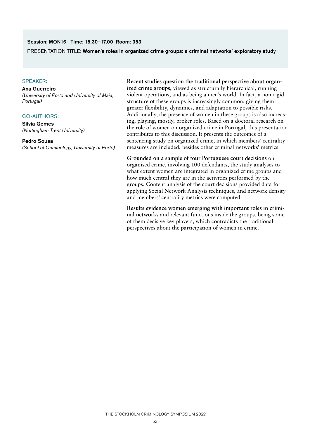# Session: MON16 Time: 15.30–17.00 Room: 353

PRESENTATION TITLE: Women's roles in organized crime groups: a criminal networks' exploratory study

## SPEAKER:

# Ana Guerreiro

*(University of Porto and University of Maia, Portugal)*

# CO-AUTHORS:

Sílvia Gomes *(Nottingham Trent University)*

#### Pedro Sousa

*(School of Criminology, University of Porto)*

**Recent studies question the traditional perspective about organized crime groups,** viewed as structurally hierarchical, running violent operations, and as being a men's world. In fact, a non-rigid structure of these groups is increasingly common, giving them greater flexibility, dynamics, and adaptation to possible risks. Additionally, the presence of women in these groups is also increasing, playing, mostly, broker roles. Based on a doctoral research on the role of women on organized crime in Portugal, this presentation contributes to this discussion. It presents the outcomes of a sentencing study on organized crime, in which members' centrality measures are included, besides other criminal networks' metrics.

**Grounded on a sample of four Portuguese court decisions** on organised crime, involving 100 defendants, the study analyses to what extent women are integrated in organized crime groups and how much central they are in the activities performed by the groups. Content analysis of the court decisions provided data for applying Social Network Analysis techniques, and network density and members' centrality metrics were computed.

**Results evidence women emerging with important roles in criminal networks** and relevant functions inside the groups, being some of them decisive key players, which contradicts the traditional perspectives about the participation of women in crime.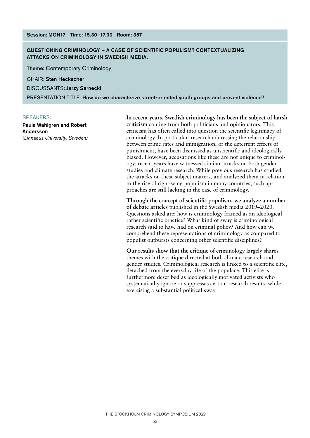# QUESTIONING CRIMINOLOGY – A CASE OF SCIENTIFIC POPULISM? CONTEXTUALIZING ATTACKS ON CRIMINOLOGY IN SWEDISH MEDIA.

Theme: Contemporary Criminology

CHAIR: Sten Heckscher

DISCUSSANTS: Jerzy Sarnecki

PRESENTATION TITLE: How do we characterize street-oriented youth groups and prevent violence?

# SPEAKERS:

Paula Wahlgren and Robert Andersson *(Linnaeus University, Sweden)* **In recent years, Swedish criminology has been the subject of harsh criticism** coming from both politicians and opinionators. This criticism has often called into question the scientific legitimacy of criminology. In particular, research addressing the relationship between crime rates and immigration, or the deterrent effects of punishment, have been dismissed as unscientific and ideologically biased. However, accusations like these are not unique to criminology, recent years have witnessed similar attacks on both gender studies and climate research. While previous research has studied the attacks on these subject matters, and analyzed them in relation to the rise of right-wing populism in many countries, such approaches are still lacking in the case of criminology.

**Through the concept of scientific populism, we analyze a number of debate articles** published in the Swedish media 2019–2020. Questions asked are: how is criminology framed as an ideological rather scientific practice? What kind of sway is criminological research said to have had on criminal policy? And how can we comprehend these representations of criminology as compared to populist outbursts concerning other scientific disciplines?

**Our results show that the critique** of criminology largely shares themes with the critique directed at both climate research and gender studies. Criminological research is linked to a scientific elite, detached from the everyday life of the populace. This elite is furthermore described as ideologically motivated activists who systematically ignore or suppresses certain research results, while exercising a substantial political sway.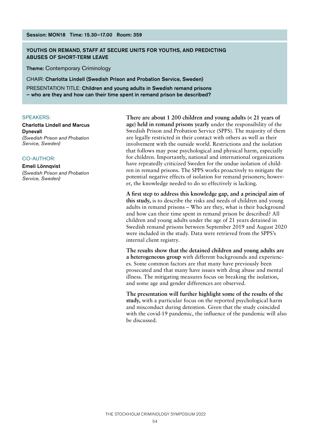# YOUTHS ON REMAND, STAFF AT SECURE UNITS FOR YOUTHS, AND PREDICTING ABUSES OF SHORT-TERM LEAVE

Theme: Contemporary Criminology

CHAIR: Charlotta Lindell (Swedish Prison and Probation Service, Sweden)

PRESENTATION TITLE: Children and young adults in Swedish remand prisons – who are they and how can their time spent in remand prison be described?

# SPEAKERS:

Charlotta Lindell and Marcus Dynevall *(Swedish Prison and Probation Service, Sweden)*

#### CO-AUTHOR:

Emeli Lönnqvist *(Swedish Prison and Probation Service, Sweden)*

**There are about 1 200 children and young adults (< 21 years of age) held in remand prisons yearly** under the responsibility of the Swedish Prison and Probation Service (SPPS). The majority of them are legally restricted in their contact with others as well as their involvement with the outside world. Restrictions and the isolation that follows may pose psychological and physical harm, especially for children. Importantly, national and international organizations have repeatedly criticized Sweden for the undue isolation of children in remand prisons. The SPPS works proactively to mitigate the potential negative effects of isolation for remand prisoners; however, the knowledge needed to do so effectively is lacking.

**A first step to address this knowledge gap, and a principal aim of this study,** is to describe the risks and needs of children and young adults in remand prisons – Who are they, what is their background and how can their time spent in remand prison be described? All children and young adults under the age of 21 years detained in Swedish remand prisons between September 2019 and August 2020 were included in the study. Data were retrieved from the SPPS's internal client registry.

**The results show that the detained children and young adults are a heterogeneous group** with different backgrounds and experiences. Some common factors are that many have previously been prosecuted and that many have issues with drug abuse and mental illness. The mitigating measures focus on breaking the isolation, and some age and gender differences are observed.

**The presentation will further highlight some of the results of the study,** with a particular focus on the reported psychological harm and misconduct during detention. Given that the study coincided with the covid-19 pandemic, the influence of the pandemic will also be discussed.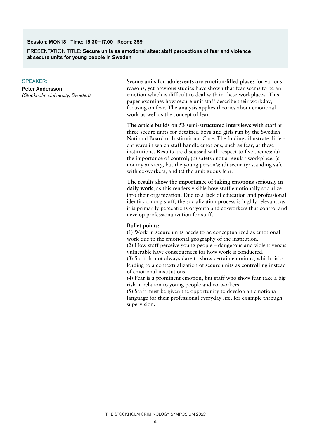#### Session: MON18 Time: 15.30–17.00 Room: 359

PRESENTATION TITLE: Secure units as emotional sites: staff perceptions of fear and violence at secure units for young people in Sweden

#### SPEAKER:

Peter Andersson *(Stockholm University, Sweden)* 

**Secure units for adolescents are emotion-filled places** for various reasons, yet previous studies have shown that fear seems to be an emotion which is difficult to deal with in these workplaces. This paper examines how secure unit staff describe their workday, focusing on fear. The analysis applies theories about emotional work as well as the concept of fear.

**The article builds on 53 semi-structured interviews with staff** at three secure units for detained boys and girls run by the Swedish National Board of Institutional Care. The findings illustrate different ways in which staff handle emotions, such as fear, at these institutions. Results are discussed with respect to five themes: (a) the importance of control; (b) safety: not a regular workplace; (c) not my anxiety, but the young person's; (d) security: standing safe with co-workers; and (e) the ambiguous fear.

**The results show the importance of taking emotions seriously in daily work**, as this renders visible how staff emotionally socialize into their organization. Due to a lack of education and professional identity among staff, the socialization process is highly relevant, as it is primarily perceptions of youth and co-workers that control and develop professionalization for staff.

# **Bullet points:**

(1) Work in secure units needs to be conceptualized as emotional work due to the emotional geography of the institution.

(2) How staff perceive young people – dangerous and violent versus vulnerable have consequences for how work is conducted.

(3) Staff do not always dare to show certain emotions, which risks leading to a contextualization of secure units as controlling instead of emotional institutions.

(4) Fear is a prominent emotion, but staff who show fear take a big risk in relation to young people and co-workers.

(5) Staff must be given the opportunity to develop an emotional language for their professional everyday life, for example through supervision.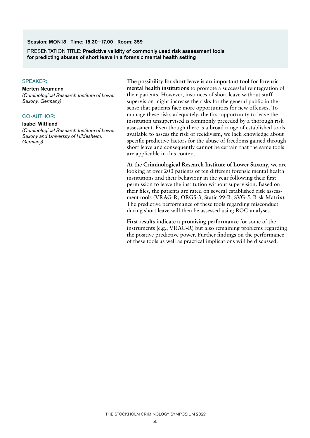#### Session: MON18 Time: 15.30–17.00 Room: 359

PRESENTATION TITLE: Predictive validity of commonly used risk assessment tools for predicting abuses of short leave in a forensic mental health setting

#### SPEAKER:

#### Merten Neumann

*(Criminological Research Institute of Lower Saxony, Germany)*

#### CO-AUTHOR:

#### Isabel Wittland

*(Criminological Research Institute of Lower Saxony and University of Hildesheim, Germany)*

**The possibility for short leave is an important tool for forensic mental health institutions** to promote a successful reintegration of their patients. However, instances of short leave without staff supervision might increase the risks for the general public in the sense that patients face more opportunities for new offenses. To manage these risks adequately, the first opportunity to leave the institution unsupervised is commonly preceded by a thorough risk assessment. Even though there is a broad range of established tools available to assess the risk of recidivism, we lack knowledge about specific predictive factors for the abuse of freedoms gained through short leave and consequently cannot be certain that the same tools are applicable in this context.

**At the Criminological Research Institute of Lower Saxony**, we are looking at over 200 patients of ten different forensic mental health institutions and their behaviour in the year following their first permission to leave the institution without supervision. Based on their files, the patients are rated on several established risk assessment tools (VRAG-R, ORGS-3, Static 99-R, SVG-5, Risk Matrix). The predictive performance of these tools regarding misconduct during short leave will then be assessed using ROC-analyses.

**First results indicate a promising performance** for some of the instruments (e.g., VRAG-R) but also remaining problems regarding the positive predictive power. Further findings on the performance of these tools as well as practical implications will be discussed.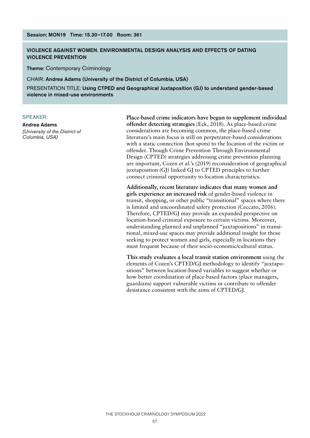# VIOLENCE AGAINST WOMEN. ENVIRONMENTAL DESIGN ANALYSIS AND EFFECTS OF DATING VIOLENCE PREVENTION

Theme: Contemporary Criminology

CHAIR: Andrea Adams (University of the District of Columbia, USA)

PRESENTATION TITLE: Using CTPED and Geographical Juxtaposition (GJ) to understand gender-based violence in mixed-use environments

# SPEAKER:

Andrea Adams *(University of the District of Columbia, USA)*

**Place-based crime indicators have begun to supplement individual offender detecting strategies** (Eck, 2018). As place-based crime considerations are becoming common, the place-based crime literature's main focus is still on perpetrator-based considerations with a static connection (hot-spots) to the location of the victim or offender. Though Crime Prevention Through Environmental Design (CPTED) strategies addressing crime prevention planning are important, Cozen et al.'s (2019) reconsideration of geographical juxtaposition (GJ) linked GJ to CPTED principles to further connect criminal opportunity to location characteristics.

**Additionally, recent literature indicates that many women and girls experience an increased risk** of gender-based violence in transit, shopping, or other public "transitional" spaces where there is limited and uncoordinated safety protection (Ceccato, 2016). Therefore, CPTED/GJ may provide an expanded perspective on location-based criminal exposure to certain victims. Moreover, understanding planned and unplanned "juxtapositions" in transitional, mixed-use spaces may provide additional insight for those seeking to protect women and girls, especially in locations they must frequent because of their socio-economic/cultural status.

**This study evaluates a local transit station environment** using the elements of Cozen's CPTED/GJ methodology to identify "juxtapositions" between location-based variables to suggest whether or how better coordination of place-based factors (place managers, guardians) support vulnerable victims or contribute to offender desistance consistent with the aims of CPTED/GJ.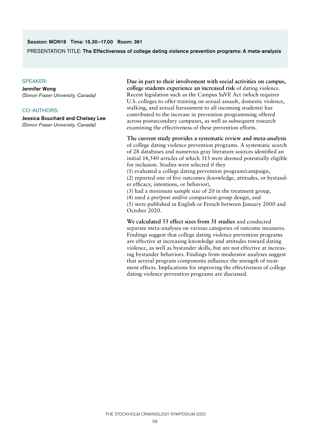# Session: MON19 Time: 15.30–17.00 Room: 361

PRESENTATION TITLE: The Effectiveness of college dating violence prevention programs: A meta-analysis

#### SPEAKER:

Jennifer Wong *(Simon Fraser University, Canada)*

#### CO-AUTHORS:

Jessica Bouchard and Chelsey Lee *(Simon Fraser University, Canada)*

**Due in part to their involvement with social activities on campus, college students experience an increased risk** of dating violence. Recent legislation such as the Campus SaVE Act (which requires U.S. colleges to offer training on sexual assault, domestic violence, stalking, and sexual harassment to all incoming students) has contributed to the increase in prevention programming offered across postsecondary campuses, as well as subsequent research examining the effectiveness of these prevention efforts.

**The current study provides a systematic review and meta-analysis** of college dating violence prevention programs. A systematic search of 28 databases and numerous gray literature sources identified an initial 14,540 articles of which 315 were deemed potentially eligible for inclusion. Studies were selected if they

(1) evaluated a college dating prevention program/campaign, (2) reported one of five outcomes (knowledge, attitudes, or bystander efficacy, intentions, or behavior),

(3) had a minimum sample size of 20 in the treatment group,

(4) used a pre/post and/or comparison group design, and

(5) were published in English or French between January 2000 and October 2020.

**We calculated 53 effect sizes from 31 studies** and conducted separate meta-analyses on various categories of outcome measures. Findings suggest that college dating violence prevention programs are effective at increasing knowledge and attitudes toward dating violence, as well as bystander skills, but are not effective at increasing bystander behaviors. Findings from moderator analyses suggest that several program components influence the strength of treatment effects. Implications for improving the effectiveness of college dating violence prevention programs are discussed.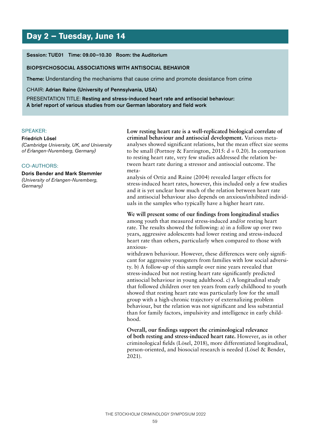# **Day 2 – Tuesday, June 14**

# Session: TUE01 Time: 09.00–10.30 Room: the Auditorium

#### BIOPSYCHOSOCIAL ASSOCIATIONS WITH ANTISOCIAL BEHAVIOR

Theme: Understanding the mechanisms that cause crime and promote desistance from crime

CHAIR: Adrian Raine (University of Pennsylvania, USA)

PRESENTATION TITLE: Resting and stress-induced heart rate and antisocial behaviour: A brief report of various studies from our German laboratory and field work

#### SPEAKER:

#### Friedrich Lösel

*(Cambridge University, UK, and University of Erlangen-Nuremberg, Germany)*

# CO-AUTHORS:

Doris Bender and Mark Stemmler *(University of Erlangen-Nuremberg, Germany)*

**Low resting heart rate is a well-replicated biological correlate of criminal behaviour and antisocial development.** Various metaanalyses showed significant relations, but the mean effect size seems to be small (Portnoy & Farrington, 2015:  $d = 0.20$ ). In comparison to resting heart rate, very few studies addressed the relation between heart rate during a stressor and antisocial outcome. The meta-

analysis of Ortiz and Raine (2004) revealed larger effects for stress-induced heart rates, however, this included only a few studies and it is yet unclear how much of the relation between heart rate and antisocial behaviour also depends on anxious/inhibited individuals in the samples who typically have a higher heart rate.

**We will present some of our findings from longitudinal studies**

among youth that measured stress-induced and/or resting heart rate. The results showed the following: a) in a follow up over two years, aggressive adolescents had lower resting and stress-induced heart rate than others, particularly when compared to those with anxious-

withdrawn behaviour. However, these differences were only significant for aggressive youngsters from families with low social adversity. b) A follow-up of this sample over nine years revealed that stress-induced but not resting heart rate significantly predicted antisocial behaviour in young adulthood. c) A longitudinal study that followed children over ten years from early childhood to youth showed that resting heart rate was particularly low for the small group with a high-chronic trajectory of externalizing problem behaviour, but the relation was not significant and less substantial than for family factors, impulsivity and intelligence in early childhood.

**Overall, our findings support the criminological relevance of both resting and stress-induced heart rate.** However, as in other criminological fields (Lösel, 2018), more differentiated longitudinal, person-oriented, and biosocial research is needed (Lösel & Bender, 2021).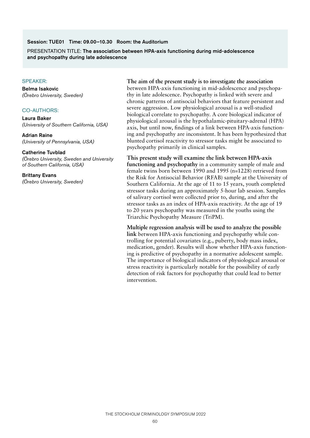# Session: TUE01 Time: 09.00–10.30 Room: the Auditorium

PRESENTATION TITLE: The association between HPA-axis functioning during mid-adolescence and psychopathy during late adolescence

# SPEAKER:

Belma Isakovic *(Örebro University, Sweden)*

#### CO-AUTHORS:

Laura Baker *(University of Southern California, USA)*

Adrian Raine *(University of Pennsylvania, USA)*

Catherine Tuvblad *(Örebro University, Sweden and University of Southern California, USA)*

Brittany Evans *(Örebro University, Sweden)*  **The aim of the present study is to investigate the association**  between HPA-axis functioning in mid-adolescence and psychopathy in late adolescence. Psychopathy is linked with severe and chronic patterns of antisocial behaviors that feature persistent and severe aggression. Low physiological arousal is a well-studied biological correlate to psychopathy. A core biological indicator of physiological arousal is the hypothalamic-pituitary-adrenal (HPA) axis, but until now, findings of a link between HPA-axis functioning and psychopathy are inconsistent. It has been hypothesized that blunted cortisol reactivity to stressor tasks might be associated to psychopathy primarily in clinical samples.

**This present study will examine the link between HPA-axis functioning and psychopathy** in a community sample of male and female twins born between 1990 and 1995 (n=1228) retrieved from the Risk for Antisocial Behavior (RFAB) sample at the University of Southern California. At the age of 11 to 15 years, youth completed stressor tasks during an approximately 5-hour lab session. Samples of salivary cortisol were collected prior to, during, and after the stressor tasks as an index of HPA-axis reactivity. At the age of 19 to 20 years psychopathy was measured in the youths using the Triarchic Psychopathy Measure (TriPM).

**Multiple regression analysis will be used to analyze the possible link** between HPA-axis functioning and psychopathy while controlling for potential covariates (e.g., puberty, body mass index, medication, gender). Results will show whether HPA-axis functioning is predictive of psychopathy in a normative adolescent sample. The importance of biological indicators of physiological arousal or stress reactivity is particularly notable for the possibility of early detection of risk factors for psychopathy that could lead to better intervention.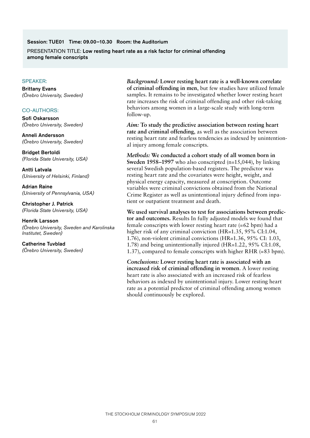# Session: TUE01 Time: 09.00–10.30 Room: the Auditorium

PRESENTATION TITLE: Low resting heart rate as a risk factor for criminal offending among female conscripts

#### SPEAKER:

Brittany Evans *(Örebro University, Sweden)*

#### CO-AUTHORS:

Sofi Oskarsson *(Örebro University, Sweden)*

Anneli Andersson *(Örebro University, Sweden)* 

Bridget Bertoldi *(Florida State University, USA)*

Antti Latvala *(University of Helsinki, Finland)*

Adrian Raine *(University of Pennsylvania, USA)*

Christopher J. Patrick *(Florida State University, USA)* 

Henrik Larsson *(Örebro University, Sweden and Karolinska Institutet, Sweden)* 

Catherine Tuvblad *(Örebro University, Sweden)* 

*Background:* **Lower resting heart rate is a well-known correlate of criminal offending in men**, but few studies have utilized female samples. It remains to be investigated whether lower resting heart rate increases the risk of criminal offending and other risk-taking behaviors among women in a large-scale study with long-term follow-up.

*Aim:* **To study the predictive association between resting heart rate and criminal offending**, as well as the association between resting heart rate and fearless tendencies as indexed by unintentional injury among female conscripts.

*Methods:* **We conducted a cohort study of all women born in Sweden 1958–1997** who also conscripted (n=15,044), by linking several Swedish population-based registers. The predictor was resting heart rate and the covariates were height, weight, and physical energy capacity, measured at conscription. Outcome variables were criminal convictions obtained from the National Crime Register as well as unintentional injury defined from inpatient or outpatient treatment and death.

**We used survival analyses to test for associations between predictor and outcomes.** Results In fully adjusted models we found that female conscripts with lower resting heart rate (=62 bpm) had a higher risk of any criminal conviction (HR=1.35, 95% CI:1.04, 1.76), non-violent criminal convictions (HR=1.36, 95% CI: 1.03, 1.78) and being unintentionally injured (HR=1.22, 95% CI:1.08, 1.37), compared to female conscripts with higher RHR (=83 bpm).

*Conclusions:* **Lower resting heart rate is associated with an increased risk of criminal offending in women**. A lower resting heart rate is also associated with an increased risk of fearless behaviors as indexed by unintentional injury. Lower resting heart rate as a potential predictor of criminal offending among women should continuously be explored.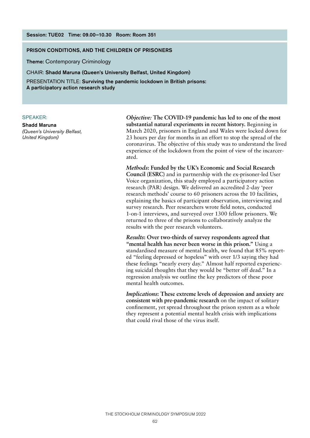#### PRISON CONDITIONS, AND THE CHILDREN OF PRISONERS

Theme: Contemporary Criminology

CHAIR: Shadd Maruna (Queen's University Belfast, United Kingdom)

PRESENTATION TITLE: Surviving the pandemic lockdown in British prisons: A participatory action research study

#### SPEAKER:

Shadd Maruna *(Queen's University Belfast, United Kingdom)*

*Objective:* **The COVID-19 pandemic has led to one of the most substantial natural experiments in recent history.** Beginning in March 2020, prisoners in England and Wales were locked down for 23 hours per day for months in an effort to stop the spread of the coronavirus. The objective of this study was to understand the lived experience of the lockdown from the point of view of the incarcerated.

*Methods***: Funded by the UK's Economic and Social Research Council (ESRC)** and in partnership with the ex-prisoner-led User Voice organization, this study employed a participatory action research (PAR) design. We delivered an accredited 2-day 'peer research methods' course to 60 prisoners across the 10 facilities, explaining the basics of participant observation, interviewing and survey research. Peer researchers wrote field notes, conducted 1-on-1 interviews, and surveyed over 1300 fellow prisoners. We returned to three of the prisons to collaboratively analyze the results with the peer research volunteers.

*Results***: Over two-thirds of survey respondents agreed that "mental health has never been worse in this prison."** Using a standardised measure of mental health, we found that 85% reported "feeling depressed or hopeless" with over 1/3 saying they had these feelings "nearly every day." Almost half reported experiencing suicidal thoughts that they would be "better off dead." In a regression analysis we outline the key predictors of these poor mental health outcomes.

*Implications***: These extreme levels of depression and anxiety are consistent with pre-pandemic research** on the impact of solitary confinement, yet spread throughout the prison system as a whole they represent a potential mental health crisis with implications that could rival those of the virus itself.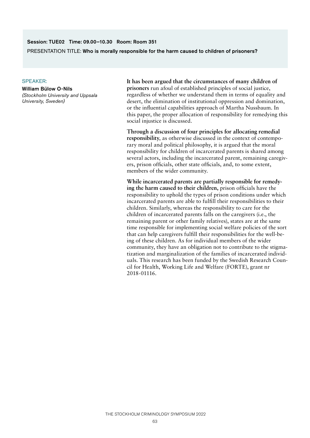# Session: TUE02 Time: 09.00–10.30 Room: Room 351 PRESENTATION TITLE: Who is morally responsible for the harm caused to children of prisoners?

#### SPEAKER:

William Bülow O-Nils *(Stockholm University and Uppsala University, Sweden)*

**It has been argued that the circumstances of many children of prisoners** run afoul of established principles of social justice, regardless of whether we understand them in terms of equality and desert, the elimination of institutional oppression and domination, or the influential capabilities approach of Martha Nussbaum. In this paper, the proper allocation of responsibility for remedying this social injustice is discussed.

**Through a discussion of four principles for allocating remedial responsibility**, as otherwise discussed in the context of contemporary moral and political philosophy, it is argued that the moral responsibility for children of incarcerated parents is shared among several actors, including the incarcerated parent, remaining caregivers, prison officials, other state officials, and, to some extent, members of the wider community.

**While incarcerated parents are partially responsible for remedying the harm caused to their children,** prison officials have the responsibility to uphold the types of prison conditions under which incarcerated parents are able to fulfill their responsibilities to their children. Similarly, whereas the responsibility to care for the children of incarcerated parents falls on the caregivers (i.e., the remaining parent or other family relatives), states are at the same time responsible for implementing social welfare policies of the sort that can help caregivers fulfill their responsibilities for the well-being of these children. As for individual members of the wider community, they have an obligation not to contribute to the stigmatization and marginalization of the families of incarcerated individuals. This research has been funded by the Swedish Research Council for Health, Working Life and Welfare (FORTE), grant nr 2018-01116.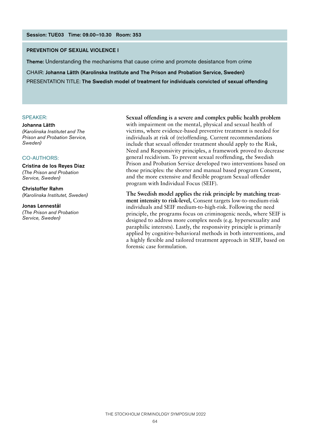#### PREVENTION OF SEXUAL VIOLENCE I

Theme: Understanding the mechanisms that cause crime and promote desistance from crime CHAIR: Johanna Lätth (Karolinska Institute and The Prison and Probation Service, Sweden) PRESENTATION TITLE: The Swedish model of treatment for individuals convicted of sexual offending

#### SPEAKER:

#### Johanna Lätth

*(Karolinska Institutet and The Prison and Probation Service, Sweden)*

# CO-AUTHORS:

Cristina de los Reyes Diaz *(The Prison and Probation Service, Sweden)* 

Christoffer Rahm *(Karolinska Institutet, Sweden)* 

#### Jonas Lennestål

*(The Prison and Probation Service, Sweden)*

**Sexual offending is a severe and complex public health problem** with impairment on the mental, physical and sexual health of victims, where evidence-based preventive treatment is needed for individuals at risk of (re)offending. Current recommendations include that sexual offender treatment should apply to the Risk, Need and Responsivity principles, a framework proved to decrease general recidivism. To prevent sexual reoffending, the Swedish Prison and Probation Service developed two interventions based on those principles: the shorter and manual based program Consent, and the more extensive and flexible program Sexual offender program with Individual Focus (SEIF).

**The Swedish model applies the risk principle by matching treatment intensity to risk-level,** Consent targets low-to-medium-risk individuals and SEIF medium-to-high-risk. Following the need principle, the programs focus on criminogenic needs, where SEIF is designed to address more complex needs (e.g. hypersexuality and paraphilic interests). Lastly, the responsivity principle is primarily applied by cognitive-behavioral methods in both interventions, and a highly flexible and tailored treatment approach in SEIF, based on forensic case formulation.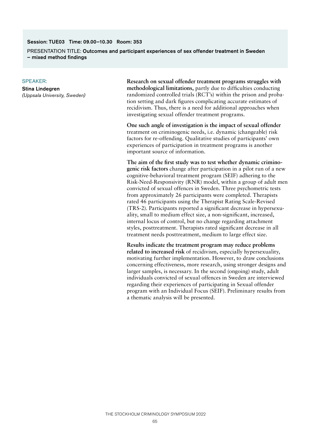#### Session: TUE03 Time: 09.00–10.30 Room: 353

PRESENTATION TITLE: Outcomes and participant experiences of sex offender treatment in Sweden – mixed method findings

#### SPEAKER:

Stina Lindegren *(Uppsala University, Sweden)* 

**Research on sexual offender treatment programs struggles with methodological limitations,** partly due to difficulties conducting randomized controlled trials (RCT's) within the prison and probation setting and dark figures complicating accurate estimates of recidivism. Thus, there is a need for additional approaches when investigating sexual offender treatment programs.

**One such angle of investigation is the impact of sexual offender** treatment on criminogenic needs, i.e. dynamic (changeable) risk factors for re-offending. Qualitative studies of participants' own experiences of participation in treatment programs is another important source of information.

**The aim of the first study was to test whether dynamic criminogenic risk factors** change after participation in a pilot run of a new cognitive-behavioral treatment program (SEIF) adhering to the Risk-Need-Responsivity (RNR) model, within a group of adult men convicted of sexual offences in Sweden. Three psychometric tests from approximately 26 participants were completed. Therapists rated 46 participants using the Therapist Rating Scale-Revised (TRS-2). Participants reported a significant decrease in hypersexuality, small to medium effect size, a non-significant, increased, internal locus of control, but no change regarding attachment styles, posttreatment. Therapists rated significant decrease in all treatment needs posttreatment, medium to large effect size.

**Results indicate the treatment program may reduce problems related to increased risk** of recidivism, especially hypersexuality, motivating further implementation. However, to draw conclusions concerning effectiveness, more research, using stronger designs and larger samples, is necessary. In the second (ongoing) study, adult individuals convicted of sexual offences in Sweden are interviewed regarding their experiences of participating in Sexual offender program with an Individual Focus (SEIF). Preliminary results from a thematic analysis will be presented.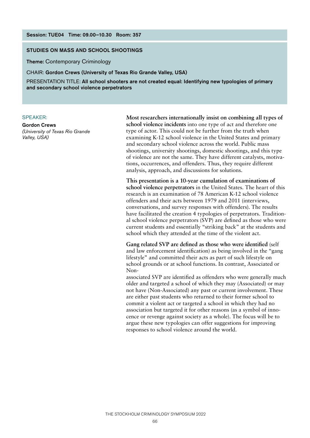# STUDIES ON MASS AND SCHOOL SHOOTINGS

Theme: Contemporary Criminology

CHAIR: Gordon Crews (University of Texas Rio Grande Valley, USA)

PRESENTATION TITLE: All school shooters are not created equal: Identifying new typologies of primary and secondary school violence perpetrators

# SPEAKER:

Gordon Crews *(University of Texas Rio Grande Valley, USA)*

**Most researchers internationally insist on combining all types of school violence incidents** into one type of act and therefore one type of actor. This could not be further from the truth when examining K-12 school violence in the United States and primary and secondary school violence across the world. Public mass shootings, university shootings, domestic shootings, and this type of violence are not the same. They have different catalysts, motivations, occurrences, and offenders. Thus, they require different analysis, approach, and discussions for solutions.

**This presentation is a 10-year cumulation of examinations of school violence perpetrators** in the United States. The heart of this research is an examination of 78 American K-12 school violence offenders and their acts between 1979 and 2011 (interviews, conversations, and survey responses with offenders). The results have facilitated the creation 4 typologies of perpetrators. Traditional school violence perpetrators (SVP) are defined as those who were current students and essentially "striking back" at the students and school which they attended at the time of the violent act.

**Gang related SVP are defined as those who were identified** (self and law enforcement identification) as being involved in the "gang lifestyle" and committed their acts as part of such lifestyle on school grounds or at school functions. In contrast, Associated or Non-

associated SVP are identified as offenders who were generally much older and targeted a school of which they may (Associated) or may not have (Non-Associated) any past or current involvement. These are either past students who returned to their former school to commit a violent act or targeted a school in which they had no association but targeted it for other reasons (as a symbol of innocence or revenge against society as a whole). The focus will be to argue these new typologies can offer suggestions for improving responses to school violence around the world.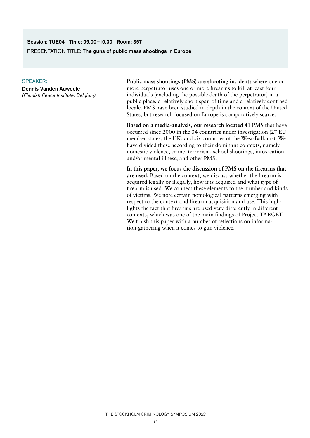Session: TUE04 Time: 09.00–10.30 Room: 357 PRESENTATION TITLE: The guns of public mass shootings in Europe

#### SPEAKER:

Dennis Vanden Auweele *(Flemish Peace Institute, Belgium)*

**Public mass shootings (PMS) are shooting incidents** where one or more perpetrator uses one or more firearms to kill at least four individuals (excluding the possible death of the perpetrator) in a public place, a relatively short span of time and a relatively confined locale. PMS have been studied in-depth in the context of the United States, but research focused on Europe is comparatively scarce.

**Based on a media-analysis, our research located 41 PMS** that have occurred since 2000 in the 34 countries under investigation (27 EU member states, the UK, and six countries of the West-Balkans). We have divided these according to their dominant contexts, namely domestic violence, crime, terrorism, school shootings, intoxication and/or mental illness, and other PMS.

**In this paper, we focus the discussion of PMS on the firearms that are used.** Based on the context, we discuss whether the firearm is acquired legally or illegally, how it is acquired and what type of firearm is used. We connect these elements to the number and kinds of victims. We note certain nomological patterns emerging with respect to the context and firearm acquisition and use. This highlights the fact that firearms are used very differently in different contexts, which was one of the main findings of Project TARGET. We finish this paper with a number of reflections on information-gathering when it comes to gun violence.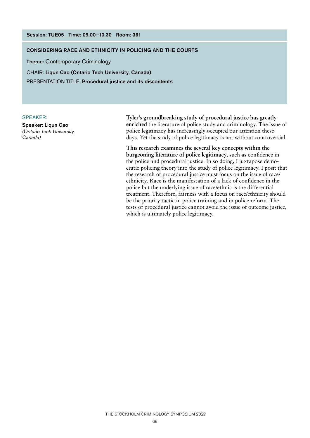Session: TUE05 Time: 09.00–10.30 Room: 361

# CONSIDERING RACE AND ETHNICITY IN POLICING AND THE COURTS

Theme: Contemporary Criminology

CHAIR: Liqun Cao (Ontario Tech University, Canada) PRESENTATION TITLE: Procedural justice and its discontents

#### SPEAKER:

Speaker: Liqun Cao *(Ontario Tech University, Canada)*

**Tyler's groundbreaking study of procedural justice has greatly enriched** the literature of police study and criminology. The issue of police legitimacy has increasingly occupied our attention these days. Yet the study of police legitimacy is not without controversial.

**This research examines the several key concepts within the burgeoning literature of police legitimacy**, such as confidence in the police and procedural justice. In so doing, I juxtapose democratic policing theory into the study of police legitimacy. I posit that the research of procedural justice must focus on the issue of race/ ethnicity. Race is the manifestation of a lack of confidence in the police but the underlying issue of race/ethnic is the differential treatment. Therefore, fairness with a focus on race/ethnicity should be the priority tactic in police training and in police reform. The tests of procedural justice cannot avoid the issue of outcome justice, which is ultimately police legitimacy.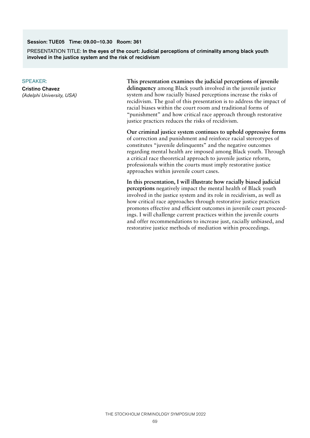#### Session: TUE05 Time: 09.00–10.30 Room: 361

PRESENTATION TITLE: In the eyes of the court: Judicial perceptions of criminality among black youth involved in the justice system and the risk of recidivism

#### SPEAKER:

Cristino Chavez *(Adelphi University, USA)* **This presentation examines the judicial perceptions of juvenile delinquency** among Black youth involved in the juvenile justice system and how racially biased perceptions increase the risks of recidivism. The goal of this presentation is to address the impact of racial biases within the court room and traditional forms of "punishment" and how critical race approach through restorative justice practices reduces the risks of recidivism.

**Our criminal justice system continues to uphold oppressive forms** of correction and punishment and reinforce racial stereotypes of constitutes "juvenile delinquents" and the negative outcomes regarding mental health are imposed among Black youth. Through a critical race theoretical approach to juvenile justice reform, professionals within the courts must imply restorative justice approaches within juvenile court cases.

**In this presentation, I will illustrate how racially biased judicial perceptions** negatively impact the mental health of Black youth involved in the justice system and its role in recidivism, as well as how critical race approaches through restorative justice practices promotes effective and efficient outcomes in juvenile court proceedings. I will challenge current practices within the juvenile courts and offer recommendations to increase just, racially unbiased, and restorative justice methods of mediation within proceedings.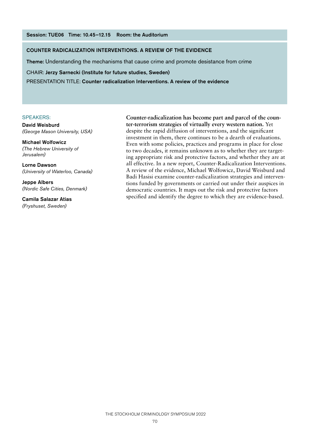Session: TUE06 Time: 10.45–12.15 Room: the Auditorium

# COUNTER RADICALIZATION INTERVENTIONS. A REVIEW OF THE EVIDENCE

Theme: Understanding the mechanisms that cause crime and promote desistance from crime

CHAIR: Jerzy Sarnecki (Institute for future studies, Sweden)

PRESENTATION TITLE: Counter radicalization Interventions. A review of the evidence

#### SPEAKERS:

David Weisburd *(George Mason University, USA)*

Michael Wolfowicz *(The Hebrew University of Jerusalem)*

Lorne Dawson *(University of Waterloo, Canada)*

Jeppe Albers *(Nordic Safe Cities, Denmark)* 

Camila Salazar Atias *(Fryshuset, Sweden)*

**Counter-radicalization has become part and parcel of the counter-terrorism strategies of virtually every western nation.** Yet despite the rapid diffusion of interventions, and the significant investment in them, there continues to be a dearth of evaluations. Even with some policies, practices and programs in place for close to two decades, it remains unknown as to whether they are targeting appropriate risk and protective factors, and whether they are at all effective. In a new report, Counter-Radicalization Interventions. A review of the evidence, Michael Wolfowicz, David Weisburd and Badi Hasisi examine counter-radicalization strategies and interventions funded by governments or carried out under their auspices in democratic countries. It maps out the risk and protective factors specified and identify the degree to which they are evidence-based.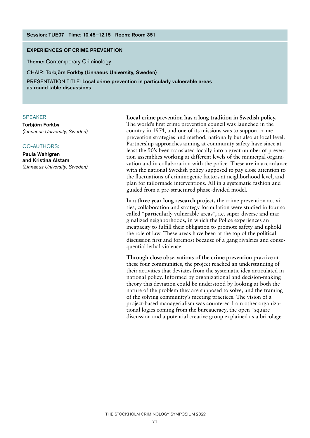# EXPERIENCES OF CRIME PREVENTION

Theme: Contemporary Criminology

CHAIR: Torbjörn Forkby (Linnaeus University, Sweden)

PRESENTATION TITLE: Local crime prevention in particularly vulnerable areas as round table discussions

# SPEAKER:

Torbjörn Forkby *(Linnaeus University, Sweden)*

# CO-AUTHORS:

Paula Wahlgren and Kristina Alstam *(Linnaeus University, Sweden)* **Local crime prevention has a long tradition in Swedish policy.** The world's first crime prevention council was launched in the country in 1974, and one of its missions was to support crime prevention strategies and method, nationally but also at local level. Partnership approaches aiming at community safety have since at least the 90's been translated locally into a great number of prevention assemblies working at different levels of the municipal organization and in collaboration with the police. These are in accordance with the national Swedish policy supposed to pay close attention to the fluctuations of criminogenic factors at neighborhood level, and plan for tailormade interventions. All in a systematic fashion and guided from a pre-structured phase-divided model.

**In a three year long research project,** the crime prevention activities, collaboration and strategy formulation were studied in four so called "particularly vulnerable areas", i.e. super-diverse and marginalized neighborhoods, in which the Police experiences an incapacity to fulfill their obligation to promote safety and uphold the role of law. These areas have been at the top of the political discussion first and foremost because of a gang rivalries and consequential lethal violence.

**Through close observations of the crime prevention practice** at these four communities, the project reached an understanding of their activities that deviates from the systematic idea articulated in national policy. Informed by organizational and decision-making theory this deviation could be understood by looking at both the nature of the problem they are supposed to solve, and the framing of the solving community's meeting practices. The vision of a project-based managerialism was countered from other organizational logics coming from the bureaucracy, the open "square" discussion and a potential creative group explained as a bricolage.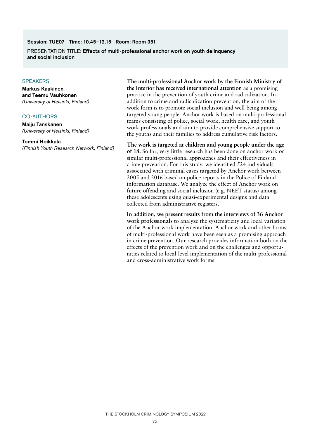# Session: TUE07 Time: 10.45–12.15 Room: Room 351

PRESENTATION TITLE: Effects of multi-professional anchor work on youth delinquency and social inclusion

#### SPEAKERS:

Markus Kaakinen and Teemu Vauhkonen *(University of Helsinki, Finland)*

# CO-AUTHORS:

Maiju Tanskanen *(University of Helsinki, Finland)* 

Tommi Hoikkala *(Finnish Youth Research Network, Finland)* **The multi-professional Anchor work by the Finnish Ministry of the Interior has received international attention** as a promising practice in the prevention of youth crime and radicalization. In addition to crime and radicalization prevention, the aim of the work form is to promote social inclusion and well-being among targeted young people. Anchor work is based on multi-professional teams consisting of police, social work, health care, and youth work professionals and aim to provide comprehensive support to the youths and their families to address cumulative risk factors.

**The work is targeted at children and young people under the age of 18.** So far, very little research has been done on anchor work or similar multi-professional approaches and their effectiveness in crime prevention. For this study, we identified 524 individuals associated with criminal cases targeted by Anchor work between 2005 and 2016 based on police reports in the Police of Finland information database. We analyze the effect of Anchor work on future offending and social inclusion (e.g. NEET status) among these adolescents using quasi-experimental designs and data collected from administrative registers.

**In addition, we present results from the interviews of 36 Anchor work professionals** to analyze the systematicity and local variation of the Anchor work implementation. Anchor work and other forms of multi-professional work have been seen as a promising approach in crime prevention. Our research provides information both on the effects of the prevention work and on the challenges and opportunities related to local-level implementation of the multi-professional and cross-administrative work forms.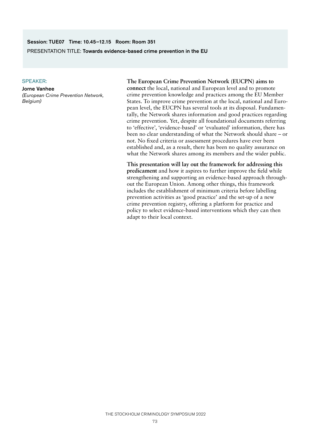# Session: TUE07 Time: 10.45–12.15 Room: Room 351 PRESENTATION TITLE: Towards evidence-based crime prevention in the EU

#### SPEAKER:

# Jorne Vanhee

*(European Crime Prevention Network, Belgium)*

**The European Crime Prevention Network (EUCPN) aims to connect** the local, national and European level and to promote crime prevention knowledge and practices among the EU Member States. To improve crime prevention at the local, national and European level, the EUCPN has several tools at its disposal. Fundamentally, the Network shares information and good practices regarding crime prevention. Yet, despite all foundational documents referring to 'effective', 'evidence-based' or 'evaluated' information, there has been no clear understanding of what the Network should share – or not. No fixed criteria or assessment procedures have ever been established and, as a result, there has been no quality assurance on what the Network shares among its members and the wider public.

**This presentation will lay out the framework for addressing this predicament** and how it aspires to further improve the field while strengthening and supporting an evidence-based approach throughout the European Union. Among other things, this framework includes the establishment of minimum criteria before labelling prevention activities as 'good practice' and the set-up of a new crime prevention registry, offering a platform for practice and policy to select evidence-based interventions which they can then adapt to their local context.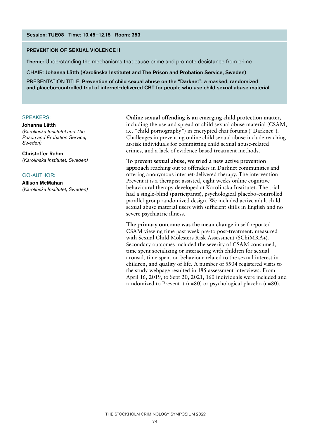### PREVENTION OF SEXUAL VIOLENCE II

Theme: Understanding the mechanisms that cause crime and promote desistance from crime

CHAIR: Johanna Lätth (Karolinska Institutet and The Prison and Probation Service, Sweden)

PRESENTATION TITLE: Prevention of child sexual abuse on the "Darknet": a masked, randomized and placebo-controlled trial of internet-delivered CBT for people who use child sexual abuse material

## SPEAKERS:

## Johanna Lätth

*(Karolinska Institutet and The Prison and Probation Service, Sweden)* 

Christoffer Rahm *(Karolinska Institutet, Sweden)*

## CO-AUTHOR:

Allison McMahan *(Karolinska Institutet, Sweden)* **Online sexual offending is an emerging child protection matter,**  including the use and spread of child sexual abuse material (CSAM, i.e. "child pornography") in encrypted chat forums ("Darknet"). Challenges in preventing online child sexual abuse include reaching at-risk individuals for committing child sexual abuse-related crimes, and a lack of evidence-based treatment methods.

**To prevent sexual abuse, we tried a new active prevention approach** reaching out to offenders in Darknet communities and offering anonymous internet-delivered therapy. The intervention Prevent it is a therapist-assisted, eight weeks online cognitive behavioural therapy developed at Karolinska Institutet. The trial had a single-blind (participants), psychological placebo-controlled parallel-group randomized design. We included active adult child sexual abuse material users with sufficient skills in English and no severe psychiatric illness.

**The primary outcome was the mean change** in self-reported CSAM viewing time past week pre-to post-treatment, measured with Sexual Child Molesters Risk Assessment (SChiMRA+). Secondary outcomes included the severity of CSAM consumed, time spent socializing or interacting with children for sexual arousal, time spent on behaviour related to the sexual interest in children, and quality of life. A number of 5504 registered visits to the study webpage resulted in 185 assessment interviews. From April 16, 2019, to Sept 20, 2021, 160 individuals were included and randomized to Prevent it (n=80) or psychological placebo (n=80).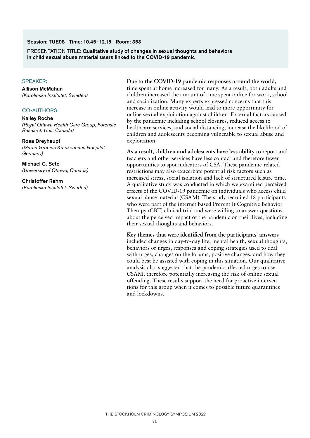## Session: TUE08 Time: 10.45–12.15 Room: 353

PRESENTATION TITLE: Qualitative study of changes in sexual thoughts and behaviors in child sexual abuse material users linked to the COVID-19 pandemic

## SPEAKER:

Allison McMahan *(Karolinska Institutet, Sweden)*

### CO-AUTHORS:

Kailey Roche

*(Royal Ottawa Health Care Group, Forensic Research Unit, Canada)*

## Rosa Dreyhaupt

*(Martin Gropius Krankenhaus Hospital, Germany)*

Michael C. Seto *(University of Ottawa, Canada)* 

Christoffer Rahm *(Karolinska Institutet, Sweden)* **Due to the COVID-19 pandemic responses around the world,**

time spent at home increased for many. As a result, both adults and children increased the amount of time spent online for work, school and socialization. Many experts expressed concerns that this increase in online activity would lead to more opportunity for online sexual exploitation against children. External factors caused by the pandemic including school closures, reduced access to healthcare services, and social distancing, increase the likelihood of children and adolescents becoming vulnerable to sexual abuse and exploitation.

**As a result, children and adolescents have less ability** to report and teachers and other services have less contact and therefore fewer opportunities to spot indicators of CSA. These pandemic-related restrictions may also exacerbate potential risk factors such as increased stress, social isolation and lack of structured leisure time. A qualitative study was conducted in which we examined perceived effects of the COVID-19 pandemic on individuals who access child sexual abuse material (CSAM). The study recruited 18 participants who were part of the internet based Prevent It Cognitive Behavior Therapy (CBT) clinical trial and were willing to answer questions about the perceived impact of the pandemic on their lives, including their sexual thoughts and behaviors.

**Key themes that were identified from the participants' answers** included changes in day-to-day life, mental health, sexual thoughts, behaviors or urges, responses and coping strategies used to deal with urges, changes on the forums, positive changes, and how they could best be assisted with coping in this situation. Our qualitative analysis also suggested that the pandemic affected urges to use CSAM, therefore potentially increasing the risk of online sexual offending. These results support the need for proactive interventions for this group when it comes to possible future quarantines and lockdowns.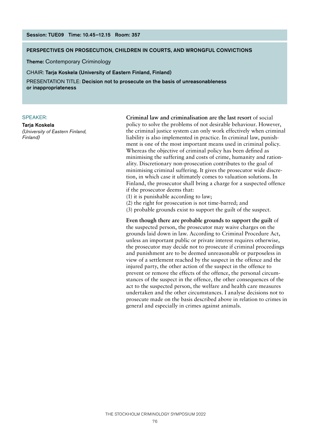## Session: TUE09 Time: 10.45–12.15 Room: 357

#### PERSPECTIVES ON PROSECUTION, CHILDREN IN COURTS, AND WRONGFUL CONVICTIONS

Theme: Contemporary Criminology

CHAIR: Tarja Koskela (University of Eastern Finland, Finland)

PRESENTATION TITLE: Decision not to prosecute on the basis of unreasonableness or inappropriateness

#### SPEAKER:

**Taria Koskela** *(University of Eastern Finland, Finland)*

**Criminal law and criminalisation are the last resort** of social policy to solve the problems of not desirable behaviour. However, the criminal justice system can only work effectively when criminal liability is also implemented in practice. In criminal law, punishment is one of the most important means used in criminal policy. Whereas the objective of criminal policy has been defined as minimising the suffering and costs of crime, humanity and rationality. Discretionary non-prosecution contributes to the goal of minimising criminal suffering. It gives the prosecutor wide discretion, in which case it ultimately comes to valuation solutions. In Finland, the prosecutor shall bring a charge for a suspected offence if the prosecutor deems that:

- (1) it is punishable according to law;
- (2) the right for prosecution is not time-barred; and
- (3) probable grounds exist to support the guilt of the suspect.

**Even though there are probable grounds to support the guilt** of the suspected person, the prosecutor may waive charges on the grounds laid down in law. According to Criminal Procedure Act, unless an important public or private interest requires otherwise, the prosecutor may decide not to prosecute if criminal proceedings and punishment are to be deemed unreasonable or purposeless in view of a settlement reached by the suspect in the offence and the injured party, the other action of the suspect in the offence to prevent or remove the effects of the offence, the personal circumstances of the suspect in the offence, the other consequences of the act to the suspected person, the welfare and health care measures undertaken and the other circumstances. I analyse decisions not to prosecute made on the basis described above in relation to crimes in general and especially in crimes against animals.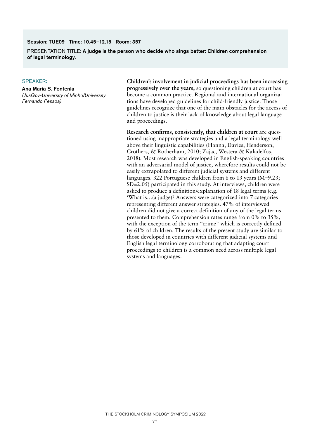## Session: TUE09 Time: 10.45–12.15 Room: 357

PRESENTATION TITLE: A judge is the person who decide who sings better: Children comprehension of legal terminology.

#### SPEAKER:

### Ana Maria S. Fontenla

*(JusGov-University of Minho/University Fernando Pessoa)*

**Children's involvement in judicial proceedings has been increasing progressively over the years,** so questioning children at court has become a common practice. Regional and international organizations have developed guidelines for child-friendly justice. Those guidelines recognize that one of the main obstacles for the access of children to justice is their lack of knowledge about legal language and proceedings.

**Research confirms, consistently, that children at court** are questioned using inappropriate strategies and a legal terminology well above their linguistic capabilities (Hanna, Davies, Henderson, Crothers, & Rotherham, 2010; Zajac, Westera & Kaladelfos, 2018). Most research was developed in English-speaking countries with an adversarial model of justice, wherefore results could not be easily extrapolated to different judicial systems and different languages. 322 Portuguese children from 6 to 13 years (M=9.23; SD=2.05) participated in this study. At interviews, children were asked to produce a definition/explanation of 18 legal terms (e.g. 'What is…(a judge)? Answers were categorized into 7 categories representing different answer strategies. 47% of interviewed children did not give a correct definition of any of the legal terms presented to them. Comprehension rates range from 0% to 35%, with the exception of the term "crime" which is correctly defined by 61% of children. The results of the present study are similar to those developed in countries with different judicial systems and English legal terminology corroborating that adapting court proceedings to children is a common need across multiple legal systems and languages.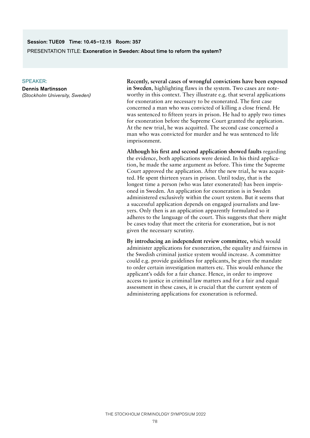# Session: TUE09 Time: 10.45–12.15 Room: 357 PRESENTATION TITLE: Exoneration in Sweden: About time to reform the system?

#### SPEAKER:

Dennis Martinsson *(Stockholm University, Sweden)* **Recently, several cases of wrongful convictions have been exposed in Sweden**, highlighting flaws in the system. Two cases are noteworthy in this context. They illustrate e.g. that several applications for exoneration are necessary to be exonerated. The first case concerned a man who was convicted of killing a close friend. He was sentenced to fifteen years in prison. He had to apply two times for exoneration before the Supreme Court granted the application. At the new trial, he was acquitted. The second case concerned a man who was convicted for murder and he was sentenced to life imprisonment.

**Although his first and second application showed faults** regarding the evidence, both applications were denied. In his third application, he made the same argument as before. This time the Supreme Court approved the application. After the new trial, he was acquitted. He spent thirteen years in prison. Until today, that is the longest time a person (who was later exonerated) has been imprisoned in Sweden. An application for exoneration is in Sweden administered exclusively within the court system. But it seems that a successful application depends on engaged journalists and lawyers. Only then is an application apparently formulated so it adheres to the language of the court. This suggests that there might be cases today that meet the criteria for exoneration, but is not given the necessary scrutiny.

**By introducing an independent review committee,** which would administer applications for exoneration, the equality and fairness in the Swedish criminal justice system would increase. A committee could e.g. provide guidelines for applicants, be given the mandate to order certain investigation matters etc. This would enhance the applicant's odds for a fair chance. Hence, in order to improve access to justice in criminal law matters and for a fair and equal assessment in these cases, it is crucial that the current system of administering applications for exoneration is reformed.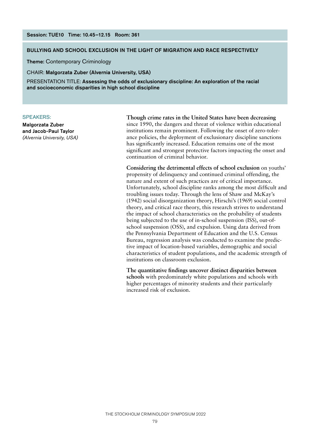## Session: TUE10 Time: 10.45–12.15 Room: 361

## BULLYING AND SCHOOL EXCLUSION IN THE LIGHT OF MIGRATION AND RACE RESPECTIVELY

Theme: Contemporary Criminology

CHAIR: Malgorzata Zuber (Alvernia University, USA)

PRESENTATION TITLE: Assessing the odds of exclusionary discipline: An exploration of the racial and socioeconomic disparities in high school discipline

# SPEAKERS:

Malgorzata Zuber and Jacob-Paul Taylor *(Alvernia University, USA)* **Though crime rates in the United States have been decreasing** since 1990, the dangers and threat of violence within educational institutions remain prominent. Following the onset of zero-tolerance policies, the deployment of exclusionary discipline sanctions has significantly increased. Education remains one of the most significant and strongest protective factors impacting the onset and continuation of criminal behavior.

**Considering the detrimental effects of school exclusion** on youths' propensity of delinquency and continued criminal offending, the nature and extent of such practices are of critical importance. Unfortunately, school discipline ranks among the most difficult and troubling issues today. Through the lens of Shaw and McKay's (1942) social disorganization theory, Hirschi's (1969) social control theory, and critical race theory, this research strives to understand the impact of school characteristics on the probability of students being subjected to the use of in-school suspension (ISS), out-ofschool suspension (OSS), and expulsion. Using data derived from the Pennsylvania Department of Education and the U.S. Census Bureau, regression analysis was conducted to examine the predictive impact of location-based variables, demographic and social characteristics of student populations, and the academic strength of institutions on classroom exclusion.

**The quantitative findings uncover distinct disparities between schools** with predominately white populations and schools with higher percentages of minority students and their particularly increased risk of exclusion.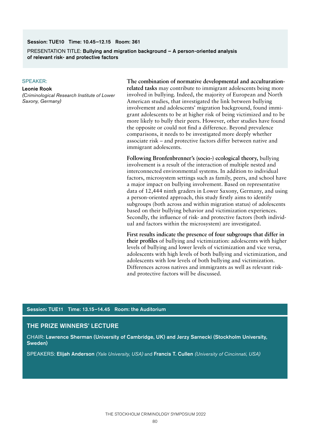# Session: TUE10 Time: 10.45–12.15 Room: 361

PRESENTATION TITLE: Bullying and migration background – A person-oriented analysis of relevant risk- and protective factors

#### SPEAKER:

## Leonie Rook

*(Criminological Research Institute of Lower Saxony, Germany)*

**The combination of normative developmental and acculturationrelated tasks** may contribute to immigrant adolescents being more involved in bullying. Indeed, the majority of European and North American studies, that investigated the link between bullying involvement and adolescents' migration background, found immigrant adolescents to be at higher risk of being victimized and to be more likely to bully their peers. However, other studies have found the opposite or could not find a difference. Beyond prevalence comparisons, it needs to be investigated more deeply whether associate risk – and protective factors differ between native and immigrant adolescents.

**Following Bronfenbrenner's (socio-) ecological theory,** bullying involvement is a result of the interaction of multiple nested and interconnected environmental systems. In addition to individual factors, microsystem settings such as family, peers, and school have a major impact on bullying involvement. Based on representative data of 12,444 ninth graders in Lower Saxony, Germany, and using a person-oriented approach, this study firstly aims to identify subgroups (both across and within migration status) of adolescents based on their bullying behavior and victimization experiences. Secondly, the influence of risk- and protective factors (both individual and factors within the microsystem) are investigated.

**First results indicate the presence of four subgroups that differ in their profiles** of bullying and victimization: adolescents with higher levels of bullying and lower levels of victimization and vice versa, adolescents with high levels of both bullying and victimization, and adolescents with low levels of both bullying and victimization. Differences across natives and immigrants as well as relevant riskand protective factors will be discussed.

#### Session: TUE11 Time: 13.15–14.45 Room: the Auditorium

## THE PRIZE WINNERS' LECTURE

CHAIR: Lawrence Sherman (University of Cambridge, UK) and Jerzy Sarnecki (Stockholm University, Sweden)

SPEAKERS: Elijah Anderson *(Yale University, USA)* and Francis T. Cullen *(University of Cincinnati, USA)*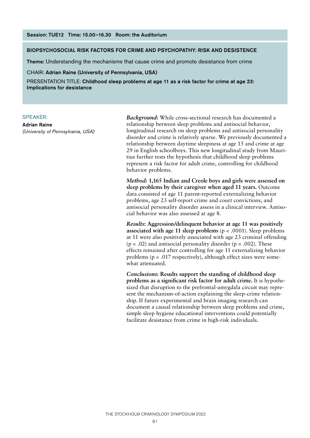## BIOPSYCHOSOCIAL RISK FACTORS FOR CRIME AND PSYCHOPATHY: RISK AND DESISTENCE

Theme: Understanding the mechanisms that cause crime and promote desistance from crime

CHAIR: Adrian Raine (University of Pennsylvania, USA)

PRESENTATION TITLE: Childhood sleep problems at age 11 as a risk factor for crime at age 23: Implications for desistance

# SPEAKER:

Adrian Raine *(University of Pennsylvania, USA)* *Background***:** While cross-sectional research has documented a relationship between sleep problems and antisocial behavior, longitudinal research on sleep problems and antisocial personality disorder and crime is relatively sparse. We previously documented a relationship between daytime sleepiness at age 15 and crime at age 29 in English schoolboys. This new longitudinal study from Mauritius further tests the hypothesis that childhood sleep problems represent a risk factor for adult crime, controlling for childhood behavior problems.

*Method***: 1,165 Indian and Creole boys and girls were assessed on sleep problems by their caregiver when aged 11 years.** Outcome data consisted of age 11 parent-reported externalizing behavior problems, age 23 self-report crime and court convictions, and antisocial personality disorder assess in a clinical interview. Antisocial behavior was also assessed at age 8.

*Results***: Aggression/delinquent behavior at age 11 was positively associated with age 11 sleep problems** (p < .0001). Sleep problems at 11 were also positively associated with age 23 criminal offending  $(p = .02)$  and antisocial personality disorder  $(p = .002)$ . These effects remained after controlling for age 11 externalizing behavior problems ( $p = .017$  respectively), although effect sizes were somewhat attenuated.

*Conclusions***: Results support the standing of childhood sleep problems as a significant risk factor for adult crime.** It is hypothesized that disruption to the prefrontal-amygdala circuit may represent the mechanism-of-action explaining the sleep-crime relationship. If future experimental and brain imaging research can document a causal relationship between sleep problems and crime, simple sleep hygiene educational interventions could potentially facilitate desistance from crime in high-risk individuals.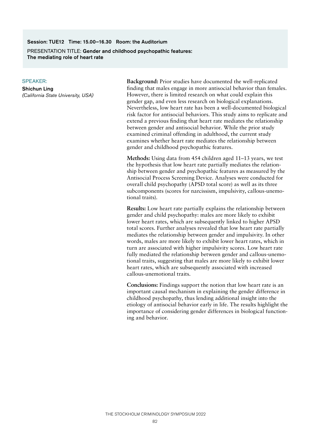# Session: TUE12 Time: 15.00–16.30 Room: the Auditorium PRESENTATION TITLE: Gender and childhood psychopathic features: The mediating role of heart rate

#### SPEAKER:

Shichun Ling *(California State University, USA)*

**Background:** Prior studies have documented the well-replicated finding that males engage in more antisocial behavior than females. However, there is limited research on what could explain this gender gap, and even less research on biological explanations. Nevertheless, low heart rate has been a well-documented biological risk factor for antisocial behaviors. This study aims to replicate and extend a previous finding that heart rate mediates the relationship between gender and antisocial behavior. While the prior study examined criminal offending in adulthood, the current study examines whether heart rate mediates the relationship between gender and childhood psychopathic features.

**Methods:** Using data from 454 children aged 11–13 years, we test the hypothesis that low heart rate partially mediates the relationship between gender and psychopathic features as measured by the Antisocial Process Screening Device. Analyses were conducted for overall child psychopathy (APSD total score) as well as its three subcomponents (scores for narcissism, impulsivity, callous-unemotional traits).

**Results:** Low heart rate partially explains the relationship between gender and child psychopathy: males are more likely to exhibit lower heart rates, which are subsequently linked to higher APSD total scores. Further analyses revealed that low heart rate partially mediates the relationship between gender and impulsivity. In other words, males are more likely to exhibit lower heart rates, which in turn are associated with higher impulsivity scores. Low heart rate fully mediated the relationship between gender and callous-unemotional traits, suggesting that males are more likely to exhibit lower heart rates, which are subsequently associated with increased callous-unemotional traits.

**Conclusions:** Findings support the notion that low heart rate is an important causal mechanism in explaining the gender difference in childhood psychopathy, thus lending additional insight into the etiology of antisocial behavior early in life. The results highlight the importance of considering gender differences in biological functioning and behavior.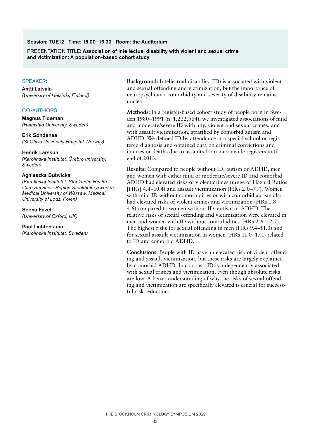# Session: TUE12 Time: 15.00–16.30 Room: the Auditorium

PRESENTATION TITLE: Association of intellectual disability with violent and sexual crime and victimization: A population-based cohort study

## SPEAKER:

Antti Latvala *(University of Helsinki, Finland)*

### CO-AUTHORS:

Magnus Tideman *(Halmstad University, Sweden)*

Erik Søndenaa *(St Olavs University Hospital, Norway)*

#### Henrik Larsson

*(Karolinska Institutet, Örebro university, Sweden)*

## Agnieszka Butwicka

*(Karolinska Institutet, Stockholm Health Care Services, Region Stockholm,Sweden, Medical University of Warsaw, Medical University of Lodz, Polen)* 

#### Seena Fazel

*(University of Oxford, UK)*

## Paul Lichtenstein

*(Karolinska Institutet, Sweden)*

**Background:** Intellectual disability (ID) is associated with violent and sexual offending and victimization, but the importance of neuropsychiatric comorbidity and severity of disability remains unclear.

**Methods:** In a register-based cohort study of people born in Sweden 1980–1991 (n=1,232,564), we investigated associations of mild and moderate/severe ID with any, violent and sexual crimes, and with assault victimization, stratified by comorbid autism and ADHD. We defined ID by attendance at a special school or registered diagnosis and obtained data on criminal convictions and injuries or deaths due to assaults from nationwide registers until end of 2013.

**Results:** Compared to people without ID, autism or ADHD, men and women with either mild or moderate/severe ID and comorbid ADHD had elevated risks of violent crimes (range of Hazard Ratios [HRs] 4.4–10.4) and assault victimization (HRs 2.0–7.7). Women with mild ID without comorbidities or with comorbid autism also had elevated risks of violent crimes and victimization (HRs 1.8– 4.6) compared to women without ID, autism or ADHD. The relative risks of sexual offending and victimization were elevated in men and women with ID without comorbidities (HRs 2.6–12.7). The highest risks for sexual offending in men (HRs 9.4–11.0) and for sexual assault victimization in women (HRs 11.0–17.1) related to ID and comorbid ADHD.

**Conclusions:** People with ID have an elevated risk of violent offending and assault victimization, but these risks are largely explained by comorbid ADHD. In contrast, ID is independently associated with sexual crimes and victimization, even though absolute risks are low. A better understanding of why the risks of sexual offending and victimization are specifically elevated is crucial for successful risk reduction.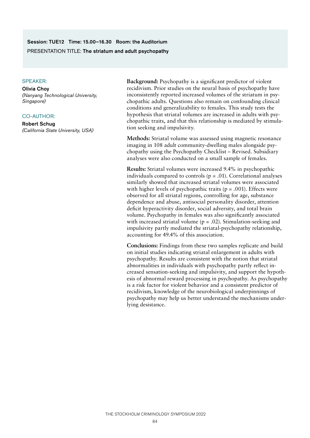# Session: TUE12 Time: 15.00–16.30 Room: the Auditorium PRESENTATION TITLE: The striatum and adult psychopathy

#### SPEAKER:

## Olivia Choy

*(Nanyang Technological University, Singapore)*

# CO-AUTHOR:

Robert Schug *(California State University, USA)* **Background:** Psychopathy is a significant predictor of violent recidivism. Prior studies on the neural basis of psychopathy have inconsistently reported increased volumes of the striatum in psychopathic adults. Questions also remain on confounding clinical conditions and generalizability to females. This study tests the hypothesis that striatal volumes are increased in adults with psychopathic traits, and that this relationship is mediated by stimulation seeking and impulsivity.

**Methods:** Striatal volume was assessed using magnetic resonance imaging in 108 adult community-dwelling males alongside psychopathy using the Psychopathy Checklist – Revised. Subsidiary analyses were also conducted on a small sample of females.

**Results:** Striatal volumes were increased 9.4% in psychopathic individuals compared to controls  $(p = .01)$ . Correlational analyses similarly showed that increased striatal volumes were associated with higher levels of psychopathic traits ( $p = .001$ ). Effects were observed for all striatal regions, controlling for age, substance dependence and abuse, antisocial personality disorder, attention deficit hyperactivity disorder, social adversity, and total brain volume. Psychopathy in females was also significantly associated with increased striatal volume  $(p = .02)$ . Stimulation-seeking and impulsivity partly mediated the striatal-psychopathy relationship, accounting for 49.4% of this association.

**Conclusions:** Findings from these two samples replicate and build on initial studies indicating striatal enlargement in adults with psychopathy. Results are consistent with the notion that striatal abnormalities in individuals with psychopathy partly reflect increased sensation-seeking and impulsivity, and support the hypothesis of abnormal reward processing in psychopathy. As psychopathy is a risk factor for violent behavior and a consistent predictor of recidivism, knowledge of the neurobiological underpinnings of psychopathy may help us better understand the mechanisms underlying desistance.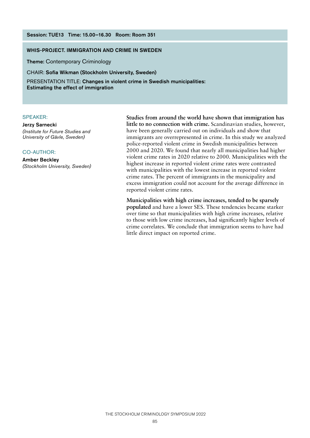## WHIS-PROJECT. IMMIGRATION AND CRIME IN SWEDEN

Theme: Contemporary Criminology

CHAIR: Sofia Wikman (Stockholm University, Sweden)

PRESENTATION TITLE: Changes in violent crime in Swedish municipalities: Estimating the effect of immigration

# SPEAKER:

Jerzy Sarnecki *(Institute for Future Studies and University of Gävle, Sweden)* 

#### CO-AUTHOR:

Amber Beckley *(Stockholm University, Sweden)* **Studies from around the world have shown that immigration has little to no connection with crime.** Scandinavian studies, however, have been generally carried out on individuals and show that immigrants are overrepresented in crime. In this study we analyzed police-reported violent crime in Swedish municipalities between 2000 and 2020. We found that nearly all municipalities had higher violent crime rates in 2020 relative to 2000. Municipalities with the highest increase in reported violent crime rates were contrasted with municipalities with the lowest increase in reported violent crime rates. The percent of immigrants in the municipality and excess immigration could not account for the average difference in reported violent crime rates.

**Municipalities with high crime increases, tended to be sparsely populated** and have a lower SES. These tendencies became starker over time so that municipalities with high crime increases, relative to those with low crime increases, had significantly higher levels of crime correlates. We conclude that immigration seems to have had little direct impact on reported crime.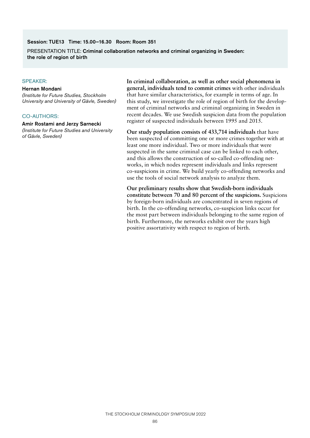PRESENTATION TITLE: Criminal collaboration networks and criminal organizing in Sweden: the role of region of birth

## SPEAKER:

### Hernan Mondani

*(Institute for Future Studies, Stockholm University and University of Gävle, Sweden)*

#### CO-AUTHORS:

#### Amir Rostami and Jerzy Sarnecki

*(Institute for Future Studies and University of Gävle, Sweden)*

**In criminal collaboration, as well as other social phenomena in general, individuals tend to commit crimes** with other individuals that have similar characteristics, for example in terms of age. In this study, we investigate the role of region of birth for the development of criminal networks and criminal organizing in Sweden in recent decades. We use Swedish suspicion data from the population register of suspected individuals between 1995 and 2015.

**Our study population consists of 433,714 individuals** that have been suspected of committing one or more crimes together with at least one more individual. Two or more individuals that were suspected in the same criminal case can be linked to each other, and this allows the construction of so-called co-offending networks, in which nodes represent individuals and links represent co-suspicions in crime. We build yearly co-offending networks and use the tools of social network analysis to analyze them.

**Our preliminary results show that Swedish-born individuals constitute between 70 and 80 percent of the suspicions.** Suspicions by foreign-born individuals are concentrated in seven regions of birth. In the co-offending networks, co-suspicion links occur for the most part between individuals belonging to the same region of birth. Furthermore, the networks exhibit over the years high positive assortativity with respect to region of birth.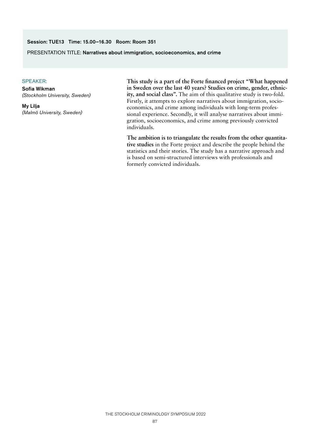PRESENTATION TITLE: Narratives about immigration, socioeconomics, and crime

#### SPEAKER:

Sofia Wikman *(Stockholm University, Sweden)*

My Lilja *(Malmö University, Sweden)* 

**This study is a part of the Forte financed project "What happened in Sweden over the last 40 years? Studies on crime, gender, ethnicity, and social class".** The aim of this qualitative study is two-fold. Firstly, it attempts to explore narratives about immigration, socioeconomics, and crime among individuals with long-term professional experience. Secondly, it will analyse narratives about immigration, socioeconomics, and crime among previously convicted individuals.

**The ambition is to triangulate the results from the other quantitative studies** in the Forte project and describe the people behind the statistics and their stories. The study has a narrative approach and is based on semi-structured interviews with professionals and formerly convicted individuals.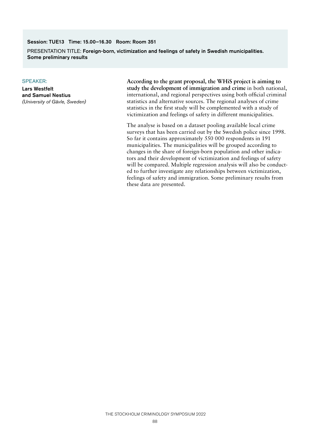PRESENTATION TITLE: Foreign-born, victimization and feelings of safety in Swedish municipalities. Some preliminary results

#### SPEAKER:

Lars Westfelt and Samuel Nestius *(University of Gävle, Sweden)* **According to the grant proposal, the WHiS project is aiming to study the development of immigration and crime** in both national, international, and regional perspectives using both official criminal statistics and alternative sources. The regional analyses of crime statistics in the first study will be complemented with a study of victimization and feelings of safety in different municipalities.

The analyse is based on a dataset pooling available local crime surveys that has been carried out by the Swedish police since 1998. So far it contains approximately 550 000 respondents in 191 municipalities. The municipalities will be grouped according to changes in the share of foreign-born population and other indicators and their development of victimization and feelings of safety will be compared. Multiple regression analysis will also be conducted to further investigate any relationships between victimization, feelings of safety and immigration. Some preliminary results from these data are presented.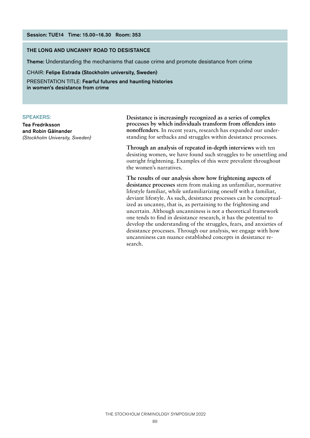## THE LONG AND UNCANNY ROAD TO DESISTANCE

Theme: Understanding the mechanisms that cause crime and promote desistance from crime

CHAIR: Felipe Estrada (Stockholm university, Sweden)

PRESENTATION TITLE: Fearful futures and haunting histories in women's desistance from crime

## SPEAKERS:

Tea Fredriksson and Robin Gålnander *(Stockholm University, Sweden)* **Desistance is increasingly recognized as a series of complex processes by which individuals transform from offenders into nonoffenders**. In recent years, research has expanded our understanding for setbacks and struggles within desistance processes.

**Through an analysis of repeated in-depth interviews** with ten desisting women, we have found such struggles to be unsettling and outright frightening. Examples of this were prevalent throughout the women's narratives.

**The results of our analysis show how frightening aspects of desistance processes** stem from making an unfamiliar, normative lifestyle familiar, while unfamiliarizing oneself with a familiar, deviant lifestyle. As such, desistance processes can be conceptualized as uncanny, that is, as pertaining to the frightening and uncertain. Although uncanniness is not a theoretical framework one tends to find in desistance research, it has the potential to develop the understanding of the struggles, fears, and anxieties of desistance processes. Through our analysis, we engage with how uncanniness can nuance established concepts in desistance research.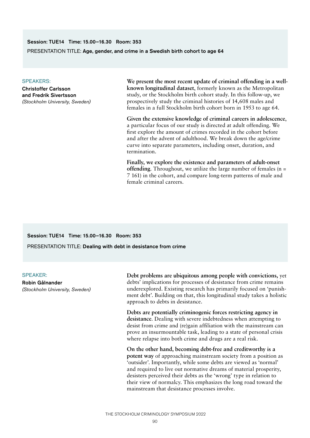Session: TUE14 Time: 15.00–16.30 Room: 353 PRESENTATION TITLE: Age, gender, and crime in a Swedish birth cohort to age 64

#### SPEAKERS:

Christoffer Carlsson and Fredrik Sivertsson *(Stockholm University, Sweden)* **We present the most recent update of criminal offending in a wellknown longitudinal dataset**, formerly known as the Metropolitan study, or the Stockholm birth cohort study. In this follow-up, we prospectively study the criminal histories of 14,608 males and females in a full Stockholm birth cohort born in 1953 to age 64.

**Given the extensive knowledge of criminal careers in adolescence**, a particular focus of our study is directed at adult offending. We first explore the amount of crimes recorded in the cohort before and after the advent of adulthood. We break down the age/crime curve into separate parameters, including onset, duration, and termination.

**Finally, we explore the existence and parameters of adult-onset offending**. Throughout, we utilize the large number of females (n = 7 161) in the cohort, and compare long-term patterns of male and female criminal careers.

Session: TUE14 Time: 15.00–16.30 Room: 353

PRESENTATION TITLE: Dealing with debt in desistance from crime

## SPEAKER:

Robin Gålnander *(Stockholm University, Sweden)* **Debt problems are ubiquitous among people with convictions,** yet debts' implications for processes of desistance from crime remains underexplored. Existing research has primarily focused on 'punishment debt'. Building on that, this longitudinal study takes a holistic approach to debts in desistance.

**Debts are potentially criminogenic forces restricting agency in desistance**. Dealing with severe indebtedness when attempting to desist from crime and (re)gain affiliation with the mainstream can prove an insurmountable task, leading to a state of personal crisis where relapse into both crime and drugs are a real risk.

**On the other hand, becoming debt-free and creditworthy is a potent way** of approaching mainstream society from a position as 'outsider'. Importantly, while some debts are viewed as 'normal' and required to live out normative dreams of material prosperity, desisters perceived their debts as the 'wrong' type in relation to their view of normalcy. This emphasizes the long road toward the mainstream that desistance processes involve.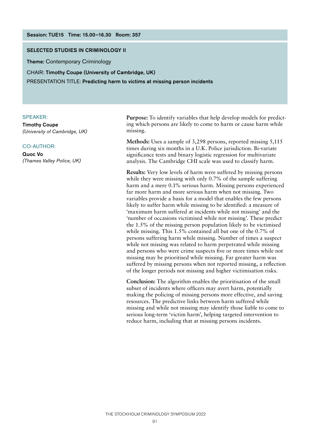## SELECTED STUDIES IN CRIMINOLOGY II

Theme: Contemporary Criminology

CHAIR: Timothy Coupe (University of Cambridge, UK)

PRESENTATION TITLE: Predicting harm to victims at missing person incidents

## SPEAKER:

Timothy Coupe *(University of Cambridge, UK)*

## CO-AUTHOR:

Quoc Vo *(Thames Valley Police, UK)* **Purpose:** To identify variables that help develop models for predicting which persons are likely to come to harm or cause harm while missing.

**Methods:** Uses a sample of 3,298 persons, reported missing 5,115 times during six months in a U.K. Police jurisdiction. Bi-variate significance tests and binary logistic regression for multivariate analysis. The Cambridge CHI scale was used to classify harm.

**Results:** Very low levels of harm were suffered by missing persons while they were missing with only 0.7% of the sample suffering harm and a mere 0.1% serious harm. Missing persons experienced far more harm and more serious harm when not missing. Two variables provide a basis for a model that enables the few persons likely to suffer harm while missing to be identified: a measure of 'maximum harm suffered at incidents while not missing' and the 'number of occasions victimised while not missing'. These predict the 1.5% of the missing person population likely to be victimised while missing. This 1.5% contained all but one of the 0.7% of persons suffering harm while missing. Number of times a suspect while not missing was related to harm perpetrated while missing and persons who were crime suspects five or more times while not missing may be prioritised while missing. Far greater harm was suffered by missing persons when not reported missing, a reflection of the longer periods not missing and higher victimisation risks.

**Conclusion:** The algorithm enables the prioritisation of the small subset of incidents where officers may avert harm, potentially making the policing of missing persons more effective, and saving resources. The predictive links between harm suffered while missing and while not missing may identify those liable to come to serious long-term 'victim harm', helping targeted intervention to reduce harm, including that at missing persons incidents.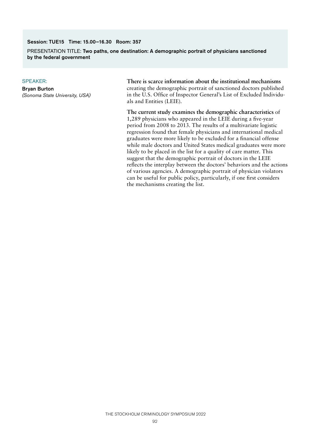PRESENTATION TITLE: Two paths, one destination: A demographic portrait of physicians sanctioned by the federal government

#### SPEAKER:

Bryan Burton *(Sonoma State University, USA)* **There is scarce information about the institutional mechanisms** creating the demographic portrait of sanctioned doctors published in the U.S. Office of Inspector General's List of Excluded Individuals and Entities (LEIE).

**The current study examines the demographic characteristics** of 1,289 physicians who appeared in the LEIE during a five-year period from 2008 to 2013. The results of a multivariate logistic regression found that female physicians and international medical graduates were more likely to be excluded for a financial offense while male doctors and United States medical graduates were more likely to be placed in the list for a quality of care matter. This suggest that the demographic portrait of doctors in the LEIE reflects the interplay between the doctors' behaviors and the actions of various agencies. A demographic portrait of physician violators can be useful for public policy, particularly, if one first considers the mechanisms creating the list.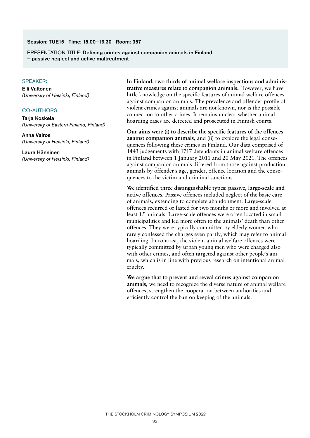PRESENTATION TITLE: Defining crimes against companion animals in Finland – passive neglect and active maltreatment

## SPEAKER:

Elli Valtonen *(University of Helsinki, Finland)*

### CO-AUTHORS:

**Taria Koskela** *(University of Eastern Finland, Finland)*

Anna Valros *(University of Helsinki, Finland)* 

Laura Hänninen *(University of Helsinki, Finland)* **In Finland, two thirds of animal welfare inspections and administrative measures relate to companion animals.** However, we have little knowledge on the specific features of animal welfare offences against companion animals. The prevalence and offender profile of violent crimes against animals are not known, nor is the possible connection to other crimes. It remains unclear whether animal hoarding cases are detected and prosecuted in Finnish courts.

**Our aims were (i) to describe the specific features of the offences against companion animals**, and (ii) to explore the legal consequences following these crimes in Finland. Our data comprised of 1443 judgements with 1717 defendants in animal welfare offences in Finland between 1 January 2011 and 20 May 2021. The offences against companion animals differed from those against production animals by offender's age, gender, offence location and the consequences to the victim and criminal sanctions.

**We identified three distinguishable types: passive, large-scale and active offences.** Passive offences included neglect of the basic care of animals, extending to complete abandonment. Large-scale offences recurred or lasted for two months or more and involved at least 15 animals. Large-scale offences were often located in small municipalities and led more often to the animals' death than other offences. They were typically committed by elderly women who rarely confessed the charges even partly, which may refer to animal hoarding. In contrast, the violent animal welfare offences were typically committed by urban young men who were charged also with other crimes, and often targeted against other people's animals, which is in line with previous research on intentional animal cruelty.

**We argue that to prevent and reveal crimes against companion animals,** we need to recognize the diverse nature of animal welfare offences, strengthen the cooperation between authorities and efficiently control the ban on keeping of the animals.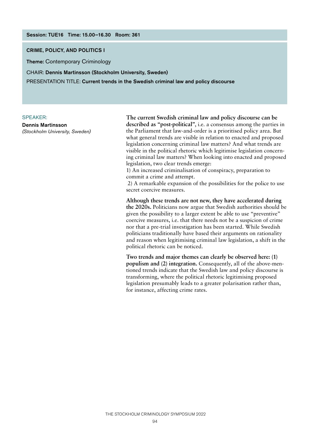#### CRIME, POLICY, AND POLITICS I

Theme: Contemporary Criminology

CHAIR: Dennis Martinsson (Stockholm University, Sweden)

PRESENTATION TITLE: Current trends in the Swedish criminal law and policy discourse

#### SPEAKER:

Dennis Martinsson *(Stockholm University, Sweden)* **The current Swedish criminal law and policy discourse can be described as "post-political"**, i.e. a consensus among the parties in the Parliament that law-and-order is a prioritised policy area. But what general trends are visible in relation to enacted and proposed legislation concerning criminal law matters? And what trends are visible in the political rhetoric which legitimise legislation concerning criminal law matters? When looking into enacted and proposed legislation, two clear trends emerge:

1) An increased criminalisation of conspiracy, preparation to commit a crime and attempt.

 2) A remarkable expansion of the possibilities for the police to use secret coercive measures.

**Although these trends are not new, they have accelerated during the 2020s.** Politicians now argue that Swedish authorities should be given the possibility to a larger extent be able to use "preventive" coercive measures, i.e. that there needs not be a suspicion of crime nor that a pre-trial investigation has been started. While Swedish politicians traditionally have based their arguments on rationality and reason when legitimising criminal law legislation, a shift in the political rhetoric can be noticed.

**Two trends and major themes can clearly be observed here: (1) populism and (2) integration.** Consequently, all of the above-mentioned trends indicate that the Swedish law and policy discourse is transforming, where the political rhetoric legitimising proposed legislation presumably leads to a greater polarisation rather than, for instance, affecting crime rates.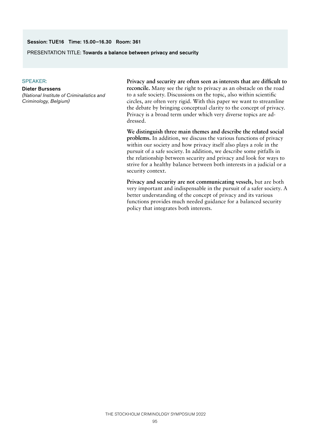PRESENTATION TITLE: Towards a balance between privacy and security

#### SPEAKER:

#### Dieter Burssens

*(National Institute of Criminalistics and Criminology, Belgium)*

**Privacy and security are often seen as interests that are difficult to reconcile.** Many see the right to privacy as an obstacle on the road to a safe society. Discussions on the topic, also within scientific circles, are often very rigid. With this paper we want to streamline the debate by bringing conceptual clarity to the concept of privacy. Privacy is a broad term under which very diverse topics are addressed.

**We distinguish three main themes and describe the related social problems.** In addition, we discuss the various functions of privacy within our society and how privacy itself also plays a role in the pursuit of a safe society. In addition, we describe some pitfalls in the relationship between security and privacy and look for ways to strive for a healthy balance between both interests in a judicial or a security context.

**Privacy and security are not communicating vessels,** but are both very important and indispensable in the pursuit of a safer society. A better understanding of the concept of privacy and its various functions provides much needed guidance for a balanced security policy that integrates both interests.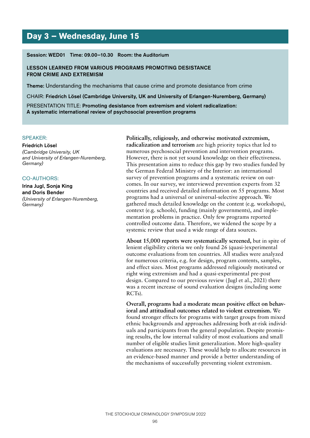# **Day 3 – Wednesday, June 15**

Session: WED01 Time: 09.00–10.30 Room: the Auditorium

# LESSON LEARNED FROM VARIOUS PROGRAMS PROMOTING DESISTANCE FROM CRIME AND EXTREMISM

Theme: Understanding the mechanisms that cause crime and promote desistance from crime

CHAIR: Friedrich Lösel (Cambridge University, UK and University of Erlangen-Nuremberg, Germany) PRESENTATION TITLE: Promoting desistance from extremism and violent radicalization: A systematic international review of psychosocial prevention programs

#### SPEAKER:

Friedrich Lösel *(Cambridge University, UK and University of Erlangen-Nuremberg, Germany)*

## CO-AUTHORS:

Irina Jugl, Sonja King and Doris Bender *(University of Erlangen-Nuremberg, Germany)*

**Politically, religiously, and otherwise motivated extremism, radicalization and terrorism** are high priority topics that led to numerous psychosocial prevention and intervention programs. However, there is not yet sound knowledge on their effectiveness. This presentation aims to reduce this gap by two studies funded by the German Federal Ministry of the Interior: an international survey of prevention programs and a systematic review on outcomes. In our survey, we interviewed prevention experts from 32 countries and received detailed information on 55 programs. Most programs had a universal or universal-selective approach. We gathered much detailed knowledge on the content (e.g. workshops), context (e.g. schools), funding (mainly governments), and implementation problems in practice. Only few programs reported controlled outcome data. Therefore, we widened the scope by a systemic review that used a wide range of data sources.

**About 15,000 reports were systematically screened,** but in spite of lenient eligibility criteria we only found 26 (quasi-)experimental outcome evaluations from ten countries. All studies were analyzed for numerous criteria, e.g. for design, program contents, samples, and effect sizes. Most programs addressed religiously motivated or right wing extremism and had a quasi-experimental pre-post design. Compared to our previous review (Jugl et al., 2021) there was a recent increase of sound evaluation designs (including some RCTs).

**Overall, programs had a moderate mean positive effect on behavioral and attitudinal outcomes related to violent extremism.** We found stronger effects for programs with target groups from mixed ethnic backgrounds and approaches addressing both at-risk individuals and participants from the general population. Despite promising results, the low internal validity of most evaluations and small number of eligible studies limit generalization. More high-quality evaluations are necessary. These would help to allocate resources in an evidence-based manner and provide a better understanding of the mechanisms of successfully preventing violent extremism.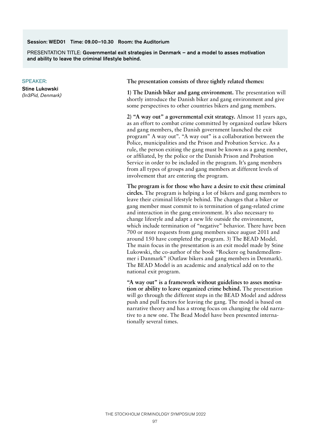Session: WED01 Time: 09.00–10.30 Room: the Auditorium

PRESENTATION TITLE: Governmental exit strategies in Denmark – and a model to asses motivation and ability to leave the criminal lifestyle behind.

#### SPEAKER:

Stine Lukowski *(In3Pid, Denmark)* **The presentation consists of three tightly related themes:**

**1) The Danish biker and gang environment.** The presentation will shortly introduce the Danish biker and gang environment and give some perspectives to other countries bikers and gang members.

**2) "A way out" a governmental exit strategy.** Almost 11 years ago, as an effort to combat crime committed by organized outlaw bikers and gang members, the Danish government launched the exit program" A way out". "A way out" is a collaboration between the Police, municipalities and the Prison and Probation Service. As a rule, the person exiting the gang must be known as a gang member, or affiliated, by the police or the Danish Prison and Probation Service in order to be included in the program. It's gang members from all types of groups and gang members at different levels of involvement that are entering the program.

**The program is for those who have a desire to exit these criminal circles.** The program is helping a lot of bikers and gang members to leave their criminal lifestyle behind. The changes that a biker or gang member must commit to is termination of gang-related crime and interaction in the gang environment. It´s also necessary to change lifestyle and adapt a new life outside the environment, which include termination of "negative" behavior. There have been 700 or more requests from gang members since august 2011 and around 150 have completed the program. 3) The BEAD Model. The main focus in the presentation is an exit model made by Stine Lukowski, the co-author of the book "Rockere og bandemedlemmer i Danmark" (Outlaw bikers and gang members in Denmark). The BEAD Model is an academic and analytical add on to the national exit program.

**"A way out" is a framework without guidelines to asses motivation or ability to leave organized crime behind.** The presentation will go through the different steps in the BEAD Model and address push and pull factors for leaving the gang. The model is based on narrative theory and has a strong focus on changing the old narrative to a new one. The Bead Model have been presented internationally several times.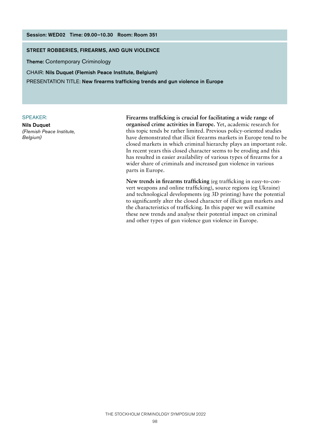## STREET ROBBERIES, FIREARMS, AND GUN VIOLENCE

Theme: Contemporary Criminology

CHAIR: Nils Duquet (Flemish Peace Institute, Belgium)

PRESENTATION TITLE: New firearms trafficking trends and gun violence in Europe

#### SPEAKER:

Nils Duquet *(Flemish Peace Institute, Belgium)*

**Firearms trafficking is crucial for facilitating a wide range of organised crime activities in Europe.** Yet, academic research for this topic tends be rather limited. Previous policy-oriented studies have demonstrated that illicit firearms markets in Europe tend to be closed markets in which criminal hierarchy plays an important role. In recent years this closed character seems to be eroding and this has resulted in easier availability of various types of firearms for a wider share of criminals and increased gun violence in various parts in Europe.

**New trends in firearms trafficking** (eg trafficking in easy-to-convert weapons and online trafficking), source regions (eg Ukraine) and technological developments (eg 3D printing) have the potential to significantly alter the closed character of illicit gun markets and the characteristics of trafficking. In this paper we will examine these new trends and analyse their potential impact on criminal and other types of gun violence gun violence in Europe.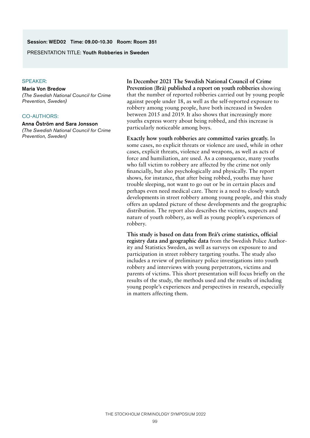# Session: WED02 Time: 09.00-10.30 Room: Room 351 PRESENTATION TITLE: Youth Robberies in Sweden

#### SPEAKER:

#### Maria Von Bredow

*(The Swedish National Council for Crime Prevention, Sweden)*

# CO-AUTHORS:

# Anna Öström and Sara Jonsson

*(The Swedish National Council for Crime Prevention, Sweden)*

**In December 2021 The Swedish National Council of Crime Prevention (Brå) published a report on youth robberies** showing that the number of reported robberies carried out by young people against people under 18, as well as the self-reported exposure to robbery among young people, have both increased in Sweden between 2015 and 2019. It also shows that increasingly more youths express worry about being robbed, and this increase is particularly noticeable among boys.

**Exactly how youth robberies are committed varies greatly.** In some cases, no explicit threats or violence are used, while in other cases, explicit threats, violence and weapons, as well as acts of force and humiliation, are used. As a consequence, many youths who fall victim to robbery are affected by the crime not only financially, but also psychologically and physically. The report shows, for instance, that after being robbed, youths may have trouble sleeping, not want to go out or be in certain places and perhaps even need medical care. There is a need to closely watch developments in street robbery among young people, and this study offers an updated picture of these developments and the geographic distribution. The report also describes the victims, suspects and nature of youth robbery, as well as young people's experiences of robbery.

**This study is based on data from Brå's crime statistics, official registry data and geographic data** from the Swedish Police Authority and Statistics Sweden, as well as surveys on exposure to and participation in street robbery targeting youths. The study also includes a review of preliminary police investigations into youth robbery and interviews with young perpetrators, victims and parents of victims. This short presentation will focus briefly on the results of the study, the methods used and the results of including young people's experiences and perspectives in research, especially in matters affecting them.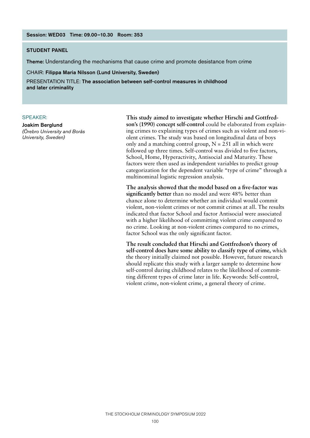## STUDENT PANEL

Theme: Understanding the mechanisms that cause crime and promote desistance from crime

CHAIR: Filippa Maria Nilsson (Lund University, Sweden)

PRESENTATION TITLE: The association between self-control measures in childhood and later criminality

### SPEAKER:

Joakim Berglund *(Örebro University and Borås University, Sweden)*

**This study aimed to investigate whether Hirschi and Gottfredson's (1990) concept self-control** could be elaborated from explaining crimes to explaining types of crimes such as violent and non-violent crimes. The study was based on longitudinal data of boys only and a matching control group,  $N = 251$  all in which were followed up three times. Self-control was divided to five factors, School, Home, Hyperactivity, Antisocial and Maturity. These factors were then used as independent variables to predict group categorization for the dependent variable "type of crime" through a multinominal logistic regression analysis.

**The analysis showed that the model based on a five-factor was significantly better** than no model and were 48% better than chance alone to determine whether an individual would commit violent, non-violent crimes or not commit crimes at all. The results indicated that factor School and factor Antisocial were associated with a higher likelihood of committing violent crime compared to no crime. Looking at non-violent crimes compared to no crimes, factor School was the only significant factor.

**The result concluded that Hirschi and Gottfredson's theory of self-control does have some ability to classify type of crime,** which the theory initially claimed not possible. However, future research should replicate this study with a larger sample to determine how self-control during childhood relates to the likelihood of committing different types of crime later in life. Keywords: Self-control, violent crime, non-violent crime, a general theory of crime.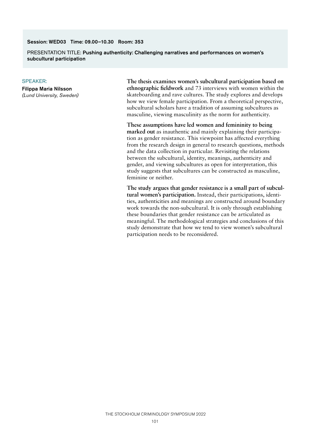PRESENTATION TITLE: Pushing authenticity: Challenging narratives and performances on women's subcultural participation

#### SPEAKER:

Filippa Maria Nilsson *(Lund University, Sweden)* **The thesis examines women's subcultural participation based on ethnographic fieldwork** and 73 interviews with women within the skateboarding and rave cultures. The study explores and develops how we view female participation. From a theoretical perspective, subcultural scholars have a tradition of assuming subcultures as masculine, viewing masculinity as the norm for authenticity.

**These assumptions have led women and femininity to being marked out** as inauthentic and mainly explaining their participation as gender resistance. This viewpoint has affected everything from the research design in general to research questions, methods and the data collection in particular. Revisiting the relations between the subcultural, identity, meanings, authenticity and gender, and viewing subcultures as open for interpretation, this study suggests that subcultures can be constructed as masculine, feminine or neither.

**The study argues that gender resistance is a small part of subcultural women's participation.** Instead, their participations, identities, authenticities and meanings are constructed around boundary work towards the non-subcultural. It is only through establishing these boundaries that gender resistance can be articulated as meaningful. The methodological strategies and conclusions of this study demonstrate that how we tend to view women's subcultural participation needs to be reconsidered.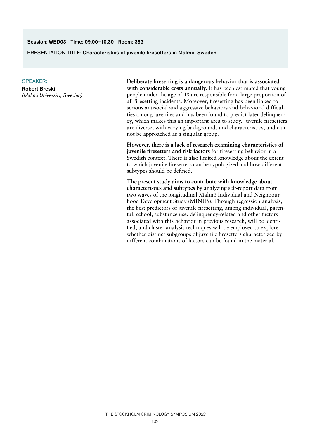PRESENTATION TITLE: Characteristics of juvenile firesetters in Malmö, Sweden

#### SPEAKER:

Robert Breski *(Malmö University, Sweden)* **Deliberate firesetting is a dangerous behavior that is associated with considerable costs annually.** It has been estimated that young people under the age of 18 are responsible for a large proportion of all firesetting incidents. Moreover, firesetting has been linked to serious antisocial and aggressive behaviors and behavioral difficulties among juveniles and has been found to predict later delinquency, which makes this an important area to study. Juvenile firesetters are diverse, with varying backgrounds and characteristics, and can not be approached as a singular group.

**However, there is a lack of research examining characteristics of juvenile firesetters and risk factors** for firesetting behavior in a Swedish context. There is also limited knowledge about the extent to which juvenile firesetters can be typologized and how different subtypes should be defined.

**The present study aims to contribute with knowledge about characteristics and subtypes** by analyzing self-report data from two waves of the longitudinal Malmö Individual and Neighbourhood Development Study (MINDS). Through regression analysis, the best predictors of juvenile firesetting, among individual, parental, school, substance use, delinquency-related and other factors associated with this behavior in previous research, will be identified, and cluster analysis techniques will be employed to explore whether distinct subgroups of juvenile firesetters characterized by different combinations of factors can be found in the material.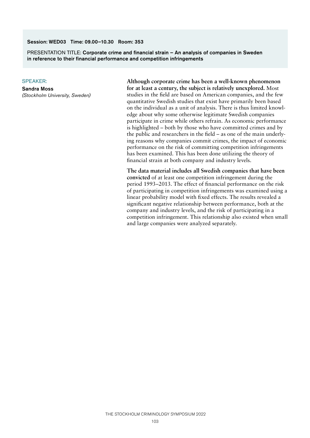PRESENTATION TITLE: Corporate crime and financial strain – An analysis of companies in Sweden in reference to their financial performance and competition infringements

#### SPEAKER:

Sandra Moss *(Stockholm University, Sweden)*

**Although corporate crime has been a well-known phenomenon for at least a century, the subject is relatively unexplored.** Most studies in the field are based on American companies, and the few quantitative Swedish studies that exist have primarily been based on the individual as a unit of analysis. There is thus limited knowledge about why some otherwise legitimate Swedish companies participate in crime while others refrain. As economic performance is highlighted – both by those who have committed crimes and by the public and researchers in the field – as one of the main underlying reasons why companies commit crimes, the impact of economic performance on the risk of committing competition infringements has been examined. This has been done utilizing the theory of financial strain at both company and industry levels.

**The data material includes all Swedish companies that have been convicted** of at least one competition infringement during the period 1993–2013. The effect of financial performance on the risk of participating in competition infringements was examined using a linear probability model with fixed effects. The results revealed a significant negative relationship between performance, both at the company and industry levels, and the risk of participating in a competition infringement. This relationship also existed when small and large companies were analyzed separately.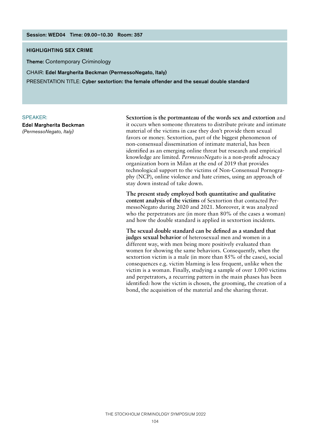## HIGHLIGHTING SEX CRIME

Theme: Contemporary Criminology

CHAIR: Edel Margherita Beckman (PermessoNegato, Italy)

PRESENTATION TITLE: Cyber sextortion: the female offender and the sexual double standard

### SPEAKER:

Edel Margherita Beckman *(PermessoNegato, Italy)*

**Sextortion is the portmanteau of the words sex and extortion** and it occurs when someone threatens to distribute private and intimate material of the victims in case they don't provide them sexual favors or money. Sextortion, part of the biggest phenomenon of non-consensual dissemination of intimate material, has been identified as an emerging online threat but research and empirical knowledge are limited. *PermessoNegato* is a non-profit advocacy organization born in Milan at the end of 2019 that provides technological support to the victims of Non-Consensual Pornography (NCP), online violence and hate crimes, using an approach of stay down instead of take down.

**The present study employed both quantitative and qualitative content analysis of the victims** of Sextortion that contacted PermessoNegato during 2020 and 2021. Moreover, it was analyzed who the perpetrators are (in more than 80% of the cases a woman) and how the double standard is applied in sextortion incidents.

**The sexual double standard can be defined as a standard that judges sexual behavior** of heterosexual men and women in a different way, with men being more positively evaluated than women for showing the same behaviors. Consequently, when the sextortion victim is a male (in more than 85% of the cases), social consequences e.g. victim blaming is less frequent, unlike when the victim is a woman. Finally, studying a sample of over 1.000 victims and perpetrators, a recurring pattern in the main phases has been identified: how the victim is chosen, the grooming, the creation of a bond, the acquisition of the material and the sharing threat.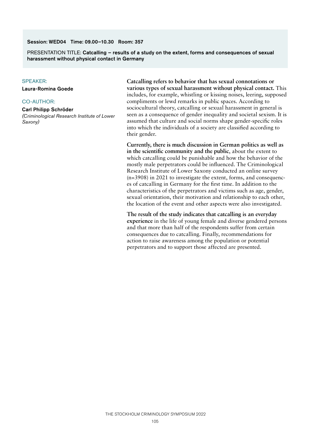PRESENTATION TITLE: Catcalling – results of a study on the extent, forms and consequences of sexual harassment without physical contact in Germany

#### SPEAKER:

Laura-Romina Goede

## CO-AUTHOR:

Carl Philipp Schröder

*(Criminological Research Institute of Lower Saxony)*

**Catcalling refers to behavior that has sexual connotations or various types of sexual harassment without physical contact.** This includes, for example, whistling or kissing noises, leering, supposed compliments or lewd remarks in public spaces. According to sociocultural theory, catcalling or sexual harassment in general is seen as a consequence of gender inequality and societal sexism. It is assumed that culture and social norms shape gender-specific roles into which the individuals of a society are classified according to their gender.

**Currently, there is much discussion in German politics as well as in the scientific community and the public**, about the extent to which catcalling could be punishable and how the behavior of the mostly male perpetrators could be influenced. The Criminological Research Institute of Lower Saxony conducted an online survey (n=3908) in 2021 to investigate the extent, forms, and consequences of catcalling in Germany for the first time. In addition to the characteristics of the perpetrators and victims such as age, gender, sexual orientation, their motivation and relationship to each other, the location of the event and other aspects were also investigated.

**The result of the study indicates that catcalling is an everyday experience** in the life of young female and diverse gendered persons and that more than half of the respondents suffer from certain consequences due to catcalling. Finally, recommendations for action to raise awareness among the population or potential perpetrators and to support those affected are presented.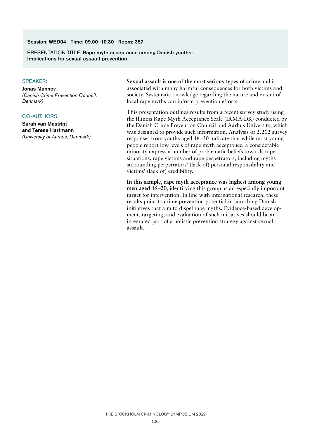PRESENTATION TITLE: Rape myth acceptance among Danish youths: Implications for sexual assault prevention

## SPEAKER:

Jonas Mannov *(Danish Crime Prevention Council, Denmark)*

# CO-AUTHORS:

Sarah van Mastrigt and Terese Hartmann *(University of Aarhus, Denmark)* **Sexual assault is one of the most serious types of crime** and is associated with many harmful consequences for both victims and society. Systematic knowledge regarding the nature and extent of local rape myths can inform prevention efforts.

This presentation outlines results from a recent survey study using the Illinois Rape Myth Acceptance Scale (IRMA-DK) conducted by the Danish Crime Prevention Council and Aarhus University, which was designed to provide such information. Analysis of 2.202 survey responses from youths aged 16–30 indicate that while most young people report low levels of rape myth acceptance, a considerable minority express a number of problematic beliefs towards rape situations, rape victims and rape perpetrators, including myths surrounding perpetrators' (lack of) personal responsibility and victims' (lack of) credibility.

**In this sample, rape myth acceptance was highest among young men aged 16–20**, identifying this group as an especially important target for intervention. In line with international research, these results point to crime prevention potential in launching Danish initiatives that aim to dispel rape myths. Evidence-based development, targeting, and evaluation of such initiatives should be an integrated part of a holistic prevention strategy against sexual assault.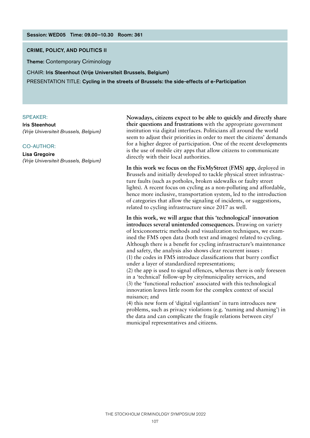#### CRIME, POLICY, AND POLITICS II

Theme: Contemporary Criminology

CHAIR: Iris Steenhout (Vrije Universiteit Brussels, Belgium)

PRESENTATION TITLE: Cycling in the streets of Brussels: the side-effects of e-Participation

## SPEAKER:

Iris Steenhout *(Vrije Universiteit Brussels, Belgium)*

#### CO-AUTHOR:

Lisa Gregoire *(Vrije Universiteit Brussels, Belgium)* **Nowadays, citizens expect to be able to quickly and directly share their questions and frustrations** with the appropriate government institution via digital interfaces. Politicians all around the world seem to adjust their priorities in order to meet the citizens' demands for a higher degree of participation. One of the recent developments is the use of mobile city apps that allow citizens to communicate directly with their local authorities.

**In this work we focus on the FixMyStreet (FMS) app**, deployed in Brussels and initially developed to tackle physical street infrastructure faults (such as potholes, broken sidewalks or faulty street lights). A recent focus on cycling as a non-polluting and affordable, hence more inclusive, transportation system, led to the introduction of categories that allow the signaling of incidents, or suggestions, related to cycling infrastructure since 2017 as well.

**In this work, we will argue that this 'technological' innovation introduces several unintended consequences.** Drawing on variety of lexiconometric methods and visualization techniques, we examined the FMS open data (both text and images) related to cycling. Although there is a benefit for cycling infrastructure's maintenance and safety, the analysis also shows clear recurrent issues : (1) the codes in FMS introduce classifications that burry conflict under a layer of standardized representations;

(2) the app is used to signal offences, whereas there is only foreseen in a 'technical' follow-up by city/municipality services, and (3) the 'functional reduction' associated with this technological innovation leaves little room for the complex context of social nuisance; and

(4) this new form of 'digital vigilantism' in turn introduces new problems, such as privacy violations (e.g. 'naming and shaming') in the data and can complicate the fragile relations between city/ municipal representatives and citizens.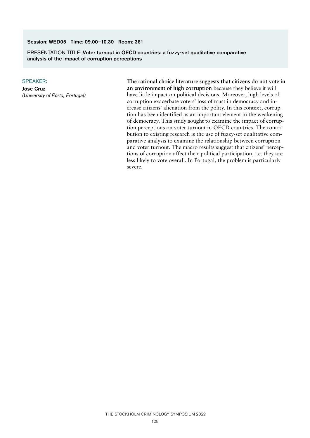PRESENTATION TITLE: Voter turnout in OECD countries: a fuzzy-set qualitative comparative analysis of the impact of corruption perceptions

## SPEAKER:

Jose Cruz *(University of Porto, Portugal)* **The rational choice literature suggests that citizens do not vote in an environment of high corruption** because they believe it will have little impact on political decisions. Moreover, high levels of corruption exacerbate voters' loss of trust in democracy and increase citizens' alienation from the polity. In this context, corruption has been identified as an important element in the weakening of democracy. This study sought to examine the impact of corruption perceptions on voter turnout in OECD countries. The contribution to existing research is the use of fuzzy-set qualitative comparative analysis to examine the relationship between corruption and voter turnout. The macro results suggest that citizens' perceptions of corruption affect their political participation, i.e. they are less likely to vote overall. In Portugal, the problem is particularly severe.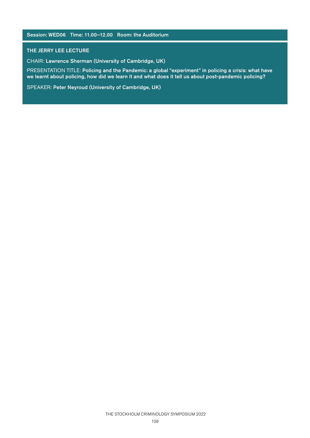## Session: WED06 Time: 11.00–12.00 Room: the Auditorium

## THE JERRY LEE LECTURE

CHAIR: Lawrence Sherman (University of Cambridge, UK)

PRESENTATION TITLE: Policing and the Pandemic: a global "experiment" in policing a crisis: what have we learnt about policing, how did we learn it and what does it tell us about post-pandemic policing?

SPEAKER: Peter Neyroud (University of Cambridge, UK)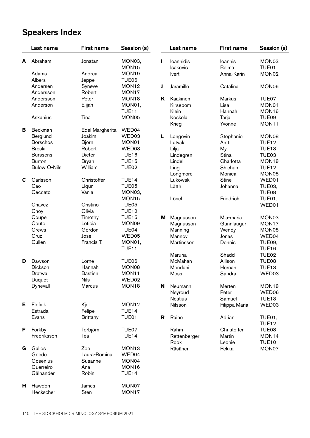## Speakers Index

|   | Last name           | <b>First name</b> | Session (s)       |   | Last name      | <b>First name</b> | Session (s)       |
|---|---------------------|-------------------|-------------------|---|----------------|-------------------|-------------------|
| A | Abraham             | Jonatan           | MON03,            | П | loannidis      | loannis           | MON <sub>03</sub> |
|   |                     |                   | MON15             |   | Isakovic       | Belma             | TUE01             |
|   | Adams               | Andrea            | MON19             |   | <b>Ivert</b>   | Anna-Karin        | MON02             |
|   | Albers              | Jeppe             | TUE06             |   |                |                   |                   |
|   | Andersen            | Synøve            | MON <sub>12</sub> | J | Jaramillo      | Catalina          | MON06             |
|   | Andersson           | Robert            | MON17             |   |                |                   |                   |
|   | Andersson           | Peter             | MON18             | K | Kaakinen       | Markus            | TUE07             |
|   | Anderson            | Elijah            | MON01,            |   | Kirsebom       | Lisa              | MON01             |
|   |                     |                   | <b>TUE11</b>      |   | Klein          | Hannah            | MON16             |
|   | Askanius            | Tina              | MON05             |   | Koskela        | Tarja             | TUE09             |
|   |                     |                   |                   |   | Krieg          | Yvonne            | MON <sub>11</sub> |
| B | Beckman             | Edel Margherita   | WED04             |   |                |                   |                   |
|   | Berglund            | Joakim            | WED03             | L | Langevin       | Stephanie         | MON08             |
|   | <b>Borschos</b>     | Björn             | MON01             |   | Latvala        | Antti             | <b>TUE12</b>      |
|   | <b>Breski</b>       | Robert            | WED03             |   | Lilja          | My                | <b>TUE13</b>      |
|   | <b>Burssens</b>     | <b>Dieter</b>     | <b>TUE16</b>      |   | Lindegren      | <b>Stina</b>      | TUE03             |
|   | <b>Burton</b>       | <b>Bryan</b>      | <b>TUE15</b>      |   | Lindell        | Charlotta         | MON18             |
|   | <b>Bülow O-Nils</b> | William           | TUE02             |   | Ling           | Shichun           | <b>TUE12</b>      |
|   |                     |                   |                   |   |                | Monica            |                   |
| C |                     |                   |                   |   | Longmore       |                   | MON08             |
|   | Carlsson            | Christoffer       | <b>TUE14</b>      |   | Lukowski       | <b>Stine</b>      | WED01             |
|   | Cao                 | Liqun             | TUE05             |   | Lätth          | Johanna           | <b>TUE03,</b>     |
|   | Ceccato             | Vania             | MON03,            |   |                |                   | TUE08             |
|   |                     |                   | MON15             |   | Lösel          | Friedrich         | TUE01,            |
|   | Chavez              | Cristino          | TUE05             |   |                |                   | WED01             |
|   | Choy                | Olivia            | <b>TUE12</b>      |   |                |                   |                   |
|   | Coupe               | Timothy           | <b>TUE15</b>      | Μ | Magnusson      | Mia-maria         | MON03             |
|   | Couto               | Leticia           | MON09             |   | Magnusson      | Gunnlaugur        | MON17             |
|   | Crews               | Gordon            | TUE04             |   | Manning        | Wendy             | MON08             |
|   | Cruz                | Jose              | WED05             |   | Mannov         | Jonas             | WED04             |
|   | Cullen              | Francis T.        | MON01,            |   | Martinsson     | Dennis            | <b>TUE09,</b>     |
|   |                     |                   | TUE11             |   |                |                   | <b>TUE16</b>      |
|   |                     |                   |                   |   | Maruna         | Shadd             | TUE02             |
| D | Dawson              | Lorne             | TUE06             |   | McMahan        | Allison           | TUE08             |
|   | Dickson             | Hannah            | MON08             |   | Mondani        | Hernan            | <b>TUE13</b>      |
|   | Dratwa              | <b>Bastien</b>    | MON <sub>11</sub> |   | Moss           | Sandra            | WED03             |
|   | Duquet              | <b>Nils</b>       | WED02             |   |                |                   |                   |
|   | Dynevall            | <b>Marcus</b>     | MON18             | N | Neumann        | Merten            | MON18             |
|   |                     |                   |                   |   | Neyroud        | Peter             | WED06             |
|   |                     |                   |                   |   | <b>Nestius</b> | Samuel            | <b>TUE13</b>      |
| Е | Elefalk             | Kjell             | MON <sub>12</sub> |   | Nilsson        | Filippa Maria     | WED03             |
|   | Estrada             | Felipe            | <b>TUE14</b>      |   |                |                   |                   |
|   | Evans               | <b>Brittany</b>   | TUE01             | R | Raine          | Adrian            | TUE01,            |
|   |                     |                   |                   |   |                |                   | <b>TUE12</b>      |
| F | Forkby              | Torbjörn          | TUE07             |   | Rahm           | Christoffer       | TUE08             |
|   | Fredriksson         | Tea               | <b>TUE14</b>      |   | Rettenberger   | Martin            | MON14             |
|   |                     |                   |                   |   | Rook           | Leonie            | <b>TUE10</b>      |
|   | Gallos              | Zoe               | MON <sub>13</sub> |   |                |                   |                   |
| G |                     | Laura-Romina      | WED04             |   | Räsänen        | Pekka             | MON07             |
|   | Goede               |                   |                   |   |                |                   |                   |
|   | Gosenius            | Susanne           | MON04             |   |                |                   |                   |
|   | Guerreiro           | Ana               | MON16             |   |                |                   |                   |
|   | Gålnander           | Robin             | <b>TUE14</b>      |   |                |                   |                   |
|   |                     |                   |                   |   |                |                   |                   |
| н | Hawdon              | James             | MON07             |   |                |                   |                   |
|   | Heckscher           | Sten              | MON17             |   |                |                   |                   |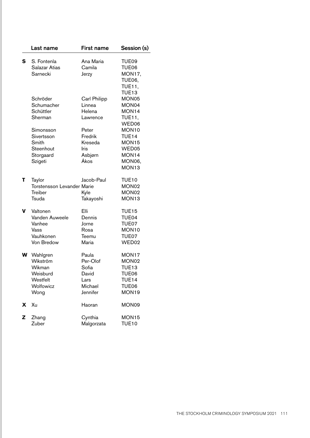|   | Last name                                                                   | <b>First name</b>                                                  | Session (s)                                                                                                      |
|---|-----------------------------------------------------------------------------|--------------------------------------------------------------------|------------------------------------------------------------------------------------------------------------------|
| s | S. Fontenla<br>Salazar Atias<br>Sarnecki                                    | Ana Maria<br>Camila<br>Jerzy                                       | TUE09<br>TUE06<br>MON17,<br><b>TUE06,</b><br><b>TUE11,</b>                                                       |
|   | Schröder<br>Schumacher<br>Schüttler<br>Sherman                              | Carl Philipp<br>Linnea<br>Helena<br>Lawrence                       | TUE13<br>MON05<br>MON04<br>MON <sub>14</sub><br><b>TUE11,</b>                                                    |
|   | Simonsson<br>Sivertsson<br>Smith<br>Steenhout<br>Storgaard<br>Szigeti       | Peter<br>Fredrik<br>Kreseda<br>Iris<br>Asbjørn<br>Ákos             | WED06<br>MON10<br><b>TUE14</b><br>MON <sub>15</sub><br>WED05<br>MON <sub>14</sub><br>MON06,<br>MON <sub>13</sub> |
| т | Taylor<br>Torstensson Levander Marie<br>Treiber<br>Tsuda                    | Jacob-Paul<br>Kyle<br>Takayoshi                                    | TUE10<br>MON <sub>02</sub><br>MON <sub>02</sub><br>MON <sub>13</sub>                                             |
| v | Valtonen<br>Vanden Auweele<br>Vanhee<br>Vass<br>Vauhkonen<br>Von Bredow     | Elli<br>Dennis<br>Jorne<br>Rosa<br>Teemu<br>Maria                  | TUE15<br>TUE04<br>TUE07<br>MON10<br>TUE07<br>WED02                                                               |
| w | Wahlgren<br>Wikström<br>Wikman<br>Weisburd<br>Westfelt<br>Wolfowicz<br>Wong | Paula<br>Per-Olof<br>Sofia<br>David<br>Lars<br>Michael<br>Jennifer | MON <sub>17</sub><br>MON <sub>02</sub><br>TUE13<br>TUE06<br><b>TUE14</b><br>TUE06<br>MON19                       |
| X | Xu                                                                          | Haoran                                                             | MON09                                                                                                            |
| z | Zhang<br>Zuber                                                              | Cynthia<br>Malgorzata                                              | MON15<br>TUE10                                                                                                   |